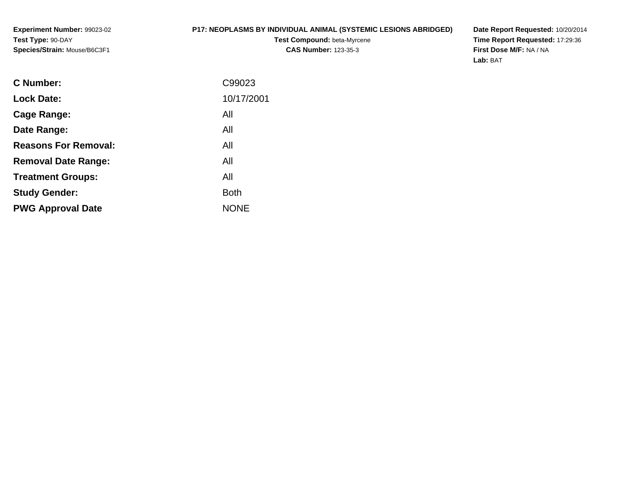#### **P17: NEOPLASMS BY INDIVIDUAL ANIMAL (SYSTEMIC LESIONS ABRIDGED)**

**Test Compound:** beta-Myrcene**CAS Number:** 123-35-3

**Date Report Requested:** 10/20/2014 **Time Report Requested:** 17:29:36**First Dose M/F:** NA / NA**Lab:** BAT

| <b>Lock Date:</b><br>All<br>Cage Range:<br>All<br>Date Range:<br><b>Reasons For Removal:</b><br>All<br>All<br><b>Removal Date Range:</b><br>All<br><b>Treatment Groups:</b><br><b>Both</b><br><b>Study Gender:</b><br><b>NONE</b><br><b>PWG Approval Date</b> | C Number: | C99023     |
|---------------------------------------------------------------------------------------------------------------------------------------------------------------------------------------------------------------------------------------------------------------|-----------|------------|
|                                                                                                                                                                                                                                                               |           | 10/17/2001 |
|                                                                                                                                                                                                                                                               |           |            |
|                                                                                                                                                                                                                                                               |           |            |
|                                                                                                                                                                                                                                                               |           |            |
|                                                                                                                                                                                                                                                               |           |            |
|                                                                                                                                                                                                                                                               |           |            |
|                                                                                                                                                                                                                                                               |           |            |
|                                                                                                                                                                                                                                                               |           |            |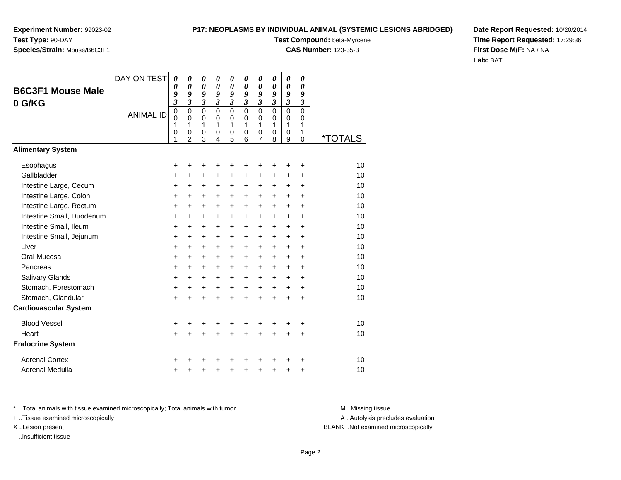#### **P17: NEOPLASMS BY INDIVIDUAL ANIMAL (SYSTEMIC LESIONS ABRIDGED)**

**Test Compound:** beta-Myrcene

**CAS Number:** 123-35-3

**Date Report Requested:** 10/20/2014**Time Report Requested:** 17:29:36**First Dose M/F:** NA / NA**Lab:** BAT

|                              | DAY ON TEST      | 0                | 0                       | 0         | 0                          | 0                          | 0                          | 0                          | 0                          | 0                          | 0                    |         |
|------------------------------|------------------|------------------|-------------------------|-----------|----------------------------|----------------------------|----------------------------|----------------------------|----------------------------|----------------------------|----------------------|---------|
| <b>B6C3F1 Mouse Male</b>     |                  | 0<br>9           | 0<br>9                  | 0<br>9    | $\boldsymbol{\theta}$<br>9 | $\boldsymbol{\theta}$<br>9 | $\boldsymbol{\theta}$<br>9 | 0<br>9                     | $\boldsymbol{\theta}$<br>9 | $\boldsymbol{\theta}$<br>9 | 0<br>9               |         |
| 0 G/KG                       |                  | 3                | 3                       | 3         | $\mathfrak{z}$             | 3                          | $\mathfrak{z}$             | $\mathfrak{z}$             | $\mathfrak{z}$             | $\mathfrak{z}$             | $\boldsymbol{\beta}$ |         |
|                              | <b>ANIMAL ID</b> | $\mathbf 0$<br>0 | $\mathbf 0$<br>$\Omega$ | 0<br>0    | $\mathbf 0$<br>$\Omega$    | $\mathbf{0}$<br>$\Omega$   | $\mathbf 0$<br>$\mathbf 0$ | $\mathbf 0$<br>$\mathbf 0$ | $\mathbf 0$<br>$\mathbf 0$ | $\mathbf 0$<br>0           | $\mathbf 0$<br>0     |         |
|                              |                  | 1                | 1                       | 1         | 1                          | 1                          | 1                          | 1                          | $\mathbf{1}$               | 1                          | 1                    |         |
|                              |                  | 0<br>1           | 0<br>$\overline{2}$     | 0<br>3    | 0<br>4                     | 0<br>5                     | 0<br>6                     | 0<br>7                     | 0<br>8                     | 0<br>9                     | 1<br>0               | *TOTALS |
| <b>Alimentary System</b>     |                  |                  |                         |           |                            |                            |                            |                            |                            |                            |                      |         |
| Esophagus                    |                  | +                | +                       | +         | +                          | +                          |                            |                            |                            | +                          | +                    | 10      |
| Gallbladder                  |                  | $\ddot{}$        | $\ddot{}$               | $\ddot{}$ | $\ddot{}$                  | $\ddot{}$                  | $\ddot{}$                  | $\ddot{}$                  | $\ddot{}$                  | $\ddot{}$                  | $\ddot{}$            | 10      |
| Intestine Large, Cecum       |                  | $\ddot{}$        | +                       | +         | +                          | +                          | $\ddot{}$                  | +                          | $\ddot{}$                  | +                          | $\ddot{}$            | 10      |
| Intestine Large, Colon       |                  | +                | $\ddot{}$               | $\ddot{}$ | $\ddot{}$                  | $\pm$                      | $\ddot{}$                  | $\ddot{}$                  | $\ddot{}$                  | $\ddot{}$                  | +                    | 10      |
| Intestine Large, Rectum      |                  | $\ddot{}$        | $\ddot{}$               | $\ddot{}$ | $\ddot{}$                  | $\ddot{}$                  | $\ddot{}$                  | $\ddot{}$                  | $+$                        | $\ddot{}$                  | $\ddot{}$            | 10      |
| Intestine Small, Duodenum    |                  | $\ddot{}$        | +                       | +         | $\ddot{}$                  | $\ddot{}$                  | $\ddot{}$                  | +                          | $\ddot{}$                  | +                          | $\ddot{}$            | 10      |
| Intestine Small, Ileum       |                  | $\ddot{}$        | $\ddot{}$               | $\ddot{}$ | +                          | +                          | $\ddot{}$                  | +                          | $\ddot{}$                  | $\ddot{}$                  | $\ddot{}$            | 10      |
| Intestine Small, Jejunum     |                  | $\ddot{}$        | $\ddot{}$               | $+$       | $\ddot{}$                  | +                          | $+$                        | $\ddot{}$                  | $+$                        | $\ddot{}$                  | $\ddot{}$            | 10      |
| Liver                        |                  | $\ddot{}$        | +                       | +         | +                          | $\ddot{}$                  | $\ddot{}$                  | +                          | $\ddot{}$                  | +                          | +                    | 10      |
| Oral Mucosa                  |                  | $\ddot{}$        | $\ddot{}$               | +         | $\ddot{}$                  | $\ddot{}$                  | +                          | +                          | $\ddot{}$                  | $\ddot{}$                  | $\ddot{}$            | 10      |
| Pancreas                     |                  | $\ddot{}$        | $\ddot{}$               | $\ddot{}$ | $\ddot{}$                  | $\ddot{}$                  | $\ddot{}$                  | $\ddot{}$                  | $\ddot{}$                  | $\ddot{}$                  | $\ddot{}$            | 10      |
| Salivary Glands              |                  | +                | $\ddot{}$               | $\pm$     | $\ddot{}$                  | $\ddot{}$                  | $\ddot{}$                  | $\ddot{}$                  | $+$                        | $\ddot{}$                  | +                    | 10      |
| Stomach, Forestomach         |                  | +                | $\ddot{}$               | $\ddot{}$ | +                          | +                          | $\ddot{}$                  | $\ddot{}$                  | $\ddot{}$                  | $\ddot{}$                  | $\ddot{}$            | 10      |
| Stomach, Glandular           |                  | $\ddot{}$        | $\ddot{}$               | $\ddot{}$ | $\ddot{}$                  | $\ddot{}$                  | $\ddot{}$                  | $\ddot{}$                  | $\ddot{}$                  | $\ddot{}$                  | $\ddot{}$            | 10      |
| <b>Cardiovascular System</b> |                  |                  |                         |           |                            |                            |                            |                            |                            |                            |                      |         |
| <b>Blood Vessel</b>          |                  | +                |                         |           |                            | +                          | +                          |                            |                            |                            | +                    | 10      |
| Heart                        |                  | +                | +                       | $\ddot{}$ | $\ddot{}$                  | $\ddot{}$                  | $\ddot{}$                  | $\ddot{}$                  | $\ddot{}$                  | $\ddot{}$                  | +                    | 10      |
| <b>Endocrine System</b>      |                  |                  |                         |           |                            |                            |                            |                            |                            |                            |                      |         |
| <b>Adrenal Cortex</b>        |                  | +                |                         |           |                            |                            |                            |                            |                            |                            | +                    | 10      |
| <b>Adrenal Medulla</b>       |                  | +                |                         | +         | +                          | +                          | +                          | +                          | +                          | +                          | +                    | 10      |

\* ..Total animals with tissue examined microscopically; Total animals with tumor **M** . Missing tissue M ..Missing tissue

+ ..Tissue examined microscopically

I ..Insufficient tissue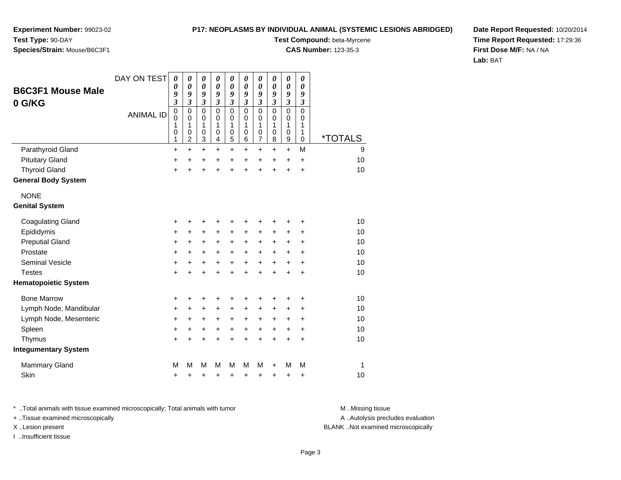**Experiment Number:** 99023-02**Test Type:** 90-DAY

# **Species/Strain:** Mouse/B6C3F1

**Test Compound:** beta-Myrcene

**CAS Number:** 123-35-3

**Date Report Requested:** 10/20/2014**Time Report Requested:** 17:29:36**First Dose M/F:** NA / NA**Lab:** BAT

| <b>B6C3F1 Mouse Male</b>    | DAY ON TEST      | $\boldsymbol{\theta}$<br>0<br>9                    | 0<br>0<br>9                                  | 0<br>0<br>9                     | 0<br>$\boldsymbol{\theta}$<br>9 | $\boldsymbol{\theta}$<br>$\boldsymbol{\theta}$<br>9 | $\boldsymbol{\theta}$<br>0<br>9 | 0<br>0<br>9           | 0<br>0<br>9                     | $\pmb{\theta}$<br>0<br>9        | $\boldsymbol{\theta}$<br>$\boldsymbol{\theta}$<br>9 |                       |
|-----------------------------|------------------|----------------------------------------------------|----------------------------------------------|---------------------------------|---------------------------------|-----------------------------------------------------|---------------------------------|-----------------------|---------------------------------|---------------------------------|-----------------------------------------------------|-----------------------|
| 0 G/KG                      |                  | $\boldsymbol{\mathfrak{z}}$                        | 3                                            | 3                               | 3                               | $\mathfrak{z}$                                      | $\overline{\mathbf{3}}$         | 3                     | 3                               | 3                               | 3                                                   |                       |
|                             | <b>ANIMAL ID</b> | $\pmb{0}$<br>$\mathbf 0$<br>1<br>0<br>$\mathbf{1}$ | $\mathbf 0$<br>0<br>1<br>0<br>$\overline{c}$ | $\mathbf 0$<br>0<br>1<br>0<br>3 | $\mathbf 0$<br>0<br>1<br>0<br>4 | $\mathbf 0$<br>0<br>1<br>0<br>5                     | $\mathbf 0$<br>0<br>1<br>0<br>6 | 0<br>0<br>1<br>0<br>7 | $\mathbf 0$<br>0<br>1<br>0<br>8 | $\mathbf 0$<br>0<br>1<br>0<br>9 | $\mathbf 0$<br>0<br>1<br>1<br>$\mathbf 0$           | <i><b>*TOTALS</b></i> |
| Parathyroid Gland           |                  | $\ddot{}$                                          | $\ddot{}$                                    | $\ddot{}$                       | $\ddot{}$                       | $+$                                                 | $\ddot{}$                       | $\ddot{}$             | $\ddot{}$                       | $\ddot{}$                       | M                                                   | 9                     |
| <b>Pituitary Gland</b>      |                  | $\ddot{}$                                          | $\ddot{}$                                    | $\ddot{}$                       | $\ddot{}$                       | $\ddot{}$                                           | $\ddot{}$                       | $\ddot{}$             | $\ddot{}$                       | $\ddot{}$                       | $\ddot{}$                                           | 10                    |
| <b>Thyroid Gland</b>        |                  | $\ddot{}$                                          | Ŧ.                                           | $\ddot{}$                       | $\ddot{}$                       | $\ddot{}$                                           | ÷                               | $\ddot{}$             | $\ddot{}$                       | $\ddot{}$                       | $\ddot{}$                                           | 10                    |
| <b>General Body System</b>  |                  |                                                    |                                              |                                 |                                 |                                                     |                                 |                       |                                 |                                 |                                                     |                       |
| <b>NONE</b>                 |                  |                                                    |                                              |                                 |                                 |                                                     |                                 |                       |                                 |                                 |                                                     |                       |
| <b>Genital System</b>       |                  |                                                    |                                              |                                 |                                 |                                                     |                                 |                       |                                 |                                 |                                                     |                       |
| <b>Coagulating Gland</b>    |                  | +                                                  | +                                            | +                               | +                               | +                                                   | +                               | +                     | +                               | +                               | +                                                   | 10                    |
| Epididymis                  |                  | +                                                  | +                                            | +                               | $\ddot{}$                       | $\ddot{}$                                           | $\pm$                           | +                     | +                               | +                               | +                                                   | 10                    |
| <b>Preputial Gland</b>      |                  | +                                                  | +                                            | +                               | +                               | $\ddot{}$                                           | +                               | +                     | +                               | +                               | $\ddot{}$                                           | 10                    |
| Prostate                    |                  | $\ddot{}$                                          | +                                            | +                               | $\ddot{}$                       | $+$                                                 | $\ddot{}$                       | +                     | +                               | +                               | $\ddot{}$                                           | 10                    |
| <b>Seminal Vesicle</b>      |                  | +                                                  | +                                            | +                               | +                               | $\ddot{}$                                           | $\ddot{}$                       | $\ddot{}$             | $\ddot{}$                       | $\ddot{}$                       | $\ddot{}$                                           | 10                    |
| <b>Testes</b>               |                  | $\ddot{}$                                          | $\ddot{}$                                    | $\ddot{}$                       | $\ddot{}$                       | $\ddot{}$                                           | $\ddot{}$                       | $\ddot{}$             | $\ddot{}$                       | $\ddot{}$                       | $\ddot{}$                                           | 10                    |
| <b>Hematopoietic System</b> |                  |                                                    |                                              |                                 |                                 |                                                     |                                 |                       |                                 |                                 |                                                     |                       |
| <b>Bone Marrow</b>          |                  | +                                                  | +                                            | +                               | +                               | +                                                   | +                               | ٠                     | +                               | +                               | +                                                   | 10                    |
| Lymph Node, Mandibular      |                  | $\ddot{}$                                          | $\ddot{}$                                    | $\ddot{}$                       | $\ddot{}$                       | $\ddot{}$                                           | $\ddot{}$                       | +                     | +                               | +                               | $\ddot{}$                                           | 10                    |
| Lymph Node, Mesenteric      |                  | +                                                  | +                                            | +                               | +                               | +                                                   | +                               | +                     | +                               | +                               | +                                                   | 10                    |
| Spleen                      |                  | +                                                  | +                                            | +                               | $\ddot{}$                       | $\ddot{}$                                           | $\ddot{}$                       | +                     | $\ddot{}$                       | +                               | $\ddot{}$                                           | 10                    |
| Thymus                      |                  | $\ddot{}$                                          | $\ddot{}$                                    | $\ddot{}$                       | $\ddot{}$                       | $\ddot{}$                                           | $\ddot{}$                       | $\ddot{}$             | $\ddot{}$                       | $\ddot{}$                       | $\ddot{}$                                           | 10                    |
| <b>Integumentary System</b> |                  |                                                    |                                              |                                 |                                 |                                                     |                                 |                       |                                 |                                 |                                                     |                       |
| <b>Mammary Gland</b>        |                  | M                                                  | M                                            | M                               | м                               | M                                                   | M                               | M                     | +                               | M                               | M                                                   | 1                     |
| Skin                        |                  | +                                                  | +                                            | +                               | +                               | +                                                   | +                               | +                     | +                               | +                               | +                                                   | 10                    |

\* ..Total animals with tissue examined microscopically; Total animals with tumor **M** . Missing tissue M ..Missing tissue

+ ..Tissue examined microscopically

I ..Insufficient tissue

A ..Autolysis precludes evaluation

X ..Lesion present BLANK ..Not examined microscopically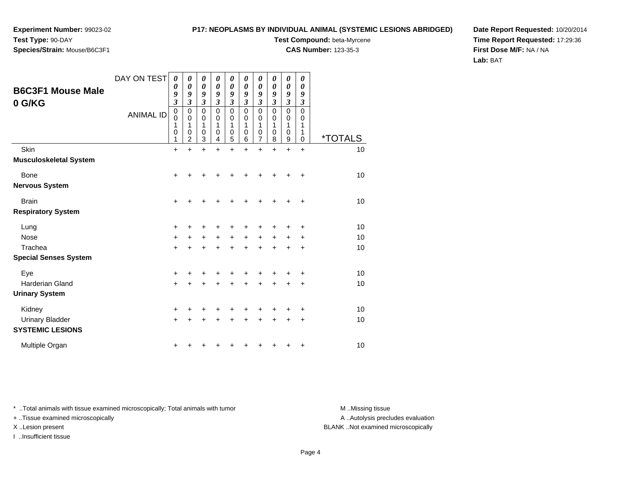# **Species/Strain:** Mouse/B6C3F1

#### **P17: NEOPLASMS BY INDIVIDUAL ANIMAL (SYSTEMIC LESIONS ABRIDGED)**

**Test Compound:** beta-Myrcene

**CAS Number:** 123-35-3

**Date Report Requested:** 10/20/2014**Time Report Requested:** 17:29:36**First Dose M/F:** NA / NA**Lab:** BAT

| <b>B6C3F1 Mouse Male</b>                          | DAY ON TEST      | 0<br>0<br>9                             | 0<br>0<br>9                                       | 0<br>$\boldsymbol{\theta}$<br>9                  | 0<br>$\boldsymbol{\theta}$<br>9                            | 0<br>0<br>9                                      | 0<br>0<br>9                                      | 0<br>$\boldsymbol{\theta}$<br>9         | $\boldsymbol{\theta}$<br>0<br>9                   | 0<br>0<br>9                                                 | 0<br>$\boldsymbol{\theta}$<br>9                                   |                       |
|---------------------------------------------------|------------------|-----------------------------------------|---------------------------------------------------|--------------------------------------------------|------------------------------------------------------------|--------------------------------------------------|--------------------------------------------------|-----------------------------------------|---------------------------------------------------|-------------------------------------------------------------|-------------------------------------------------------------------|-----------------------|
| 0 G/KG                                            | <b>ANIMAL ID</b> | $\mathfrak{z}$<br>0<br>0<br>1<br>0<br>1 | 3<br>0<br>$\mathbf 0$<br>1<br>0<br>$\overline{2}$ | $\overline{\mathbf{3}}$<br>0<br>0<br>1<br>0<br>3 | $\overline{\mathbf{3}}$<br>$\mathbf 0$<br>0<br>1<br>0<br>4 | $\overline{\mathbf{3}}$<br>0<br>0<br>1<br>0<br>5 | $\overline{\mathbf{3}}$<br>0<br>0<br>1<br>0<br>6 | $\mathfrak{z}$<br>0<br>0<br>1<br>0<br>7 | $\mathfrak{z}$<br>$\mathbf 0$<br>0<br>1<br>0<br>8 | $\mathfrak{z}$<br>$\mathbf 0$<br>$\mathbf 0$<br>1<br>0<br>9 | $\boldsymbol{\beta}$<br>$\mathbf 0$<br>0<br>1<br>1<br>$\mathbf 0$ | <i><b>*TOTALS</b></i> |
| Skin                                              |                  | $+$                                     | $\ddot{}$                                         | $\ddot{}$                                        | $\ddot{}$                                                  | $\ddot{}$                                        | $\ddot{}$                                        | $\ddot{}$                               | $\ddot{}$                                         | $\ddot{}$                                                   | $\ddot{}$                                                         | 10                    |
| <b>Musculoskeletal System</b>                     |                  |                                         |                                                   |                                                  |                                                            |                                                  |                                                  |                                         |                                                   |                                                             |                                                                   |                       |
| <b>Bone</b>                                       |                  | $\ddot{}$                               |                                                   |                                                  |                                                            |                                                  |                                                  | +                                       | ٠                                                 | +                                                           | +                                                                 | 10                    |
| <b>Nervous System</b>                             |                  |                                         |                                                   |                                                  |                                                            |                                                  |                                                  |                                         |                                                   |                                                             |                                                                   |                       |
| <b>Brain</b>                                      |                  | $\pm$                                   | +                                                 | +                                                | +                                                          | +                                                | +                                                | +                                       | +                                                 | +                                                           | $\ddot{}$                                                         | 10                    |
| <b>Respiratory System</b>                         |                  |                                         |                                                   |                                                  |                                                            |                                                  |                                                  |                                         |                                                   |                                                             |                                                                   |                       |
| Lung                                              |                  | +                                       |                                                   |                                                  |                                                            |                                                  |                                                  | +                                       | +                                                 |                                                             | +                                                                 | 10                    |
| <b>Nose</b>                                       |                  | $\ddot{}$                               | +                                                 | +                                                | $\ddot{}$                                                  | $\ddot{}$                                        | $\ddot{}$                                        | $\ddot{}$                               | $\ddot{}$                                         | $\ddot{}$                                                   | ÷                                                                 | 10                    |
| Trachea                                           |                  | $\ddot{}$                               |                                                   |                                                  |                                                            | $\ddot{}$                                        | $\ddot{}$                                        | $\ddot{}$                               | +                                                 | +                                                           | +                                                                 | 10                    |
| <b>Special Senses System</b>                      |                  |                                         |                                                   |                                                  |                                                            |                                                  |                                                  |                                         |                                                   |                                                             |                                                                   |                       |
| Eye                                               |                  | +                                       |                                                   | +                                                |                                                            |                                                  | ٠                                                | +                                       | +                                                 |                                                             | +                                                                 | 10                    |
| <b>Harderian Gland</b>                            |                  | $+$                                     |                                                   | +                                                | +                                                          | $\ddot{}$                                        | $\ddot{}$                                        | $\ddot{}$                               | $\ddot{}$                                         | $\ddot{}$                                                   | +                                                                 | 10                    |
| <b>Urinary System</b>                             |                  |                                         |                                                   |                                                  |                                                            |                                                  |                                                  |                                         |                                                   |                                                             |                                                                   |                       |
| Kidney                                            |                  | $\ddot{}$                               |                                                   | +                                                |                                                            | ٠                                                | ٠                                                | +                                       | +                                                 |                                                             | +                                                                 | 10                    |
| <b>Urinary Bladder</b><br><b>SYSTEMIC LESIONS</b> |                  | $\ddot{}$                               | +                                                 | ٠                                                | ÷                                                          | +                                                | +                                                | +                                       | +                                                 | $\pm$                                                       | $\ddot{}$                                                         | 10                    |
| Multiple Organ                                    |                  | +                                       |                                                   |                                                  |                                                            |                                                  |                                                  | ٠                                       | +                                                 | +                                                           | +                                                                 | 10                    |

\* ..Total animals with tissue examined microscopically; Total animals with tumor **M** . Missing tissue M ..Missing tissue

+ ..Tissue examined microscopically

I ..Insufficient tissue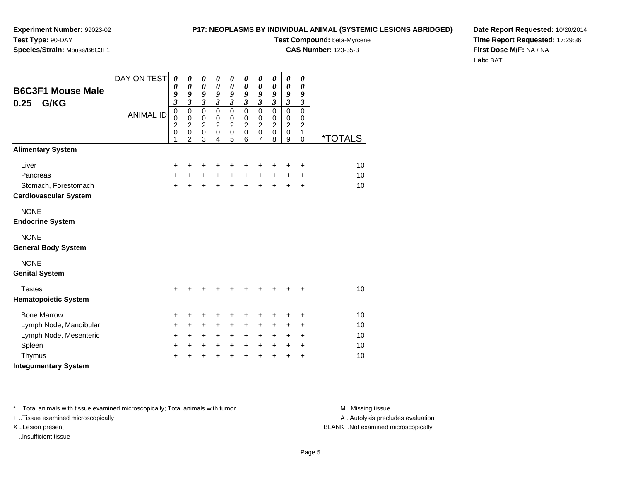#### **P17: NEOPLASMS BY INDIVIDUAL ANIMAL (SYSTEMIC LESIONS ABRIDGED)**

**Test Compound:** beta-Myrcene

**CAS Number:** 123-35-3

**Date Report Requested:** 10/20/2014**Time Report Requested:** 17:29:36**First Dose M/F:** NA / NA**Lab:** BAT

| <b>B6C3F1 Mouse Male</b><br>G/KG<br>0.25  | DAY ON TEST      | $\boldsymbol{\theta}$<br>0<br>9<br>$\mathfrak{z}$<br>$\overline{0}$ | $\boldsymbol{\theta}$<br>$\boldsymbol{\theta}$<br>9<br>$\overline{\mathbf{3}}$<br>$\mathbf 0$ | $\boldsymbol{\theta}$<br>$\pmb{\theta}$<br>9<br>$\mathfrak{z}$<br>$\mathbf 0$ | 0<br>$\boldsymbol{\theta}$<br>$\boldsymbol{g}$<br>$\mathfrak{z}$ | $\boldsymbol{\theta}$<br>$\boldsymbol{\theta}$<br>9<br>$\mathfrak{z}$ | 0<br>0<br>9<br>$\mathfrak{z}$                          | $\boldsymbol{\theta}$<br>$\boldsymbol{\theta}$<br>9<br>$\mathfrak{z}$<br>$\mathbf 0$ | $\boldsymbol{\theta}$<br>$\boldsymbol{\theta}$<br>9<br>$\mathfrak{z}$<br>$\mathbf 0$ | 0<br>$\pmb{\theta}$<br>9<br>$\overline{\mathbf{3}}$<br>$\overline{0}$ | 0<br>0<br>9<br>$\boldsymbol{\beta}$<br>$\mathbf 0$ |                       |
|-------------------------------------------|------------------|---------------------------------------------------------------------|-----------------------------------------------------------------------------------------------|-------------------------------------------------------------------------------|------------------------------------------------------------------|-----------------------------------------------------------------------|--------------------------------------------------------|--------------------------------------------------------------------------------------|--------------------------------------------------------------------------------------|-----------------------------------------------------------------------|----------------------------------------------------|-----------------------|
|                                           | <b>ANIMAL ID</b> | 0<br>$\overline{c}$<br>$\mathbf 0$<br>1                             | $\pmb{0}$<br>$\boldsymbol{2}$<br>$\mathsf 0$<br>$\mathfrak{p}$                                | $\mathbf 0$<br>$\overline{2}$<br>$\pmb{0}$<br>3                               | $\mathbf 0$<br>$\pmb{0}$<br>$\boldsymbol{2}$<br>$\pmb{0}$<br>4   | $\mathbf 0$<br>$\pmb{0}$<br>$\overline{2}$<br>$\mathbf 0$<br>5        | $\mathbf 0$<br>0<br>$\overline{c}$<br>$\mathbf 0$<br>6 | $\,0\,$<br>$\overline{c}$<br>$\pmb{0}$<br>$\overline{7}$                             | $\pmb{0}$<br>$\overline{c}$<br>$\pmb{0}$<br>8                                        | $\pmb{0}$<br>$\overline{2}$<br>$\mathbf 0$<br>9                       | 0<br>$\overline{c}$<br>1<br>$\mathbf 0$            | <i><b>*TOTALS</b></i> |
| <b>Alimentary System</b>                  |                  |                                                                     |                                                                                               |                                                                               |                                                                  |                                                                       |                                                        |                                                                                      |                                                                                      |                                                                       |                                                    |                       |
| Liver                                     |                  | +                                                                   | +                                                                                             | $\ddot{}$                                                                     | +                                                                | +                                                                     | +                                                      | +                                                                                    | ÷                                                                                    | +                                                                     | $\ddot{}$                                          | 10                    |
| Pancreas                                  |                  | +                                                                   | $+$                                                                                           | $+$                                                                           | $+$                                                              | $\ddot{}$                                                             | $+$                                                    | $\ddot{}$                                                                            | $+$                                                                                  | $\ddot{}$                                                             | $\ddot{}$                                          | 10                    |
| Stomach, Forestomach                      |                  | $\ddot{}$                                                           | ÷                                                                                             | $\ddot{}$                                                                     |                                                                  | $\ddot{}$                                                             | $\ddot{}$                                              | $+$                                                                                  | $+$                                                                                  | $+$                                                                   | $\ddot{}$                                          | 10                    |
| <b>Cardiovascular System</b>              |                  |                                                                     |                                                                                               |                                                                               |                                                                  |                                                                       |                                                        |                                                                                      |                                                                                      |                                                                       |                                                    |                       |
| <b>NONE</b>                               |                  |                                                                     |                                                                                               |                                                                               |                                                                  |                                                                       |                                                        |                                                                                      |                                                                                      |                                                                       |                                                    |                       |
| <b>Endocrine System</b>                   |                  |                                                                     |                                                                                               |                                                                               |                                                                  |                                                                       |                                                        |                                                                                      |                                                                                      |                                                                       |                                                    |                       |
| <b>NONE</b><br><b>General Body System</b> |                  |                                                                     |                                                                                               |                                                                               |                                                                  |                                                                       |                                                        |                                                                                      |                                                                                      |                                                                       |                                                    |                       |
|                                           |                  |                                                                     |                                                                                               |                                                                               |                                                                  |                                                                       |                                                        |                                                                                      |                                                                                      |                                                                       |                                                    |                       |
| <b>NONE</b><br><b>Genital System</b>      |                  |                                                                     |                                                                                               |                                                                               |                                                                  |                                                                       |                                                        |                                                                                      |                                                                                      |                                                                       |                                                    |                       |
| <b>Testes</b>                             |                  | $\ddot{}$                                                           |                                                                                               |                                                                               |                                                                  |                                                                       |                                                        | ٠                                                                                    |                                                                                      |                                                                       | +                                                  | 10                    |
| <b>Hematopoietic System</b>               |                  |                                                                     |                                                                                               |                                                                               |                                                                  |                                                                       |                                                        |                                                                                      |                                                                                      |                                                                       |                                                    |                       |
| <b>Bone Marrow</b>                        |                  | +                                                                   | +                                                                                             | $\ddot{}$                                                                     | +                                                                | +                                                                     | +                                                      | +                                                                                    | +                                                                                    | +                                                                     | $\ddot{}$                                          | 10                    |
| Lymph Node, Mandibular                    |                  | +                                                                   | $\ddot{}$                                                                                     | $\ddot{}$                                                                     | $\ddot{}$                                                        | $\ddot{}$                                                             | $\ddot{}$                                              | $\ddot{}$                                                                            | $\ddot{}$                                                                            | +                                                                     | $\ddot{}$                                          | 10                    |
| Lymph Node, Mesenteric                    |                  | $\ddot{}$                                                           | $\ddot{}$                                                                                     | $\ddot{}$                                                                     | $\ddot{}$                                                        | $\ddot{}$                                                             | $\ddot{}$                                              | $\ddot{}$                                                                            | $\ddot{}$                                                                            | $\ddot{}$                                                             | $\ddot{}$                                          | 10                    |
| Spleen                                    |                  | $\ddot{}$                                                           | +                                                                                             | $\ddot{}$                                                                     | $\ddot{}$                                                        | $\ddot{}$                                                             | $\ddot{}$                                              | $\ddot{}$                                                                            | $\ddot{}$                                                                            | $\ddot{}$                                                             | $\ddot{}$                                          | 10                    |
| Thymus                                    |                  | +                                                                   |                                                                                               | +                                                                             |                                                                  | $\ddot{}$                                                             | $\ddot{}$                                              | $\ddot{}$                                                                            | +                                                                                    | +                                                                     | +                                                  | 10                    |
| <b>Integumentary System</b>               |                  |                                                                     |                                                                                               |                                                                               |                                                                  |                                                                       |                                                        |                                                                                      |                                                                                      |                                                                       |                                                    |                       |

\* ..Total animals with tissue examined microscopically; Total animals with tumor **M** . Missing tissue M ..Missing tissue

+ ..Tissue examined microscopically

I ..Insufficient tissue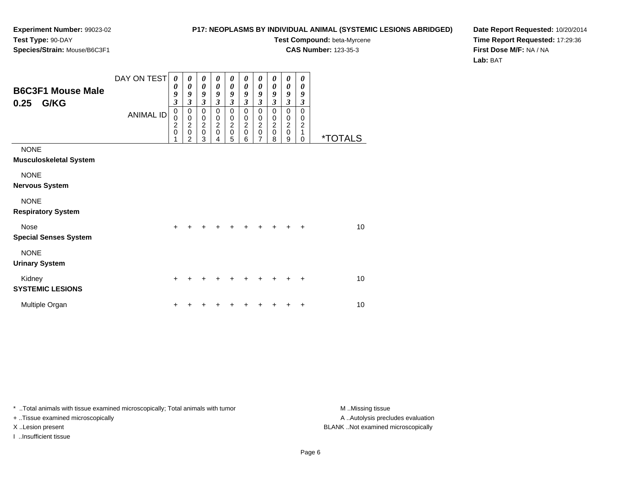#### **P17: NEOPLASMS BY INDIVIDUAL ANIMAL (SYSTEMIC LESIONS ABRIDGED)**

**Test Compound:** beta-Myrcene

**CAS Number:** 123-35-3

**Date Report Requested:** 10/20/2014**Time Report Requested:** 17:29:36**First Dose M/F:** NA / NA**Lab:** BAT

| <b>B6C3F1 Mouse Male</b><br>G/KG<br>0.25     | DAY ON TEST<br><b>ANIMAL ID</b> | $\boldsymbol{\theta}$<br>0<br>9<br>3<br>$\mathbf 0$<br>0<br>$\overline{\mathbf{c}}$<br>$\mathbf 0$ | $\boldsymbol{\theta}$<br>0<br>9<br>3<br>$\mathbf 0$<br>$\pmb{0}$<br>$\overline{2}$<br>$\mathbf 0$<br>2 | 0<br>0<br>9<br>$\boldsymbol{\beta}$<br>$\mathbf 0$<br>$\pmb{0}$<br>$\overline{2}$<br>$\pmb{0}$<br>3 | 0<br>0<br>9<br>$\mathfrak{z}$<br>0<br>$\mathbf 0$<br>$\boldsymbol{2}$<br>$\pmb{0}$<br>4 | 0<br>$\boldsymbol{\theta}$<br>9<br>$\mathfrak{z}$<br>0<br>0<br>$\boldsymbol{2}$<br>$\pmb{0}$<br>5 | 0<br>0<br>9<br>3<br>$\mathbf 0$<br>0<br>$\boldsymbol{2}$<br>$\mathbf 0$<br>6 | 0<br>0<br>9<br>$\overline{\mathbf{3}}$<br>0<br>0<br>$\overline{c}$<br>$\mathsf 0$<br>$\overline{7}$ | 0<br>0<br>9<br>3<br>$\mathbf 0$<br>0<br>$\overline{c}$<br>$\mathbf 0$<br>8 | 0<br>$\boldsymbol{\theta}$<br>9<br>$\mathfrak{z}$<br>0<br>$\mathbf 0$<br>$\boldsymbol{2}$<br>$\pmb{0}$<br>9 | 0<br>0<br>9<br>$\boldsymbol{\beta}$<br>$\mathbf 0$<br>0<br>$\boldsymbol{2}$<br>1<br>$\Omega$ | <i><b>*TOTALS</b></i> |
|----------------------------------------------|---------------------------------|----------------------------------------------------------------------------------------------------|--------------------------------------------------------------------------------------------------------|-----------------------------------------------------------------------------------------------------|-----------------------------------------------------------------------------------------|---------------------------------------------------------------------------------------------------|------------------------------------------------------------------------------|-----------------------------------------------------------------------------------------------------|----------------------------------------------------------------------------|-------------------------------------------------------------------------------------------------------------|----------------------------------------------------------------------------------------------|-----------------------|
| <b>NONE</b><br><b>Musculoskeletal System</b> |                                 |                                                                                                    |                                                                                                        |                                                                                                     |                                                                                         |                                                                                                   |                                                                              |                                                                                                     |                                                                            |                                                                                                             |                                                                                              |                       |
| <b>NONE</b><br><b>Nervous System</b>         |                                 |                                                                                                    |                                                                                                        |                                                                                                     |                                                                                         |                                                                                                   |                                                                              |                                                                                                     |                                                                            |                                                                                                             |                                                                                              |                       |
| <b>NONE</b><br><b>Respiratory System</b>     |                                 |                                                                                                    |                                                                                                        |                                                                                                     |                                                                                         |                                                                                                   |                                                                              |                                                                                                     |                                                                            |                                                                                                             |                                                                                              |                       |
| <b>Nose</b><br><b>Special Senses System</b>  |                                 | +                                                                                                  |                                                                                                        |                                                                                                     |                                                                                         |                                                                                                   |                                                                              |                                                                                                     |                                                                            |                                                                                                             |                                                                                              | 10                    |
| <b>NONE</b><br><b>Urinary System</b>         |                                 |                                                                                                    |                                                                                                        |                                                                                                     |                                                                                         |                                                                                                   |                                                                              |                                                                                                     |                                                                            |                                                                                                             |                                                                                              |                       |
| Kidney<br><b>SYSTEMIC LESIONS</b>            |                                 | $\ddot{}$                                                                                          |                                                                                                        |                                                                                                     |                                                                                         |                                                                                                   |                                                                              |                                                                                                     |                                                                            |                                                                                                             | ÷                                                                                            | 10                    |
| Multiple Organ                               |                                 | +                                                                                                  |                                                                                                        |                                                                                                     |                                                                                         |                                                                                                   |                                                                              |                                                                                                     |                                                                            |                                                                                                             |                                                                                              | 10                    |

\* ..Total animals with tissue examined microscopically; Total animals with tumor **M** . Missing tissue M ..Missing tissue

+ ..Tissue examined microscopically

I ..Insufficient tissue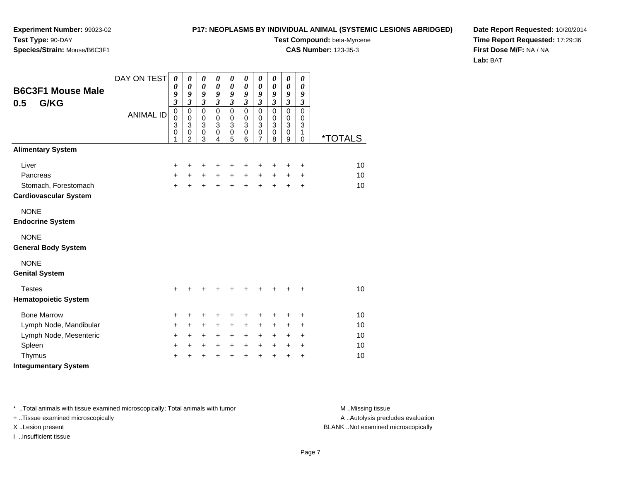#### **P17: NEOPLASMS BY INDIVIDUAL ANIMAL (SYSTEMIC LESIONS ABRIDGED)**

**Test Compound:** beta-Myrcene

**CAS Number:** 123-35-3

**Date Report Requested:** 10/20/2014**Time Report Requested:** 17:29:36**First Dose M/F:** NA / NA**Lab:** BAT

| <b>B6C3F1 Mouse Male</b><br>G/KG<br>0.5   | DAY ON TEST      | $\boldsymbol{\theta}$<br>0<br>9<br>$\overline{\mathbf{3}}$ | $\boldsymbol{\theta}$<br>$\boldsymbol{\theta}$<br>9<br>$\overline{\mathbf{3}}$ | $\boldsymbol{\theta}$<br>$\boldsymbol{\theta}$<br>9<br>$\mathfrak{z}$ | $\boldsymbol{\theta}$<br>0<br>9<br>$\mathfrak{z}$ | $\boldsymbol{\theta}$<br>0<br>9<br>$\mathfrak{z}$ | $\boldsymbol{\theta}$<br>0<br>9<br>$\mathfrak{z}$ | $\boldsymbol{\theta}$<br>$\boldsymbol{\theta}$<br>9<br>$\mathfrak{z}$ | $\pmb{\theta}$<br>0<br>9<br>$\mathfrak{z}$ | 0<br>$\pmb{\theta}$<br>9<br>$\overline{\mathbf{3}}$ | 0<br>0<br>9<br>$\mathfrak{z}$   |                       |
|-------------------------------------------|------------------|------------------------------------------------------------|--------------------------------------------------------------------------------|-----------------------------------------------------------------------|---------------------------------------------------|---------------------------------------------------|---------------------------------------------------|-----------------------------------------------------------------------|--------------------------------------------|-----------------------------------------------------|---------------------------------|-----------------------|
|                                           | <b>ANIMAL ID</b> | $\mathbf 0$<br>0<br>3<br>0<br>1                            | $\mathbf 0$<br>0<br>3<br>$\pmb{0}$<br>$\overline{2}$                           | $\pmb{0}$<br>$\mathbf 0$<br>3<br>$\pmb{0}$<br>3                       | $\mathbf 0$<br>$\mathbf 0$<br>3<br>0<br>4         | $\pmb{0}$<br>$\pmb{0}$<br>3<br>$\pmb{0}$<br>5     | $\mathbf 0$<br>$\mathbf 0$<br>3<br>0<br>6         | $\pmb{0}$<br>$\pmb{0}$<br>3<br>$\pmb{0}$<br>7                         | $\mathbf 0$<br>0<br>3<br>0<br>8            | 0<br>$\mathbf 0$<br>3<br>0<br>9                     | $\mathbf 0$<br>0<br>3<br>1<br>0 | <i><b>*TOTALS</b></i> |
| <b>Alimentary System</b>                  |                  |                                                            |                                                                                |                                                                       |                                                   |                                                   |                                                   |                                                                       |                                            |                                                     |                                 |                       |
| Liver                                     |                  | +                                                          | +                                                                              | +                                                                     | +                                                 | +                                                 | +                                                 | +                                                                     | +                                          | $\ddot{}$                                           | +                               | 10                    |
| Pancreas                                  |                  | +                                                          | $+$                                                                            | $\ddot{}$                                                             | $+$                                               | $\ddot{}$                                         | $+$                                               | $\ddot{}$                                                             | $\ddot{}$                                  | $\ddot{}$                                           | $\ddot{}$                       | 10                    |
| Stomach, Forestomach                      |                  | $\ddot{}$                                                  | $\ddot{}$                                                                      |                                                                       |                                                   | $\ddot{}$                                         | $\ddot{}$                                         | $\ddot{}$                                                             | $+$                                        | $\ddot{}$                                           | $\ddot{}$                       | 10                    |
| <b>Cardiovascular System</b>              |                  |                                                            |                                                                                |                                                                       |                                                   |                                                   |                                                   |                                                                       |                                            |                                                     |                                 |                       |
| <b>NONE</b>                               |                  |                                                            |                                                                                |                                                                       |                                                   |                                                   |                                                   |                                                                       |                                            |                                                     |                                 |                       |
| <b>Endocrine System</b>                   |                  |                                                            |                                                                                |                                                                       |                                                   |                                                   |                                                   |                                                                       |                                            |                                                     |                                 |                       |
| <b>NONE</b><br><b>General Body System</b> |                  |                                                            |                                                                                |                                                                       |                                                   |                                                   |                                                   |                                                                       |                                            |                                                     |                                 |                       |
| <b>NONE</b><br><b>Genital System</b>      |                  |                                                            |                                                                                |                                                                       |                                                   |                                                   |                                                   |                                                                       |                                            |                                                     |                                 |                       |
| <b>Testes</b>                             |                  | $\ddot{}$                                                  | +                                                                              |                                                                       |                                                   | ٠                                                 | ٠                                                 | ٠                                                                     | ٠                                          | ٠                                                   | $\ddot{}$                       | 10                    |
| <b>Hematopoietic System</b>               |                  |                                                            |                                                                                |                                                                       |                                                   |                                                   |                                                   |                                                                       |                                            |                                                     |                                 |                       |
| <b>Bone Marrow</b>                        |                  | +                                                          | +                                                                              | +                                                                     | +                                                 | +                                                 | +                                                 | +                                                                     | +                                          | +                                                   | +                               | 10                    |
| Lymph Node, Mandibular                    |                  | +                                                          | +                                                                              | +                                                                     | +                                                 | +                                                 | +                                                 | +                                                                     | $\ddot{}$                                  | ٠                                                   | $\ddot{}$                       | 10                    |
| Lymph Node, Mesenteric                    |                  | +                                                          | $\ddot{}$                                                                      | $\ddot{}$                                                             | $\ddot{}$                                         | $\ddot{}$                                         | $\ddot{}$                                         | $\ddot{}$                                                             | $\pm$                                      | $\ddot{}$                                           | $\ddot{}$                       | 10                    |
| Spleen                                    |                  | $\ddot{}$                                                  | +                                                                              | $\ddot{}$                                                             | $\ddot{}$                                         | $\ddot{}$                                         | $\ddot{}$                                         | $\ddot{}$                                                             | $\ddot{}$                                  | $\ddot{}$                                           | +                               | 10                    |
| Thymus                                    |                  | $\ddot{}$                                                  | +                                                                              | +                                                                     |                                                   | $\ddot{}$                                         | $\ddot{}$                                         | $\ddot{}$                                                             | +                                          | +                                                   | +                               | 10                    |
| <b>Integumentary System</b>               |                  |                                                            |                                                                                |                                                                       |                                                   |                                                   |                                                   |                                                                       |                                            |                                                     |                                 |                       |

\* ..Total animals with tissue examined microscopically; Total animals with tumor **M** . Missing tissue M ..Missing tissue

+ ..Tissue examined microscopically

I ..Insufficient tissue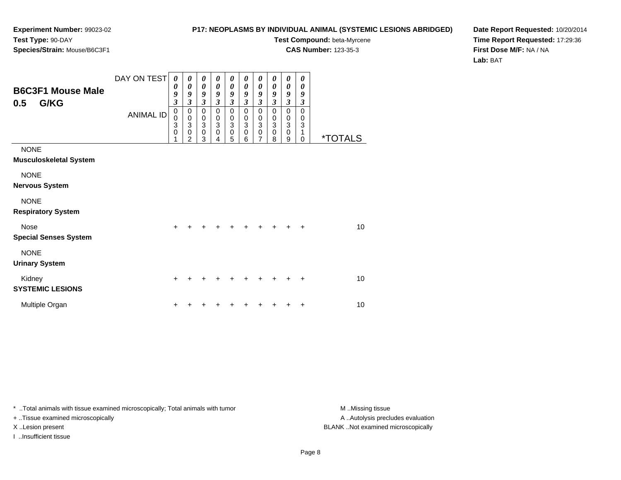#### **P17: NEOPLASMS BY INDIVIDUAL ANIMAL (SYSTEMIC LESIONS ABRIDGED)**

**Test Compound:** beta-Myrcene

**CAS Number:** 123-35-3

**Date Report Requested:** 10/20/2014**Time Report Requested:** 17:29:36**First Dose M/F:** NA / NA**Lab:** BAT

| <b>B6C3F1 Mouse Male</b><br>G/KG<br>0.5      | DAY ON TEST<br><b>ANIMAL ID</b> | 0<br>0<br>9<br>$\overline{\mathbf{3}}$<br>$\mathbf 0$<br>0<br>3<br>0 | 0<br>0<br>9<br>$\overline{\mathbf{3}}$<br>$\mathbf 0$<br>$\pmb{0}$<br>$\overline{3}$<br>$\mathbf 0$<br>$\overline{2}$ | 0<br>$\boldsymbol{\theta}$<br>9<br>$\mathfrak{z}$<br>$\pmb{0}$<br>$_3^0$<br>$\pmb{0}$<br>3 | 0<br>$\boldsymbol{\theta}$<br>9<br>$\mathfrak{z}$<br>0<br>$_3^0$<br>$\mathbf 0$<br>4 | 0<br>0<br>9<br>$\mathfrak{z}$<br>$\pmb{0}$<br>$_3^0$<br>$\pmb{0}$<br>5 | 0<br>0<br>9<br>$\mathfrak{z}$<br>$\mathbf 0$<br>0<br>$\overline{3}$<br>$\pmb{0}$<br>6 | 0<br>0<br>9<br>$\boldsymbol{\beta}$<br>0<br>0<br>$\overline{3}$<br>$\pmb{0}$<br>$\overline{7}$ | 0<br>0<br>9<br>3<br>$\mathbf 0$<br>0<br>$\sqrt{3}$<br>$\mathbf 0$<br>8 | $\boldsymbol{\theta}$<br>0<br>9<br>$\mathfrak{z}$<br>$\mathbf 0$<br>$\pmb{0}$<br>$\overline{3}$<br>$\pmb{0}$<br>9 | 0<br>0<br>9<br>3<br>$\mathbf 0$<br>0<br>$\ensuremath{\mathsf{3}}$<br>1<br>$\mathbf 0$ | <i><b>*TOTALS</b></i> |
|----------------------------------------------|---------------------------------|----------------------------------------------------------------------|-----------------------------------------------------------------------------------------------------------------------|--------------------------------------------------------------------------------------------|--------------------------------------------------------------------------------------|------------------------------------------------------------------------|---------------------------------------------------------------------------------------|------------------------------------------------------------------------------------------------|------------------------------------------------------------------------|-------------------------------------------------------------------------------------------------------------------|---------------------------------------------------------------------------------------|-----------------------|
| <b>NONE</b><br><b>Musculoskeletal System</b> |                                 |                                                                      |                                                                                                                       |                                                                                            |                                                                                      |                                                                        |                                                                                       |                                                                                                |                                                                        |                                                                                                                   |                                                                                       |                       |
| <b>NONE</b><br><b>Nervous System</b>         |                                 |                                                                      |                                                                                                                       |                                                                                            |                                                                                      |                                                                        |                                                                                       |                                                                                                |                                                                        |                                                                                                                   |                                                                                       |                       |
| <b>NONE</b><br><b>Respiratory System</b>     |                                 |                                                                      |                                                                                                                       |                                                                                            |                                                                                      |                                                                        |                                                                                       |                                                                                                |                                                                        |                                                                                                                   |                                                                                       |                       |
| Nose<br><b>Special Senses System</b>         |                                 | $\ddot{}$                                                            |                                                                                                                       |                                                                                            |                                                                                      |                                                                        |                                                                                       | +                                                                                              |                                                                        | ٠                                                                                                                 | $\ddot{}$                                                                             | 10                    |
| <b>NONE</b><br><b>Urinary System</b>         |                                 |                                                                      |                                                                                                                       |                                                                                            |                                                                                      |                                                                        |                                                                                       |                                                                                                |                                                                        |                                                                                                                   |                                                                                       |                       |
| Kidney<br><b>SYSTEMIC LESIONS</b>            |                                 | $\ddot{}$                                                            |                                                                                                                       |                                                                                            |                                                                                      |                                                                        |                                                                                       | ٠                                                                                              |                                                                        |                                                                                                                   | $\ddot{}$                                                                             | 10                    |
| Multiple Organ                               |                                 | ٠                                                                    |                                                                                                                       |                                                                                            |                                                                                      |                                                                        |                                                                                       |                                                                                                |                                                                        |                                                                                                                   | ٠                                                                                     | 10                    |

\* ..Total animals with tissue examined microscopically; Total animals with tumor **M** . Missing tissue M ..Missing tissue

+ ..Tissue examined microscopically

I ..Insufficient tissue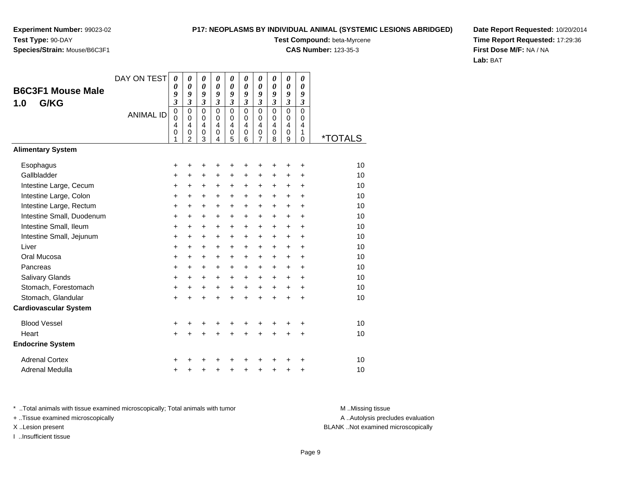#### **P17: NEOPLASMS BY INDIVIDUAL ANIMAL (SYSTEMIC LESIONS ABRIDGED)**

**Test Compound:** beta-Myrcene

**CAS Number:** 123-35-3

**Date Report Requested:** 10/20/2014**Time Report Requested:** 17:29:36**First Dose M/F:** NA / NA**Lab:** BAT

| <b>B6C3F1 Mouse Male</b><br>G/KG<br>1.0 | DAY ON TEST<br><b>ANIMAL ID</b> | 0<br>$\boldsymbol{\theta}$<br>9<br>$\mathfrak{z}$<br>$\pmb{0}$<br>$\mathbf 0$<br>$\overline{4}$<br>$\mathbf 0$<br>1 | 0<br>0<br>9<br>$\overline{\mathbf{3}}$<br>$\mathbf 0$<br>$\mathbf 0$<br>$\overline{4}$<br>$\pmb{0}$<br>$\overline{2}$ | 0<br>0<br>9<br>$\mathfrak{z}$<br>$\mathbf 0$<br>$\mathbf 0$<br>$\overline{4}$<br>$\pmb{0}$<br>3 | 0<br>$\boldsymbol{\theta}$<br>$\boldsymbol{g}$<br>$\mathfrak{z}$<br>$\Omega$<br>$\Omega$<br>4<br>$\mathbf 0$<br>4 | 0<br>$\boldsymbol{\theta}$<br>9<br>3<br>$\mathbf 0$<br>$\mathbf 0$<br>$\overline{4}$<br>$\mathbf 0$<br>5 | 0<br>0<br>9<br>$\mathfrak{z}$<br>$\mathbf 0$<br>$\Omega$<br>$\overline{4}$<br>$\mathbf 0$<br>6 | 0<br>0<br>9<br>3<br>$\mathbf 0$<br>0<br>4<br>0<br>$\overline{7}$ | 0<br>0<br>9<br>3<br>$\overline{0}$<br>$\Omega$<br>4<br>0<br>8 | $\boldsymbol{\theta}$<br>$\boldsymbol{\theta}$<br>9<br>$\mathfrak{z}$<br>$\mathbf 0$<br>$\mathbf 0$<br>4<br>$\pmb{0}$<br>9 | 0<br>0<br>9<br>$\boldsymbol{\beta}$<br>$\Omega$<br>0<br>$\overline{4}$<br>$\mathbf{1}$<br>$\mathbf 0$ | <i><b>*TOTALS</b></i> |
|-----------------------------------------|---------------------------------|---------------------------------------------------------------------------------------------------------------------|-----------------------------------------------------------------------------------------------------------------------|-------------------------------------------------------------------------------------------------|-------------------------------------------------------------------------------------------------------------------|----------------------------------------------------------------------------------------------------------|------------------------------------------------------------------------------------------------|------------------------------------------------------------------|---------------------------------------------------------------|----------------------------------------------------------------------------------------------------------------------------|-------------------------------------------------------------------------------------------------------|-----------------------|
| <b>Alimentary System</b>                |                                 |                                                                                                                     |                                                                                                                       |                                                                                                 |                                                                                                                   |                                                                                                          |                                                                                                |                                                                  |                                                               |                                                                                                                            |                                                                                                       |                       |
| Esophagus                               |                                 | +                                                                                                                   | +                                                                                                                     | +                                                                                               | +                                                                                                                 | +                                                                                                        | +                                                                                              | +                                                                | +                                                             | +                                                                                                                          | +                                                                                                     | 10                    |
| Gallbladder                             |                                 | $\ddot{}$                                                                                                           | $\ddot{}$                                                                                                             | $\ddot{}$                                                                                       | $\ddot{}$                                                                                                         | $\ddot{}$                                                                                                | $\ddot{}$                                                                                      | $\ddot{}$                                                        | $\ddot{}$                                                     | $\ddot{}$                                                                                                                  | $+$                                                                                                   | 10                    |
| Intestine Large, Cecum                  |                                 | +                                                                                                                   | $\ddot{}$                                                                                                             | $\ddot{}$                                                                                       | +                                                                                                                 | $\ddot{}$                                                                                                | +                                                                                              | $\ddot{}$                                                        | +                                                             | $\ddot{}$                                                                                                                  | $\ddot{}$                                                                                             | 10                    |
| Intestine Large, Colon                  |                                 | $\ddot{}$                                                                                                           | $\ddot{}$                                                                                                             | $\ddot{}$                                                                                       | $\ddot{}$                                                                                                         | $\ddot{}$                                                                                                | $\ddot{}$                                                                                      | $\ddot{}$                                                        | $\ddot{}$                                                     | $\ddot{}$                                                                                                                  | $\ddot{}$                                                                                             | 10                    |
| Intestine Large, Rectum                 |                                 | $\ddot{}$                                                                                                           | $+$                                                                                                                   | $\ddot{}$                                                                                       | $\ddot{}$                                                                                                         | $+$                                                                                                      | $\ddot{}$                                                                                      | $\ddot{}$                                                        | $\ddot{}$                                                     | $+$                                                                                                                        | $+$                                                                                                   | 10                    |
| Intestine Small, Duodenum               |                                 | +                                                                                                                   | $\ddot{}$                                                                                                             | +                                                                                               | +                                                                                                                 | $\ddot{}$                                                                                                | $\ddot{}$                                                                                      | +                                                                | +                                                             | $\ddot{}$                                                                                                                  | $\ddot{}$                                                                                             | 10                    |
| Intestine Small, Ileum                  |                                 | $\ddot{}$                                                                                                           | $\ddot{}$                                                                                                             | $\ddot{}$                                                                                       | $\ddot{}$                                                                                                         | $\ddot{}$                                                                                                | $\ddot{}$                                                                                      | $\ddot{}$                                                        | $\ddot{}$                                                     | $+$                                                                                                                        | $\ddot{}$                                                                                             | 10                    |
| Intestine Small, Jejunum                |                                 | $\ddot{}$                                                                                                           | $\ddot{}$                                                                                                             | $\ddot{}$                                                                                       | $\ddot{}$                                                                                                         | $\ddot{}$                                                                                                | $\ddot{}$                                                                                      | $\ddot{}$                                                        | $\ddot{}$                                                     | $\ddot{}$                                                                                                                  | $+$                                                                                                   | 10                    |
| Liver<br>Oral Mucosa                    |                                 | $\ddot{}$                                                                                                           | $\ddot{}$                                                                                                             | $\ddot{}$                                                                                       | $\ddot{}$                                                                                                         | $\ddot{}$                                                                                                | +                                                                                              | +                                                                | +                                                             | $\ddot{}$                                                                                                                  | $\ddot{}$                                                                                             | 10                    |
|                                         |                                 | $\ddot{}$                                                                                                           | $\ddot{}$                                                                                                             | +                                                                                               | +                                                                                                                 | $\ddot{}$                                                                                                | $\ddot{}$                                                                                      | $\ddot{}$                                                        | $\ddot{}$                                                     | $\ddot{}$                                                                                                                  | $\ddot{}$                                                                                             | 10<br>10              |
| Pancreas<br>Salivary Glands             |                                 | $\ddot{}$                                                                                                           | $\ddot{}$                                                                                                             | $\ddot{}$                                                                                       | $\ddot{}$                                                                                                         | $\ddot{}$                                                                                                | $+$                                                                                            | $\ddot{}$                                                        | +                                                             | $\ddot{}$                                                                                                                  | $\ddot{}$                                                                                             | 10                    |
| Stomach, Forestomach                    |                                 | $\ddot{}$                                                                                                           | $\ddot{}$                                                                                                             | $\ddot{}$                                                                                       | $\ddot{}$                                                                                                         | $\ddot{}$                                                                                                | $+$<br>$\ddot{}$                                                                               | $\ddot{}$<br>$\ddot{}$                                           | $\ddot{}$<br>$\ddot{}$                                        | $\ddot{}$<br>$\ddot{}$                                                                                                     | $\ddot{}$                                                                                             | 10                    |
| Stomach, Glandular                      |                                 | +<br>$+$                                                                                                            | $\ddot{}$<br>$\ddot{}$                                                                                                | +<br>$\ddot{}$                                                                                  | $\ddot{}$<br>$\ddot{}$                                                                                            | $\ddot{}$<br>$\ddot{}$                                                                                   | $\ddot{}$                                                                                      | $\ddot{}$                                                        | $\ddot{}$                                                     | $\ddot{}$                                                                                                                  | $\ddot{}$<br>$\ddot{}$                                                                                | 10                    |
| <b>Cardiovascular System</b>            |                                 |                                                                                                                     |                                                                                                                       |                                                                                                 |                                                                                                                   |                                                                                                          |                                                                                                |                                                                  |                                                               |                                                                                                                            |                                                                                                       |                       |
| <b>Blood Vessel</b>                     |                                 | +                                                                                                                   |                                                                                                                       | +                                                                                               |                                                                                                                   | +                                                                                                        |                                                                                                |                                                                  |                                                               |                                                                                                                            | +                                                                                                     | 10                    |
| Heart                                   |                                 | $\ddot{}$                                                                                                           | $\ddot{}$                                                                                                             | $\ddot{}$                                                                                       | $\ddot{}$                                                                                                         | $\ddot{}$                                                                                                | $\ddot{}$                                                                                      | $\ddot{}$                                                        | $\ddot{}$                                                     | $\ddot{}$                                                                                                                  | $\ddot{}$                                                                                             | 10                    |
| <b>Endocrine System</b>                 |                                 |                                                                                                                     |                                                                                                                       |                                                                                                 |                                                                                                                   |                                                                                                          |                                                                                                |                                                                  |                                                               |                                                                                                                            |                                                                                                       |                       |
| <b>Adrenal Cortex</b>                   |                                 | ٠                                                                                                                   |                                                                                                                       |                                                                                                 |                                                                                                                   |                                                                                                          |                                                                                                |                                                                  |                                                               |                                                                                                                            |                                                                                                       | 10                    |
| Adrenal Medulla                         |                                 | +                                                                                                                   |                                                                                                                       | +                                                                                               | +                                                                                                                 | $\pmb{+}$                                                                                                | +                                                                                              | +                                                                | +                                                             | +                                                                                                                          | +                                                                                                     | 10                    |

\* ..Total animals with tissue examined microscopically; Total animals with tumor **M** . Missing tissue M ..Missing tissue

+ ..Tissue examined microscopically

I ..Insufficient tissue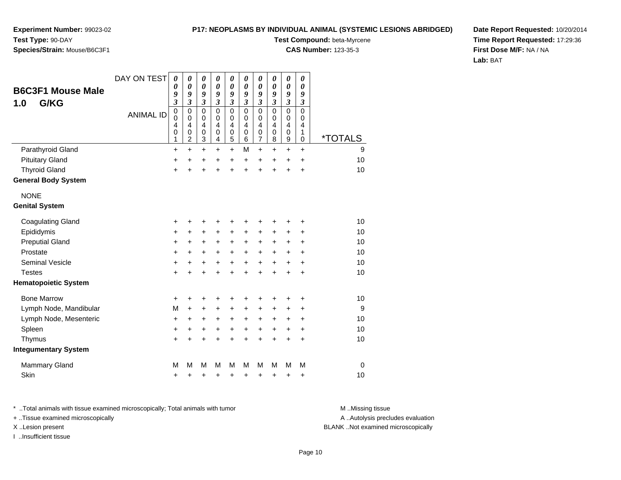**Experiment Number:** 99023-02**Test Type:** 90-DAY**Species/Strain:** Mouse/B6C3F1

**Test Compound:** beta-Myrcene

**CAS Number:** 123-35-3

**Date Report Requested:** 10/20/2014**Time Report Requested:** 17:29:36**First Dose M/F:** NA / NA**Lab:** BAT

| <b>B6C3F1 Mouse Male</b>    | DAY ON TEST      | $\boldsymbol{\theta}$<br>0              | 0<br>0                                                    | $\pmb{\theta}$<br>$\boldsymbol{\theta}$                                                                | $\pmb{\theta}$<br>0                       | 0<br>0                                    | $\pmb{\theta}$<br>$\boldsymbol{\theta}$      | $\boldsymbol{\theta}$<br>$\boldsymbol{\theta}$ | 0<br>0                          | 0<br>0                                         | 0<br>0                          |                       |
|-----------------------------|------------------|-----------------------------------------|-----------------------------------------------------------|--------------------------------------------------------------------------------------------------------|-------------------------------------------|-------------------------------------------|----------------------------------------------|------------------------------------------------|---------------------------------|------------------------------------------------|---------------------------------|-----------------------|
| G/KG<br>1.0                 |                  | 9<br>3                                  | 9<br>3                                                    | 9<br>$\overline{\mathbf{3}}$                                                                           | 9<br>$\overline{\mathbf{3}}$              | 9<br>3                                    | 9<br>3                                       | 9<br>3                                         | 9<br>$\mathfrak{z}$             | 9<br>3                                         | 9<br>$\mathfrak{z}$             |                       |
|                             | <b>ANIMAL ID</b> | $\pmb{0}$<br>$\mathbf 0$<br>4<br>0<br>1 | 0<br>$\mathbf 0$<br>$\overline{4}$<br>0<br>$\overline{c}$ | $\mathbf 0$<br>$\mathbf 0$<br>$\overline{\mathbf{4}}$<br>$\boldsymbol{0}$<br>$\ensuremath{\mathsf{3}}$ | $\mathbf 0$<br>$\mathbf 0$<br>4<br>0<br>4 | $\mathbf 0$<br>$\mathbf 0$<br>4<br>0<br>5 | $\mathbf 0$<br>0<br>$\overline{4}$<br>0<br>6 | $\mathbf 0$<br>0<br>4<br>$\boldsymbol{0}$<br>7 | $\mathbf 0$<br>0<br>4<br>0<br>8 | $\mathbf 0$<br>0<br>4<br>0<br>$\boldsymbol{9}$ | $\mathbf 0$<br>0<br>4<br>1<br>0 | <i><b>*TOTALS</b></i> |
| Parathyroid Gland           |                  | $\ddot{}$                               | $\ddot{}$                                                 | $+$                                                                                                    | $+$                                       | $\ddot{}$                                 | M                                            | $\ddot{}$                                      | $\ddot{}$                       | $\ddot{}$                                      | $\ddot{}$                       | 9                     |
| <b>Pituitary Gland</b>      |                  | $\ddot{}$                               | $\ddot{}$                                                 | +                                                                                                      | $\ddot{}$                                 | $\ddot{}$                                 | $\ddot{}$                                    | $\ddot{}$                                      | $\ddot{}$                       | +                                              | +                               | 10                    |
| <b>Thyroid Gland</b>        |                  | $\ddot{}$                               | $\ddot{}$                                                 | $\ddot{}$                                                                                              | $\ddot{}$                                 | $\ddot{}$                                 | $\ddot{}$                                    | $\ddot{}$                                      | $\ddot{}$                       | $\ddot{}$                                      | +                               | 10                    |
| <b>General Body System</b>  |                  |                                         |                                                           |                                                                                                        |                                           |                                           |                                              |                                                |                                 |                                                |                                 |                       |
| <b>NONE</b>                 |                  |                                         |                                                           |                                                                                                        |                                           |                                           |                                              |                                                |                                 |                                                |                                 |                       |
| <b>Genital System</b>       |                  |                                         |                                                           |                                                                                                        |                                           |                                           |                                              |                                                |                                 |                                                |                                 |                       |
| <b>Coagulating Gland</b>    |                  | +                                       | +                                                         | +                                                                                                      | +                                         | +                                         | +                                            | +                                              | +                               | +                                              | +                               | 10                    |
| Epididymis                  |                  | +                                       | +                                                         | +                                                                                                      | +                                         | +                                         | +                                            | +                                              | +                               | +                                              | +                               | 10                    |
| <b>Preputial Gland</b>      |                  | +                                       | +                                                         | +                                                                                                      | +                                         | +                                         | +                                            | +                                              | +                               | +                                              | $\ddot{}$                       | 10                    |
| Prostate                    |                  | $\ddot{}$                               | +                                                         | $\pm$                                                                                                  | $+$                                       | +                                         | $\ddot{}$                                    | +                                              | $\ddot{}$                       | $\ddot{}$                                      | $\ddot{}$                       | 10                    |
| <b>Seminal Vesicle</b>      |                  | +                                       | +                                                         | +                                                                                                      | +                                         | $\ddot{}$                                 | $\ddot{}$                                    | $\ddot{}$                                      | $\ddot{}$                       | $\ddot{}$                                      | +                               | 10                    |
| <b>Testes</b>               |                  | $\ddot{}$                               | $\ddot{}$                                                 | $\ddot{}$                                                                                              | $\ddot{}$                                 | $\ddot{}$                                 | $\ddot{}$                                    | $\ddot{}$                                      | $\ddot{}$                       | $\ddot{}$                                      | $\ddot{}$                       | 10                    |
| <b>Hematopoietic System</b> |                  |                                         |                                                           |                                                                                                        |                                           |                                           |                                              |                                                |                                 |                                                |                                 |                       |
| <b>Bone Marrow</b>          |                  | +                                       | +                                                         | ٠                                                                                                      | +                                         | +                                         | +                                            | +                                              |                                 | +                                              | +                               | 10                    |
| Lymph Node, Mandibular      |                  | M                                       | $\ddot{}$                                                 | +                                                                                                      | $\ddot{}$                                 | +                                         | +                                            | +                                              | +                               | +                                              | +                               | 9                     |
| Lymph Node, Mesenteric      |                  | +                                       | +                                                         | +                                                                                                      | +                                         | +                                         | +                                            | +                                              | +                               | +                                              | +                               | 10                    |
| Spleen                      |                  | +                                       | +                                                         | +                                                                                                      | +                                         | $\ddot{}$                                 | +                                            | +                                              | +                               | +                                              | +                               | 10                    |
| Thymus                      |                  | $\ddot{}$                               | $\ddot{}$                                                 | $\ddot{}$                                                                                              | $\ddot{}$                                 | $\ddot{}$                                 | $\ddot{}$                                    | $\ddot{}$                                      | $\ddot{}$                       | $\ddot{}$                                      | $\ddot{}$                       | 10                    |
| <b>Integumentary System</b> |                  |                                         |                                                           |                                                                                                        |                                           |                                           |                                              |                                                |                                 |                                                |                                 |                       |
| Mammary Gland               |                  | M                                       | М                                                         | M                                                                                                      | м                                         | M                                         | M                                            | M                                              | M                               | M                                              | M                               | 0                     |
| Skin                        |                  | +                                       | +                                                         | +                                                                                                      | +                                         | +                                         | +                                            | +                                              | +                               | +                                              | +                               | 10                    |

\* ..Total animals with tissue examined microscopically; Total animals with tumor **M** . Missing tissue M ..Missing tissue

+ ..Tissue examined microscopically

I ..Insufficient tissue

A ..Autolysis precludes evaluation

#### X ..Lesion present BLANK ..Not examined microscopically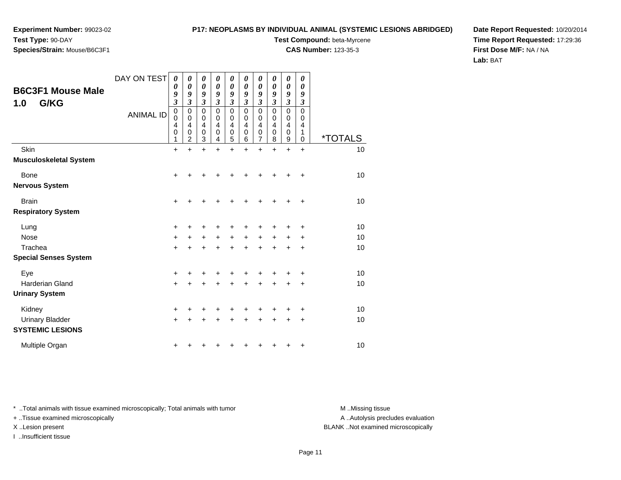# **Species/Strain:** Mouse/B6C3F1

#### **P17: NEOPLASMS BY INDIVIDUAL ANIMAL (SYSTEMIC LESIONS ABRIDGED)**

**Test Compound:** beta-Myrcene

**CAS Number:** 123-35-3

**Date Report Requested:** 10/20/2014**Time Report Requested:** 17:29:36**First Dose M/F:** NA / NA**Lab:** BAT

| <b>B6C3F1 Mouse Male</b><br>G/KG<br>1.0           | DAY ON TEST<br><b>ANIMAL ID</b> | 0<br>0<br>9<br>$\overline{\mathbf{3}}$<br>0<br>0<br>4<br>0<br>1 | 0<br>0<br>9<br>3<br>0<br>0<br>4<br>0<br>$\overline{c}$ | 0<br>0<br>9<br>3<br>0<br>$\mathbf 0$<br>4<br>0<br>3 | 0<br>0<br>9<br>3<br>0<br>0<br>4<br>0<br>4 | 0<br>0<br>9<br>$\mathfrak{z}$<br>$\mathbf 0$<br>$\mathbf 0$<br>4<br>$\mathbf 0$<br>5 | 0<br>0<br>9<br>$\mathfrak{z}$<br>$\mathbf 0$<br>$\mathbf 0$<br>$\overline{4}$<br>$\mathbf 0$<br>6 | 0<br>0<br>9<br>$\overline{\mathbf{3}}$<br>0<br>0<br>4<br>0<br>7 | 0<br>0<br>9<br>$\mathfrak{z}$<br>$\mathbf 0$<br>$\pmb{0}$<br>$\overline{4}$<br>$\mathbf 0$<br>8 | 0<br>0<br>9<br>$\boldsymbol{\beta}$<br>$\pmb{0}$<br>$\mathbf 0$<br>$\overline{4}$<br>0<br>9 | 0<br>0<br>9<br>$\boldsymbol{\beta}$<br>$\mathbf 0$<br>0<br>4<br>1<br>$\mathbf 0$ | <i><b>*TOTALS</b></i> |
|---------------------------------------------------|---------------------------------|-----------------------------------------------------------------|--------------------------------------------------------|-----------------------------------------------------|-------------------------------------------|--------------------------------------------------------------------------------------|---------------------------------------------------------------------------------------------------|-----------------------------------------------------------------|-------------------------------------------------------------------------------------------------|---------------------------------------------------------------------------------------------|----------------------------------------------------------------------------------|-----------------------|
| Skin                                              |                                 | $+$                                                             | $\ddot{}$                                              | $\ddot{}$                                           | $\ddot{}$                                 | +                                                                                    | $\ddot{}$                                                                                         | $\ddot{}$                                                       | $\ddot{}$                                                                                       | $\ddot{}$                                                                                   | $\ddot{}$                                                                        | 10                    |
| <b>Musculoskeletal System</b>                     |                                 |                                                                 |                                                        |                                                     |                                           |                                                                                      |                                                                                                   |                                                                 |                                                                                                 |                                                                                             |                                                                                  |                       |
| <b>Bone</b>                                       |                                 | +                                                               |                                                        | +                                                   |                                           |                                                                                      |                                                                                                   | +                                                               | +                                                                                               | ٠                                                                                           | +                                                                                | 10                    |
| <b>Nervous System</b>                             |                                 |                                                                 |                                                        |                                                     |                                           |                                                                                      |                                                                                                   |                                                                 |                                                                                                 |                                                                                             |                                                                                  |                       |
| <b>Brain</b>                                      |                                 | $\pm$                                                           |                                                        | +                                                   |                                           |                                                                                      |                                                                                                   | +                                                               | ٠                                                                                               | ٠                                                                                           | +                                                                                | 10                    |
| <b>Respiratory System</b>                         |                                 |                                                                 |                                                        |                                                     |                                           |                                                                                      |                                                                                                   |                                                                 |                                                                                                 |                                                                                             |                                                                                  |                       |
| Lung                                              |                                 | +                                                               |                                                        | +                                                   |                                           |                                                                                      |                                                                                                   | ٠                                                               | +                                                                                               | ٠                                                                                           | +                                                                                | 10                    |
| <b>Nose</b>                                       |                                 | $\ddot{}$                                                       |                                                        | +                                                   | $\ddot{}$                                 | $\ddot{}$                                                                            | $\ddot{}$                                                                                         | $\ddot{}$                                                       | $\ddot{}$                                                                                       | $\ddot{}$                                                                                   | $\ddot{}$                                                                        | 10                    |
| Trachea                                           |                                 | $\ddot{}$                                                       |                                                        | +                                                   |                                           | $\ddot{}$                                                                            | $\ddot{}$                                                                                         | +                                                               | +                                                                                               | +                                                                                           | +                                                                                | 10                    |
| <b>Special Senses System</b>                      |                                 |                                                                 |                                                        |                                                     |                                           |                                                                                      |                                                                                                   |                                                                 |                                                                                                 |                                                                                             |                                                                                  |                       |
| Eye                                               |                                 | +                                                               |                                                        |                                                     |                                           |                                                                                      |                                                                                                   |                                                                 | +                                                                                               | +                                                                                           | +                                                                                | 10                    |
| Harderian Gland                                   |                                 | $\ddot{}$                                                       |                                                        | +                                                   | +                                         | $\ddot{}$                                                                            | $\ddot{}$                                                                                         | $\ddot{}$                                                       | $\ddot{}$                                                                                       | $\ddot{}$                                                                                   | +                                                                                | 10                    |
| <b>Urinary System</b>                             |                                 |                                                                 |                                                        |                                                     |                                           |                                                                                      |                                                                                                   |                                                                 |                                                                                                 |                                                                                             |                                                                                  |                       |
| Kidney                                            |                                 | $\ddot{}$                                                       |                                                        | +                                                   |                                           |                                                                                      |                                                                                                   | +                                                               | +                                                                                               | +                                                                                           | +                                                                                | 10                    |
| <b>Urinary Bladder</b><br><b>SYSTEMIC LESIONS</b> |                                 | $\pm$                                                           |                                                        | +                                                   |                                           |                                                                                      | ٠                                                                                                 | ٠                                                               | +                                                                                               | +                                                                                           | $\ddot{}$                                                                        | 10                    |
| Multiple Organ                                    |                                 | +                                                               |                                                        |                                                     |                                           |                                                                                      |                                                                                                   |                                                                 | ٠                                                                                               | +                                                                                           | +                                                                                | 10                    |

\* ..Total animals with tissue examined microscopically; Total animals with tumor **M** . Missing tissue M ..Missing tissue

+ ..Tissue examined microscopically

I ..Insufficient tissue

A ..Autolysis precludes evaluation

X ..Lesion present BLANK ..Not examined microscopically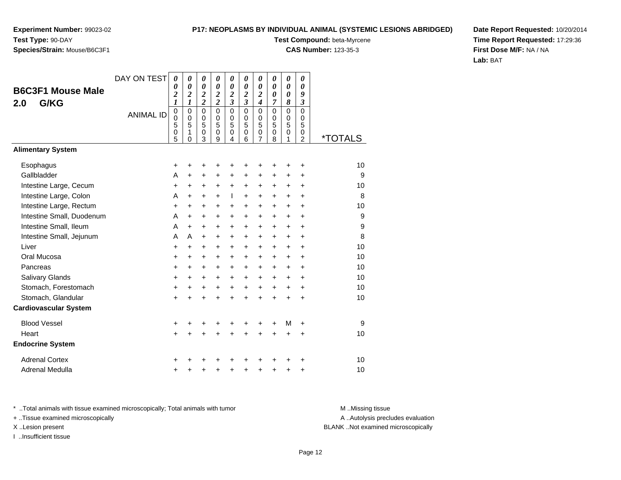#### **P17: NEOPLASMS BY INDIVIDUAL ANIMAL (SYSTEMIC LESIONS ABRIDGED)**

**Test Compound:** beta-Myrcene

**CAS Number:** 123-35-3

**Date Report Requested:** 10/20/2014**Time Report Requested:** 17:29:36**First Dose M/F:** NA / NA**Lab:** BAT

|                              | DAY ON TEST      | 0                                            | 0                                         | 0                                                | 0                                                | 0                                                | 0                                                | 0                           | 0                                      | 0                                      | 0                                                                |                       |
|------------------------------|------------------|----------------------------------------------|-------------------------------------------|--------------------------------------------------|--------------------------------------------------|--------------------------------------------------|--------------------------------------------------|-----------------------------|----------------------------------------|----------------------------------------|------------------------------------------------------------------|-----------------------|
| <b>B6C3F1 Mouse Male</b>     |                  | 0<br>$\overline{\mathbf{c}}$                 | $\boldsymbol{\theta}$<br>$\boldsymbol{2}$ | $\boldsymbol{\theta}$<br>$\overline{\mathbf{c}}$ | $\boldsymbol{\theta}$<br>$\overline{\mathbf{c}}$ | $\boldsymbol{\theta}$<br>$\overline{\mathbf{c}}$ | $\boldsymbol{\theta}$<br>$\overline{\mathbf{c}}$ | 0<br>$\overline{2}$         | $\theta$<br>$\boldsymbol{\theta}$      | 0<br>0                                 | $\theta$<br>9                                                    |                       |
| G/KG<br>2.0                  |                  | $\boldsymbol{l}$                             | $\boldsymbol{l}$                          | $\overline{\mathbf{c}}$                          | $\overline{c}$                                   | $\overline{\mathbf{3}}$                          | $\overline{\mathbf{3}}$                          | $\overline{\boldsymbol{4}}$ | 7                                      | 8                                      | $\mathfrak{z}$                                                   |                       |
|                              | <b>ANIMAL ID</b> | $\mathbf 0$<br>$\overline{0}$<br>5<br>0<br>5 | $\mathbf 0$<br>$\Omega$<br>5<br>1<br>0    | $\mathbf 0$<br>$\Omega$<br>5<br>0<br>3           | $\mathbf 0$<br>$\Omega$<br>5<br>$\Omega$<br>9    | $\mathbf 0$<br>0<br>5<br>$\mathbf 0$<br>4        | $\mathbf 0$<br>$\Omega$<br>5<br>$\mathbf 0$<br>6 | 0<br>0<br>5<br>0<br>7       | $\mathbf 0$<br>$\Omega$<br>5<br>0<br>8 | $\mathbf 0$<br>$\Omega$<br>5<br>0<br>1 | $\mathbf 0$<br>$\mathbf 0$<br>5<br>$\mathbf 0$<br>$\overline{2}$ | <i><b>*TOTALS</b></i> |
| <b>Alimentary System</b>     |                  |                                              |                                           |                                                  |                                                  |                                                  |                                                  |                             |                                        |                                        |                                                                  |                       |
| Esophagus                    |                  | ٠                                            | +                                         | +                                                |                                                  |                                                  |                                                  | +                           | +                                      | +                                      | ٠                                                                | 10                    |
| Gallbladder                  |                  | A                                            | $\ddot{}$                                 | $\ddot{}$                                        | $\ddot{}$                                        | $\ddot{}$                                        | $\ddot{}$                                        | $\ddot{}$                   | $\ddot{}$                              | $\ddot{}$                              | $\ddot{}$                                                        | 9                     |
| Intestine Large, Cecum       |                  | $\ddot{}$                                    | +                                         | +                                                | $\ddot{}$                                        | $\ddot{}$                                        | $\ddot{}$                                        | +                           | +                                      | +                                      | $\ddot{}$                                                        | 10                    |
| Intestine Large, Colon       |                  | A                                            | +                                         | $\ddot{}$                                        | $\ddot{}$                                        | L                                                | $\ddot{}$                                        | $\ddot{}$                   | +                                      | $\ddot{}$                              | +                                                                | 8                     |
| Intestine Large, Rectum      |                  | $\ddot{}$                                    | $\ddot{}$                                 | $\ddot{}$                                        | $\ddot{}$                                        | $\ddot{}$                                        | $\ddot{}$                                        | $\ddot{}$                   | $\ddot{}$                              | $\ddot{}$                              | $\ddot{}$                                                        | 10                    |
| Intestine Small, Duodenum    |                  | A                                            | +                                         | $\ddot{}$                                        | $\ddot{}$                                        | +                                                | $\ddot{}$                                        | +                           | +                                      | +                                      | +                                                                | 9                     |
| Intestine Small, Ileum       |                  | A                                            | +                                         | $\ddot{}$                                        | $\ddot{}$                                        | $\ddot{}$                                        | $\ddot{}$                                        | $\ddot{}$                   | $\ddot{}$                              | $\ddot{}$                              | $\ddot{}$                                                        | 9                     |
| Intestine Small, Jejunum     |                  | A                                            | A                                         | $\ddot{}$                                        | $\ddot{}$                                        | $\ddot{}$                                        | $\ddot{}$                                        | $\ddot{}$                   | $\ddot{}$                              | +                                      | +                                                                | 8                     |
| Liver                        |                  | $\ddot{}$                                    | $\ddot{}$                                 | $\ddot{}$                                        | $\ddot{}$                                        | $+$                                              | $+$                                              | $\ddot{}$                   | $\ddot{}$                              | $\ddot{}$                              | $\ddot{}$                                                        | 10                    |
| Oral Mucosa                  |                  | +                                            | +                                         | $\ddot{}$                                        | $\ddot{}$                                        | $\pm$                                            | $\ddot{}$                                        | +                           | +                                      | +                                      | $\ddot{}$                                                        | 10                    |
| Pancreas                     |                  | $\ddot{}$                                    | $\ddot{}$                                 | $\ddot{}$                                        | $\ddot{}$                                        | $\ddot{}$                                        | $\ddot{}$                                        | $\ddot{}$                   | $\ddot{}$                              | $\ddot{}$                              | $\ddot{}$                                                        | 10                    |
| Salivary Glands              |                  | +                                            | +                                         | $\ddot{}$                                        | $\ddot{}$                                        | $\ddot{}$                                        | $\ddot{}$                                        | $\ddot{}$                   | +                                      | +                                      | $\ddot{}$                                                        | 10                    |
| Stomach, Forestomach         |                  | $\ddot{}$                                    | $\ddot{}$                                 | +                                                | $\ddot{}$                                        | +                                                | $\ddot{}$                                        | $\ddot{}$                   | $\ddot{}$                              | $\ddot{}$                              | $\ddot{}$                                                        | 10                    |
| Stomach, Glandular           |                  | $\ddot{}$                                    | $\ddot{}$                                 | $\ddot{}$                                        | ÷                                                | $\ddot{}$                                        | $\ddot{}$                                        | $\ddot{}$                   | $\ddot{}$                              | $\ddot{}$                              | $\ddot{}$                                                        | 10                    |
| <b>Cardiovascular System</b> |                  |                                              |                                           |                                                  |                                                  |                                                  |                                                  |                             |                                        |                                        |                                                                  |                       |
| <b>Blood Vessel</b>          |                  | +                                            |                                           |                                                  |                                                  |                                                  | +                                                | +                           | +                                      | м                                      | $\ddot{}$                                                        | 9                     |
| Heart                        |                  | $\ddot{}$                                    | +                                         | $\ddot{}$                                        | $\ddot{}$                                        | $\ddot{}$                                        | $\ddot{}$                                        | +                           | $\ddot{}$                              | +                                      | $\ddot{}$                                                        | 10                    |
| <b>Endocrine System</b>      |                  |                                              |                                           |                                                  |                                                  |                                                  |                                                  |                             |                                        |                                        |                                                                  |                       |
| <b>Adrenal Cortex</b>        |                  | +                                            |                                           |                                                  |                                                  |                                                  |                                                  |                             | +                                      | +                                      | +                                                                | 10                    |
| <b>Adrenal Medulla</b>       |                  | +                                            |                                           | +                                                |                                                  | +                                                | ٠                                                | +                           | +                                      | +                                      | +                                                                | 10                    |

\* ..Total animals with tissue examined microscopically; Total animals with tumor **M** . Missing tissue M ..Missing tissue

+ ..Tissue examined microscopically

X ..Lesion present BLANK ..Not examined microscopically

I ..Insufficient tissue

A ..Autolysis precludes evaluation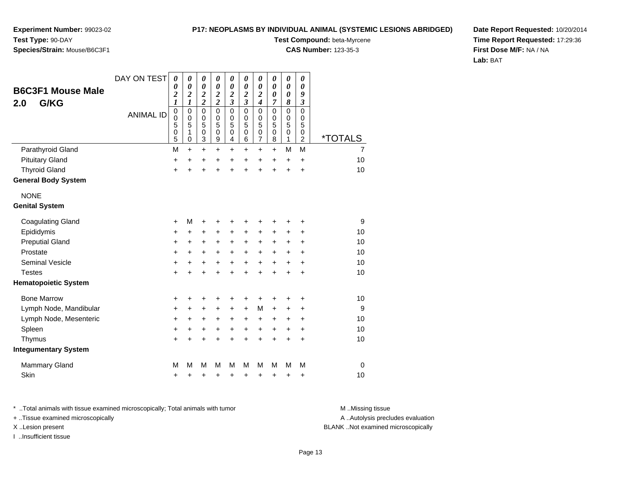**Experiment Number:** 99023-02**Test Type:** 90-DAY

### **Species/Strain:** Mouse/B6C3F1

**Test Compound:** beta-Myrcene

**CAS Number:** 123-35-3

**Date Report Requested:** 10/20/2014**Time Report Requested:** 17:29:36**First Dose M/F:** NA / NA**Lab:** BAT

| <b>B6C3F1 Mouse Male</b>    | DAY ON TEST      | $\boldsymbol{\theta}$<br>0      | 0<br>0                                              | 0<br>$\boldsymbol{\theta}$                  | 0<br>$\boldsymbol{\theta}$                  | 0<br>$\boldsymbol{\theta}$                         | 0<br>0                                      | 0<br>0                                                 | 0<br>0                          | 0<br>0                                    | 0<br>$\boldsymbol{\theta}$                |                       |
|-----------------------------|------------------|---------------------------------|-----------------------------------------------------|---------------------------------------------|---------------------------------------------|----------------------------------------------------|---------------------------------------------|--------------------------------------------------------|---------------------------------|-------------------------------------------|-------------------------------------------|-----------------------|
| G/KG<br>2.0                 |                  | $\overline{\mathbf{c}}$<br>1    | $\overline{\mathbf{c}}$<br>$\boldsymbol{l}$         | $\boldsymbol{2}$<br>$\overline{\mathbf{c}}$ | $\boldsymbol{2}$<br>$\overline{\mathbf{c}}$ | $\overline{\mathbf{c}}$<br>$\overline{\mathbf{3}}$ | $\boldsymbol{2}$<br>$\overline{\mathbf{3}}$ | $\overline{\mathbf{c}}$<br>$\overline{\boldsymbol{4}}$ | 0<br>7                          | 0<br>8                                    | 9<br>3                                    |                       |
|                             | <b>ANIMAL ID</b> | $\mathbf 0$<br>0<br>5<br>0<br>5 | $\mathbf 0$<br>$\mathbf 0$<br>5<br>1<br>$\mathbf 0$ | $\mathbf 0$<br>$\mathbf 0$<br>5<br>0<br>3   | $\mathbf 0$<br>$\mathbf 0$<br>5<br>0<br>9   | $\pmb{0}$<br>$\mathbf 0$<br>5<br>0<br>4            | $\mathbf 0$<br>$\mathbf 0$<br>5<br>0<br>6   | 0<br>0<br>5<br>0<br>$\overline{7}$                     | $\mathbf 0$<br>0<br>5<br>0<br>8 | $\mathbf 0$<br>$\mathbf 0$<br>5<br>0<br>1 | $\mathbf 0$<br>$\mathbf 0$<br>5<br>0<br>2 | <i><b>*TOTALS</b></i> |
| Parathyroid Gland           |                  | M                               | $\ddot{}$                                           | $\ddot{}$                                   | +                                           | $\ddot{}$                                          | +                                           | $\ddot{}$                                              | $\ddot{}$                       | M                                         | M                                         | $\overline{7}$        |
| <b>Pituitary Gland</b>      |                  | +                               | +                                                   | +                                           | +                                           | $\ddot{}$                                          | +                                           | +                                                      | +                               | $\ddot{}$                                 | $\ddot{}$                                 | 10                    |
| <b>Thyroid Gland</b>        |                  | $\ddot{}$                       | ÷                                                   | $\ddot{}$                                   | $\ddot{}$                                   | $\ddot{}$                                          | $\ddot{}$                                   | $\ddot{}$                                              | $\ddot{}$                       | +                                         | $\ddot{}$                                 | 10                    |
| <b>General Body System</b>  |                  |                                 |                                                     |                                             |                                             |                                                    |                                             |                                                        |                                 |                                           |                                           |                       |
| <b>NONE</b>                 |                  |                                 |                                                     |                                             |                                             |                                                    |                                             |                                                        |                                 |                                           |                                           |                       |
| <b>Genital System</b>       |                  |                                 |                                                     |                                             |                                             |                                                    |                                             |                                                        |                                 |                                           |                                           |                       |
| <b>Coagulating Gland</b>    |                  | +                               | M                                                   | +                                           | +                                           | +                                                  | +                                           | +                                                      | +                               | +                                         | +                                         | 9                     |
| Epididymis                  |                  | +                               | +                                                   | +                                           | +                                           | +                                                  | $\pm$                                       | +                                                      | $\pm$                           | +                                         | +                                         | 10                    |
| <b>Preputial Gland</b>      |                  | $\ddot{}$                       | $\ddot{}$                                           | +                                           | +                                           | $\ddot{}$                                          | +                                           | +                                                      | +                               | +                                         | +                                         | 10                    |
| Prostate                    |                  | $\ddot{}$                       | +                                                   | +                                           | $\ddot{}$                                   | $\ddot{}$                                          | $\pm$                                       | $\ddot{}$                                              | $\ddot{}$                       | +                                         | +                                         | 10                    |
| <b>Seminal Vesicle</b>      |                  | +                               | +                                                   | +                                           | $\ddot{}$                                   | $\ddot{}$                                          | $\ddot{}$                                   | $\ddot{}$                                              | $\ddot{}$                       | $\ddot{}$                                 | $\ddot{}$                                 | 10                    |
| <b>Testes</b>               |                  | $\ddot{}$                       | $\ddot{}$                                           | $\ddot{}$                                   | $\ddot{}$                                   | $\ddot{}$                                          | $\ddot{}$                                   | $\ddot{}$                                              | $\ddot{}$                       | $\ddot{}$                                 | $\ddot{}$                                 | 10                    |
| <b>Hematopoietic System</b> |                  |                                 |                                                     |                                             |                                             |                                                    |                                             |                                                        |                                 |                                           |                                           |                       |
| <b>Bone Marrow</b>          |                  | +                               | +                                                   | +                                           | +                                           | +                                                  | +                                           | +                                                      | ٠                               | +                                         | +                                         | 10                    |
| Lymph Node, Mandibular      |                  | +                               | +                                                   | +                                           | +                                           | +                                                  | $\ddot{}$                                   | M                                                      | +                               | +                                         | +                                         | 9                     |
| Lymph Node, Mesenteric      |                  | $\ddot{}$                       | +                                                   | +                                           | +                                           | $\ddot{}$                                          | $\ddot{}$                                   | +                                                      | +                               | +                                         | +                                         | 10                    |
| Spleen                      |                  | +                               | +                                                   | +                                           | +                                           | $\ddot{}$                                          | $\ddot{}$                                   | +                                                      | $\ddot{}$                       | +                                         | +                                         | 10                    |
| Thymus                      |                  | $\ddot{}$                       | $\ddot{}$                                           | $\ddot{}$                                   | $\ddot{}$                                   | $\ddot{}$                                          | $\ddot{}$                                   | $\ddot{}$                                              | $\ddot{}$                       | $\ddot{}$                                 | $\ddot{}$                                 | 10                    |
| <b>Integumentary System</b> |                  |                                 |                                                     |                                             |                                             |                                                    |                                             |                                                        |                                 |                                           |                                           |                       |
| <b>Mammary Gland</b>        |                  | М                               | M                                                   | M                                           | М                                           | M                                                  | м                                           | M                                                      | M                               | М                                         | M                                         | $\mathbf 0$           |
| Skin                        |                  | +                               | +                                                   | +                                           | +                                           | +                                                  | +                                           | +                                                      | +                               | +                                         | +                                         | 10                    |

\* ..Total animals with tissue examined microscopically; Total animals with tumor **M** . Missing tissue M ..Missing tissue

+ ..Tissue examined microscopically

I ..Insufficient tissue

A ..Autolysis precludes evaluation

X ..Lesion present BLANK ..Not examined microscopically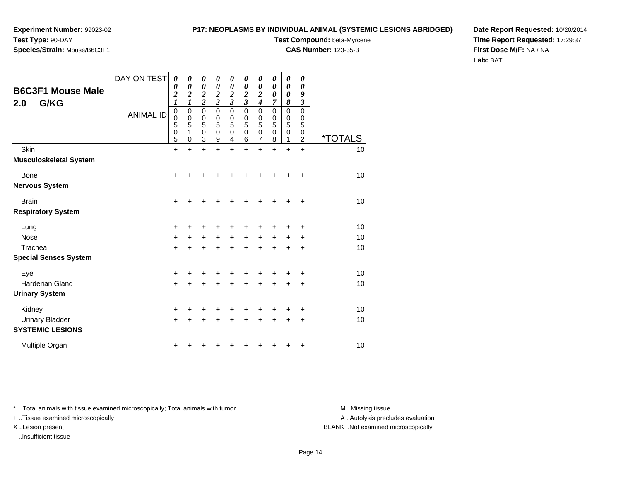# **Species/Strain:** Mouse/B6C3F1

#### **P17: NEOPLASMS BY INDIVIDUAL ANIMAL (SYSTEMIC LESIONS ABRIDGED)**

**Test Compound:** beta-Myrcene

**CAS Number:** 123-35-3

**Date Report Requested:** 10/20/2014**Time Report Requested:** 17:29:37**First Dose M/F:** NA / NA**Lab:** BAT

| <b>B6C3F1 Mouse Male</b><br>G/KG<br>2.0           | DAY ON TEST<br><b>ANIMAL ID</b> | 0<br>0<br>$\overline{\mathbf{c}}$<br>$\boldsymbol{l}$<br>$\boldsymbol{0}$<br>0<br>5<br>$\mathbf 0$ | 0<br>0<br>$\boldsymbol{2}$<br>$\boldsymbol{l}$<br>0<br>0<br>5<br>1 | 0<br>0<br>$\boldsymbol{2}$<br>$\overline{2}$<br>0<br>0<br>5<br>0 | 0<br>0<br>$\boldsymbol{2}$<br>$\overline{2}$<br>$\mathbf 0$<br>$\mathbf 0$<br>5<br>$\pmb{0}$ | 0<br>0<br>$\overline{\mathbf{c}}$<br>$\overline{\mathbf{3}}$<br>$\mathbf 0$<br>$\mathbf 0$<br>5<br>$\mathbf 0$ | 0<br>0<br>$\boldsymbol{2}$<br>$\mathfrak{z}$<br>$\mathbf 0$<br>$\mathbf 0$<br>5<br>$\mathbf 0$ | 0<br>0<br>2<br>$\boldsymbol{4}$<br>$\mathbf 0$<br>0<br>5<br>$\mathbf 0$ | 0<br>0<br>$\boldsymbol{\theta}$<br>7<br>0<br>$\mathbf 0$<br>5<br>$\mathbf 0$ | 0<br>0<br>0<br>8<br>0<br>$\mathbf 0$<br>5<br>$\mathbf 0$ | 0<br>0<br>9<br>$\boldsymbol{\beta}$<br>0<br>0<br>5<br>0 |                       |
|---------------------------------------------------|---------------------------------|----------------------------------------------------------------------------------------------------|--------------------------------------------------------------------|------------------------------------------------------------------|----------------------------------------------------------------------------------------------|----------------------------------------------------------------------------------------------------------------|------------------------------------------------------------------------------------------------|-------------------------------------------------------------------------|------------------------------------------------------------------------------|----------------------------------------------------------|---------------------------------------------------------|-----------------------|
|                                                   |                                 | 5                                                                                                  | 0                                                                  | 3                                                                | 9                                                                                            | 4                                                                                                              | 6                                                                                              | 7                                                                       | 8                                                                            | 1                                                        | $\overline{2}$                                          | <i><b>*TOTALS</b></i> |
| Skin                                              |                                 | +                                                                                                  | $\ddot{}$                                                          | $\ddot{}$                                                        | $\ddot{}$                                                                                    | $\ddot{}$                                                                                                      | $\ddot{}$                                                                                      | $\ddot{}$                                                               | $\ddot{}$                                                                    | $\ddot{}$                                                | $\ddot{}$                                               | 10                    |
| <b>Musculoskeletal System</b>                     |                                 |                                                                                                    |                                                                    |                                                                  |                                                                                              |                                                                                                                |                                                                                                |                                                                         |                                                                              |                                                          |                                                         |                       |
| <b>Bone</b>                                       |                                 | $\ddot{}$                                                                                          |                                                                    |                                                                  |                                                                                              |                                                                                                                |                                                                                                |                                                                         | +                                                                            | +                                                        | +                                                       | 10                    |
| <b>Nervous System</b>                             |                                 |                                                                                                    |                                                                    |                                                                  |                                                                                              |                                                                                                                |                                                                                                |                                                                         |                                                                              |                                                          |                                                         |                       |
| <b>Brain</b>                                      |                                 | $+$                                                                                                | +                                                                  | +                                                                | +                                                                                            |                                                                                                                |                                                                                                | +                                                                       | ٠                                                                            | ٠                                                        | +                                                       | 10                    |
| <b>Respiratory System</b>                         |                                 |                                                                                                    |                                                                    |                                                                  |                                                                                              |                                                                                                                |                                                                                                |                                                                         |                                                                              |                                                          |                                                         |                       |
| Lung                                              |                                 | $\ddot{}$                                                                                          |                                                                    | +                                                                | +                                                                                            | +                                                                                                              |                                                                                                | +                                                                       | ٠                                                                            | +                                                        | +                                                       | 10                    |
| <b>Nose</b>                                       |                                 | $\ddot{}$                                                                                          | +                                                                  | $\ddot{}$                                                        | $\ddot{}$                                                                                    | $\ddot{}$                                                                                                      | $\ddot{}$                                                                                      | $+$                                                                     | $\ddot{}$                                                                    | $\ddot{}$                                                | $\ddot{}$                                               | 10                    |
| Trachea                                           |                                 | $\ddot{}$                                                                                          |                                                                    | +                                                                |                                                                                              | $\ddot{}$                                                                                                      | ÷                                                                                              | $\ddot{}$                                                               | $\ddot{}$                                                                    | +                                                        | +                                                       | 10                    |
| <b>Special Senses System</b>                      |                                 |                                                                                                    |                                                                    |                                                                  |                                                                                              |                                                                                                                |                                                                                                |                                                                         |                                                                              |                                                          |                                                         |                       |
| Eye                                               |                                 | +                                                                                                  |                                                                    |                                                                  |                                                                                              |                                                                                                                |                                                                                                |                                                                         |                                                                              |                                                          | +                                                       | 10                    |
| <b>Harderian Gland</b>                            |                                 | $\ddot{}$                                                                                          | +                                                                  | +                                                                | +                                                                                            | $\ddot{}$                                                                                                      | $\ddot{}$                                                                                      | $\ddot{}$                                                               | $\ddot{}$                                                                    | $\ddot{}$                                                | +                                                       | 10                    |
| <b>Urinary System</b>                             |                                 |                                                                                                    |                                                                    |                                                                  |                                                                                              |                                                                                                                |                                                                                                |                                                                         |                                                                              |                                                          |                                                         |                       |
| Kidney                                            |                                 | $\ddot{}$                                                                                          |                                                                    |                                                                  |                                                                                              |                                                                                                                |                                                                                                |                                                                         |                                                                              |                                                          | +                                                       | 10                    |
| <b>Urinary Bladder</b><br><b>SYSTEMIC LESIONS</b> |                                 | $\ddot{}$                                                                                          | +                                                                  | +                                                                | +                                                                                            | +                                                                                                              | ٠                                                                                              | +                                                                       | $\ddot{}$                                                                    | +                                                        | $\ddot{}$                                               | 10                    |
| Multiple Organ                                    |                                 | +                                                                                                  |                                                                    |                                                                  |                                                                                              |                                                                                                                |                                                                                                |                                                                         |                                                                              | +                                                        | +                                                       | 10                    |

\* ..Total animals with tissue examined microscopically; Total animals with tumor **M** . Missing tissue M ..Missing tissue

+ ..Tissue examined microscopically

I ..Insufficient tissue

A ..Autolysis precludes evaluation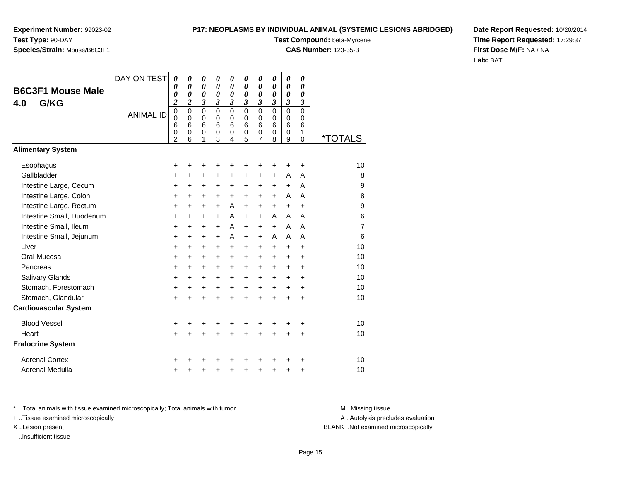#### **P17: NEOPLASMS BY INDIVIDUAL ANIMAL (SYSTEMIC LESIONS ABRIDGED)**

**Species/Strain:** Mouse/B6C3F1

**Test Compound:** beta-Myrcene

**CAS Number:** 123-35-3

**Date Report Requested:** 10/20/2014**Time Report Requested:** 17:29:37**First Dose M/F:** NA / NA**Lab:** BAT

| <b>B6C3F1 Mouse Male</b>     | DAY ON TEST      | $\boldsymbol{\theta}$<br>0                 | 0<br>0                                        | $\boldsymbol{\theta}$<br>$\boldsymbol{\theta}$ | 0<br>0                                 | 0<br>0                | 0<br>$\boldsymbol{\theta}$          | 0<br>0                          | 0<br>0                          | $\boldsymbol{\theta}$<br>0                    | 0<br>$\boldsymbol{\theta}$                |                       |
|------------------------------|------------------|--------------------------------------------|-----------------------------------------------|------------------------------------------------|----------------------------------------|-----------------------|-------------------------------------|---------------------------------|---------------------------------|-----------------------------------------------|-------------------------------------------|-----------------------|
| G/KG<br>4.0                  |                  | 0<br>$\overline{\mathbf{c}}$               | $\boldsymbol{\theta}$<br>2                    | 0<br>3                                         | 0<br>3                                 | 0<br>3                | 0<br>3                              | 0<br>3                          | 0<br>3                          | 0<br>3                                        | $\boldsymbol{\theta}$<br>3                |                       |
|                              | <b>ANIMAL ID</b> | $\pmb{0}$<br>0<br>6<br>0<br>$\overline{c}$ | $\Omega$<br>$\Omega$<br>6<br>$\mathbf 0$<br>6 | $\mathbf 0$<br>$\mathbf 0$<br>6<br>0<br>1      | $\mathbf 0$<br>$\Omega$<br>6<br>0<br>3 | 0<br>0<br>6<br>0<br>4 | $\Omega$<br>$\Omega$<br>6<br>0<br>5 | $\mathbf 0$<br>0<br>6<br>0<br>7 | $\mathbf 0$<br>0<br>6<br>0<br>8 | $\Omega$<br>$\Omega$<br>6<br>$\mathbf 0$<br>9 | $\mathbf 0$<br>0<br>6<br>1<br>$\mathbf 0$ | <i><b>*TOTALS</b></i> |
| <b>Alimentary System</b>     |                  |                                            |                                               |                                                |                                        |                       |                                     |                                 |                                 |                                               |                                           |                       |
| Esophagus                    |                  | +                                          | +                                             | +                                              | +                                      | +                     |                                     | +                               | +                               | +                                             | +                                         | 10                    |
| Gallbladder                  |                  | +                                          | +                                             | +                                              | +                                      | +                     | +                                   | +                               | $\ddot{}$                       | A                                             | A                                         | 8                     |
| Intestine Large, Cecum       |                  | $\ddot{}$                                  | $\ddot{}$                                     | $\ddot{}$                                      | $\ddot{}$                              | +                     | $\ddot{}$                           | $\ddot{}$                       | $\ddot{}$                       | $\ddot{}$                                     | A                                         | 9                     |
| Intestine Large, Colon       |                  | +                                          | $\pm$                                         | $\ddot{}$                                      | $+$                                    | $\ddot{}$             | $\ddot{}$                           | $+$                             | $+$                             | A                                             | A                                         | 8                     |
| Intestine Large, Rectum      |                  | $\ddot{}$                                  | $\ddot{}$                                     | $\ddot{}$                                      | $\ddot{}$                              | A                     | $\ddot{}$                           | $+$                             | $\ddot{}$                       | $\ddot{}$                                     | $\ddot{}$                                 | 9                     |
| Intestine Small, Duodenum    |                  | $\ddot{}$                                  | +                                             | +                                              | $\ddot{}$                              | A                     | $\ddot{}$                           | $\ddot{}$                       | A                               | A                                             | A                                         | 6                     |
| Intestine Small, Ileum       |                  | $\ddot{}$                                  | $\ddot{}$                                     | $\ddot{}$                                      | $+$                                    | A                     | $+$                                 | $+$                             | $+$                             | A                                             | A                                         | $\overline{7}$        |
| Intestine Small, Jejunum     |                  | +                                          | +                                             | +                                              | $\ddot{}$                              | A                     | $\ddot{}$                           | $\ddot{}$                       | A                               | A                                             | A                                         | 6                     |
| Liver                        |                  | $\ddot{}$                                  | $\ddot{}$                                     | $\ddot{}$                                      | $\ddot{}$                              | $\ddot{}$             | $\ddot{}$                           | $\ddot{}$                       | $\ddot{}$                       | $\ddot{}$                                     | $\ddot{}$                                 | 10                    |
| Oral Mucosa                  |                  | $\ddot{}$                                  | +                                             | $\ddot{}$                                      | $\ddot{}$                              | +                     | $\ddot{}$                           | +                               | +                               | +                                             | +                                         | 10                    |
| Pancreas                     |                  | $\ddot{}$                                  | $\ddot{}$                                     | $\ddot{}$                                      | $\ddot{}$                              | $\ddot{}$             | $\ddot{}$                           | $\ddot{}$                       | $\ddot{}$                       | $\ddot{}$                                     | $\ddot{}$                                 | 10                    |
| <b>Salivary Glands</b>       |                  | +                                          | +                                             | $\ddot{}$                                      | $\ddot{}$                              | +                     | $\ddot{}$                           | $\ddot{}$                       | $\ddot{}$                       | +                                             | $\ddot{}$                                 | 10                    |
| Stomach, Forestomach         |                  | +                                          | $\ddot{}$                                     | $\ddot{}$                                      | $\ddot{}$                              | $\ddot{}$             | $\ddot{}$                           | $\ddot{}$                       | $\ddot{}$                       | $\ddot{}$                                     | $\ddot{}$                                 | 10                    |
| Stomach, Glandular           |                  | $\ddot{}$                                  | $\ddot{}$                                     | $\ddot{}$                                      | $\ddot{}$                              | $\ddot{}$             | $\ddot{}$                           | $\ddot{}$                       | $\ddot{}$                       | $\ddot{}$                                     | $\ddot{}$                                 | 10                    |
| <b>Cardiovascular System</b> |                  |                                            |                                               |                                                |                                        |                       |                                     |                                 |                                 |                                               |                                           |                       |
| <b>Blood Vessel</b>          |                  | +                                          | +                                             |                                                |                                        |                       | +                                   |                                 | +                               | +                                             | +                                         | 10                    |
| Heart                        |                  | $\ddot{}$                                  | $\ddot{}$                                     | $\ddot{}$                                      | $\ddot{}$                              | $\ddot{}$             | $\ddot{}$                           | $\ddot{}$                       | $\ddot{}$                       | $\ddot{}$                                     | $\ddot{}$                                 | 10                    |
| <b>Endocrine System</b>      |                  |                                            |                                               |                                                |                                        |                       |                                     |                                 |                                 |                                               |                                           |                       |
| <b>Adrenal Cortex</b>        |                  | +                                          |                                               |                                                |                                        |                       |                                     |                                 |                                 | ٠                                             | +                                         | 10                    |
| Adrenal Medulla              |                  | +                                          | +                                             | +                                              | +                                      | +                     | +                                   | +                               | +                               | +                                             | +                                         | 10                    |

\* ..Total animals with tissue examined microscopically; Total animals with tumor **M** . Missing tissue M ..Missing tissue

+ ..Tissue examined microscopically

I ..Insufficient tissue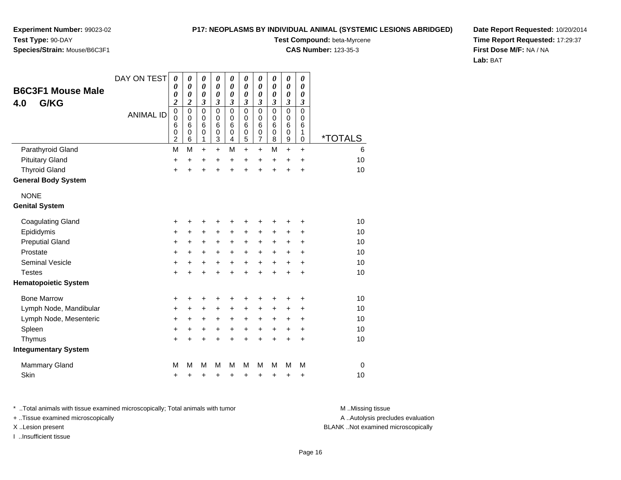**Experiment Number:** 99023-02**Test Type:** 90-DAY**Species/Strain:** Mouse/B6C3F1

### **Test Compound:** beta-Myrcene

**CAS Number:** 123-35-3

**Date Report Requested:** 10/20/2014**Time Report Requested:** 17:29:37**First Dose M/F:** NA / NA**Lab:** BAT

| <b>B6C3F1 Mouse Male</b>    | DAY ON TEST      | $\boldsymbol{\theta}$<br>0<br>0                                                      | 0<br>$\theta$<br>0                                                      | 0<br>0<br>0                                                       | 0<br>0<br>0                                    | 0<br>0<br>0                          | $\boldsymbol{\theta}$<br>$\boldsymbol{\theta}$<br>$\boldsymbol{\theta}$ | $\boldsymbol{\theta}$<br>0<br>$\boldsymbol{\theta}$                       | 0<br>0<br>0                                                                 | $\boldsymbol{\theta}$<br>0<br>0      | 0<br>$\boldsymbol{\theta}$<br>0                         |                       |
|-----------------------------|------------------|--------------------------------------------------------------------------------------|-------------------------------------------------------------------------|-------------------------------------------------------------------|------------------------------------------------|--------------------------------------|-------------------------------------------------------------------------|---------------------------------------------------------------------------|-----------------------------------------------------------------------------|--------------------------------------|---------------------------------------------------------|-----------------------|
| G/KG<br>4.0                 | <b>ANIMAL ID</b> | $\boldsymbol{2}$<br>$\mathbf 0$<br>$\mathbf 0$<br>6<br>$\mathbf 0$<br>$\overline{2}$ | $\boldsymbol{2}$<br>$\mathbf 0$<br>$\mathbf 0$<br>6<br>$\mathbf 0$<br>6 | $\boldsymbol{\beta}$<br>$\mathbf 0$<br>0<br>6<br>$\mathbf 0$<br>1 | 3<br>$\mathbf 0$<br>$\mathbf 0$<br>6<br>0<br>3 | 3<br>$\mathbf 0$<br>0<br>6<br>0<br>4 | 3<br>$\mathbf 0$<br>0<br>6<br>0<br>5                                    | 3<br>$\mathbf 0$<br>0<br>$6\phantom{1}6$<br>$\mathbf 0$<br>$\overline{7}$ | $\boldsymbol{\beta}$<br>$\mathbf 0$<br>$\mathbf 0$<br>6<br>$\mathbf 0$<br>8 | 3<br>$\mathbf 0$<br>0<br>6<br>0<br>9 | $\boldsymbol{\beta}$<br>$\mathbf 0$<br>0<br>6<br>1<br>0 | <i><b>*TOTALS</b></i> |
| Parathyroid Gland           |                  | M                                                                                    | M                                                                       | +                                                                 | +                                              | M                                    | $\ddot{}$                                                               | $\ddot{}$                                                                 | M                                                                           | $\ddot{}$                            | $\ddot{}$                                               | 6                     |
| <b>Pituitary Gland</b>      |                  | +                                                                                    | +                                                                       | +                                                                 | +                                              | +                                    | +                                                                       | +                                                                         | +                                                                           | +                                    | +                                                       | 10                    |
| <b>Thyroid Gland</b>        |                  | $\ddot{}$                                                                            | $\ddot{}$                                                               | $\ddot{}$                                                         | $\ddot{}$                                      | $\ddot{}$                            | ÷                                                                       | $\ddot{}$                                                                 | $\ddot{}$                                                                   | $\ddot{}$                            | $\ddot{}$                                               | 10                    |
| <b>General Body System</b>  |                  |                                                                                      |                                                                         |                                                                   |                                                |                                      |                                                                         |                                                                           |                                                                             |                                      |                                                         |                       |
| <b>NONE</b>                 |                  |                                                                                      |                                                                         |                                                                   |                                                |                                      |                                                                         |                                                                           |                                                                             |                                      |                                                         |                       |
| <b>Genital System</b>       |                  |                                                                                      |                                                                         |                                                                   |                                                |                                      |                                                                         |                                                                           |                                                                             |                                      |                                                         |                       |
| <b>Coagulating Gland</b>    |                  | +                                                                                    | +                                                                       | +                                                                 | +                                              | +                                    | +                                                                       | +                                                                         | +                                                                           | +                                    | +                                                       | 10                    |
| Epididymis                  |                  | $\ddot{}$                                                                            | $\ddot{}$                                                               | $\ddot{}$                                                         | $\ddot{}$                                      | $\ddot{}$                            | $\ddot{}$                                                               | $\ddot{}$                                                                 | $\ddot{}$                                                                   | $\ddot{}$                            | +                                                       | 10                    |
| <b>Preputial Gland</b>      |                  | +                                                                                    | +                                                                       | +                                                                 | +                                              | +                                    | $\ddot{}$                                                               | +                                                                         | +                                                                           | +                                    | +                                                       | 10                    |
| Prostate                    |                  | $\ddot{}$                                                                            | +                                                                       | $\pm$                                                             | +                                              | $\ddot{}$                            | $\ddot{}$                                                               | +                                                                         | $\ddot{}$                                                                   | +                                    | $\ddot{}$                                               | 10                    |
| <b>Seminal Vesicle</b>      |                  | $\ddot{}$                                                                            | $\ddot{}$                                                               | $\ddot{}$                                                         | $\ddot{}$                                      | $\ddot{}$                            | $\ddot{}$                                                               | $\ddot{}$                                                                 | $\ddot{}$                                                                   | $\ddot{}$                            | $\ddot{}$                                               | 10                    |
| <b>Testes</b>               |                  | $\ddot{}$                                                                            | +                                                                       | +                                                                 | $\ddot{}$                                      | $\ddot{}$                            | +                                                                       | $\ddot{}$                                                                 | $\ddot{}$                                                                   | $\ddot{}$                            | +                                                       | 10                    |
| <b>Hematopoietic System</b> |                  |                                                                                      |                                                                         |                                                                   |                                                |                                      |                                                                         |                                                                           |                                                                             |                                      |                                                         |                       |
| <b>Bone Marrow</b>          |                  | +                                                                                    | +                                                                       | +                                                                 | +                                              | +                                    | +                                                                       | +                                                                         | ٠                                                                           | ٠                                    | +                                                       | 10                    |
| Lymph Node, Mandibular      |                  | $\ddot{}$                                                                            | +                                                                       | +                                                                 | $\pm$                                          | $\ddot{}$                            | +                                                                       | +                                                                         | +                                                                           | +                                    | +                                                       | 10                    |
| Lymph Node, Mesenteric      |                  | $\ddot{}$                                                                            | +                                                                       | +                                                                 | +                                              | +                                    | $\ddot{}$                                                               | +                                                                         | $\ddot{}$                                                                   | +                                    | +                                                       | 10                    |
| Spleen                      |                  | $\ddot{}$                                                                            | $\ddot{}$                                                               | $\ddot{}$                                                         | +                                              | $\ddot{}$                            | $\ddot{}$                                                               | $\ddot{}$                                                                 | $\ddot{}$                                                                   | $\ddot{}$                            | +                                                       | 10                    |
| Thymus                      |                  | $\ddot{}$                                                                            | $\ddot{}$                                                               | $\ddot{}$                                                         | $\ddot{}$                                      | $\ddot{}$                            | $\ddot{}$                                                               | $\ddot{}$                                                                 | $\ddot{}$                                                                   | $\ddot{}$                            | $\ddot{}$                                               | 10                    |
| <b>Integumentary System</b> |                  |                                                                                      |                                                                         |                                                                   |                                                |                                      |                                                                         |                                                                           |                                                                             |                                      |                                                         |                       |
| Mammary Gland               |                  | M                                                                                    | М                                                                       | M                                                                 | м                                              | M                                    | M                                                                       | M                                                                         | M                                                                           | M                                    | M                                                       | $\mathbf 0$           |
| Skin                        |                  | +                                                                                    | +                                                                       | +                                                                 | +                                              | +                                    | +                                                                       | +                                                                         | +                                                                           | +                                    | +                                                       | 10                    |

\* ..Total animals with tissue examined microscopically; Total animals with tumor **M** . Missing tissue M ..Missing tissue

+ ..Tissue examined microscopically

I ..Insufficient tissue

A ..Autolysis precludes evaluation

X ..Lesion present BLANK ..Not examined microscopically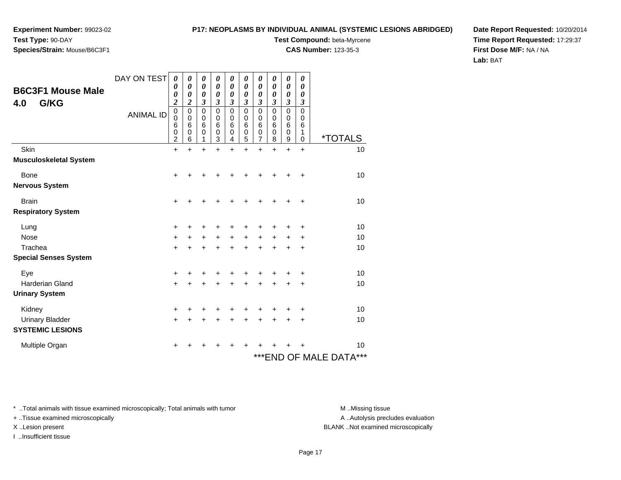#### **P17: NEOPLASMS BY INDIVIDUAL ANIMAL (SYSTEMIC LESIONS ABRIDGED)**

**Species/Strain:** Mouse/B6C3F1

**Test Compound:** beta-Myrcene

**CAS Number:** 123-35-3

**Date Report Requested:** 10/20/2014**Time Report Requested:** 17:29:37**First Dose M/F:** NA / NA**Lab:** BAT

| <b>B6C3F1 Mouse Male</b><br>G/KG<br>4.0 | DAY ON TEST<br><b>ANIMAL ID</b> | 0<br>0<br>0<br>$\boldsymbol{2}$<br>$\pmb{0}$<br>0<br>$\,6$<br>$\frac{0}{2}$ | 0<br>0<br>0<br>$\overline{\mathbf{c}}$<br>$\mathbf 0$<br>$\mathbf 0$<br>6<br>0<br>6 | 0<br>$\boldsymbol{\theta}$<br>0<br>3<br>0<br>0<br>6<br>0<br>1 | 0<br>0<br>0<br>3<br>0<br>0<br>6<br>0<br>3 | 0<br>$\boldsymbol{\theta}$<br>$\boldsymbol{\theta}$<br>3<br>$\mathbf 0$<br>0<br>6<br>0<br>4 | 0<br>0<br>0<br>3<br>$\mathbf 0$<br>0<br>6<br>0<br>5 | 0<br>$\boldsymbol{\theta}$<br>0<br>3<br>$\mathbf 0$<br>$\mathbf 0$<br>$6\phantom{1}6$<br>0<br>7 | 0<br>0<br>0<br>3<br>$\mathbf 0$<br>$\mathbf 0$<br>6<br>0<br>8 | 0<br>0<br>0<br>3<br>0<br>0<br>6<br>0<br>9 | 0<br>0<br>0<br>3<br>$\mathbf 0$<br>0<br>6<br>1<br>0 | <i><b>*TOTALS</b></i>      |
|-----------------------------------------|---------------------------------|-----------------------------------------------------------------------------|-------------------------------------------------------------------------------------|---------------------------------------------------------------|-------------------------------------------|---------------------------------------------------------------------------------------------|-----------------------------------------------------|-------------------------------------------------------------------------------------------------|---------------------------------------------------------------|-------------------------------------------|-----------------------------------------------------|----------------------------|
| Skin                                    |                                 | $\ddot{}$                                                                   | $\ddot{}$                                                                           | $\ddot{}$                                                     | $\ddot{}$                                 | $\ddot{}$                                                                                   | $\ddot{}$                                           | $\ddot{}$                                                                                       | $\ddot{}$                                                     | $\ddot{}$                                 | $\ddot{}$                                           | 10                         |
| <b>Musculoskeletal System</b>           |                                 |                                                                             |                                                                                     |                                                               |                                           |                                                                                             |                                                     |                                                                                                 |                                                               |                                           |                                                     |                            |
| Bone                                    |                                 | +                                                                           |                                                                                     |                                                               |                                           |                                                                                             |                                                     |                                                                                                 |                                                               |                                           | $\ddot{}$                                           | 10                         |
| <b>Nervous System</b>                   |                                 |                                                                             |                                                                                     |                                                               |                                           |                                                                                             |                                                     |                                                                                                 |                                                               |                                           |                                                     |                            |
| <b>Brain</b>                            |                                 | +                                                                           |                                                                                     | ٠                                                             |                                           |                                                                                             |                                                     |                                                                                                 |                                                               |                                           | ÷                                                   | 10                         |
| <b>Respiratory System</b>               |                                 |                                                                             |                                                                                     |                                                               |                                           |                                                                                             |                                                     |                                                                                                 |                                                               |                                           |                                                     |                            |
| Lung                                    |                                 | $\ddot{}$                                                                   |                                                                                     |                                                               |                                           |                                                                                             |                                                     |                                                                                                 |                                                               |                                           | ÷                                                   | 10                         |
| <b>Nose</b>                             |                                 | $+$                                                                         | $\pm$                                                                               | $\ddot{}$                                                     | $\ddot{}$                                 | $\ddot{}$                                                                                   | $\ddot{}$                                           | $+$                                                                                             | $\ddot{}$                                                     | $\pm$                                     | +                                                   | 10                         |
| Trachea                                 |                                 | +                                                                           |                                                                                     | +                                                             | +                                         | ٠                                                                                           | +                                                   |                                                                                                 | +                                                             |                                           | ٠                                                   | 10                         |
| <b>Special Senses System</b>            |                                 |                                                                             |                                                                                     |                                                               |                                           |                                                                                             |                                                     |                                                                                                 |                                                               |                                           |                                                     |                            |
| Eye                                     |                                 | +                                                                           |                                                                                     |                                                               |                                           |                                                                                             |                                                     |                                                                                                 |                                                               |                                           | +                                                   | 10                         |
| <b>Harderian Gland</b>                  |                                 | +                                                                           |                                                                                     | +                                                             |                                           | $\ddot{}$                                                                                   |                                                     | $\ddot{}$                                                                                       |                                                               | $\ddot{}$                                 | +                                                   | 10                         |
| <b>Urinary System</b>                   |                                 |                                                                             |                                                                                     |                                                               |                                           |                                                                                             |                                                     |                                                                                                 |                                                               |                                           |                                                     |                            |
| Kidney                                  |                                 | +                                                                           | +                                                                                   | +                                                             | +                                         | +                                                                                           | +                                                   |                                                                                                 |                                                               |                                           | +                                                   | 10                         |
| <b>Urinary Bladder</b>                  |                                 | +                                                                           |                                                                                     | +                                                             | +                                         | $\ddot{}$                                                                                   | $\ddot{}$                                           |                                                                                                 |                                                               |                                           | $\ddot{}$                                           | 10                         |
| <b>SYSTEMIC LESIONS</b>                 |                                 |                                                                             |                                                                                     |                                                               |                                           |                                                                                             |                                                     |                                                                                                 |                                                               |                                           |                                                     |                            |
| Multiple Organ                          |                                 | ٠                                                                           |                                                                                     |                                                               |                                           |                                                                                             |                                                     |                                                                                                 |                                                               |                                           |                                                     | 10                         |
|                                         |                                 |                                                                             |                                                                                     |                                                               |                                           |                                                                                             |                                                     |                                                                                                 |                                                               |                                           |                                                     | ***<br>***END OF MALE DATA |

\* ..Total animals with tissue examined microscopically; Total animals with tumor **M** . Missing tissue M ..Missing tissue

+ ..Tissue examined microscopically

I ..Insufficient tissue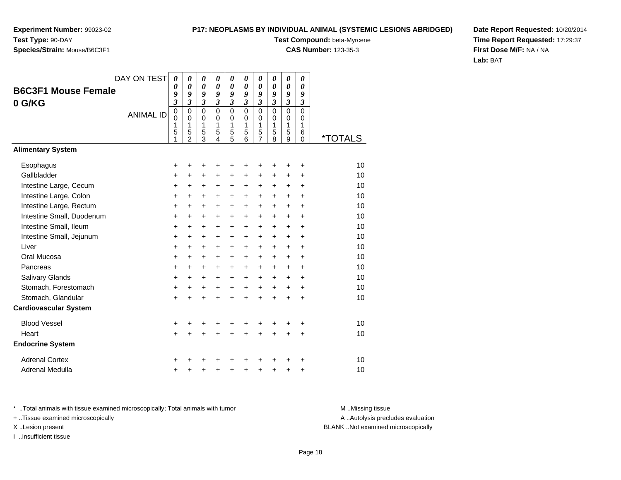#### **P17: NEOPLASMS BY INDIVIDUAL ANIMAL (SYSTEMIC LESIONS ABRIDGED)**

**Test Compound:** beta-Myrcene

**CAS Number:** 123-35-3

**Date Report Requested:** 10/20/2014**Time Report Requested:** 17:29:37**First Dose M/F:** NA / NA**Lab:** BAT

|                              | DAY ON TEST      | $\boldsymbol{\theta}$   | $\boldsymbol{\theta}$      | $\boldsymbol{\theta}$      | 0                          | 0                   | 0                    | 0                          | 0                    | 0                          | 0                |                       |
|------------------------------|------------------|-------------------------|----------------------------|----------------------------|----------------------------|---------------------|----------------------|----------------------------|----------------------|----------------------------|------------------|-----------------------|
| <b>B6C3F1 Mouse Female</b>   |                  | 0<br>9                  | $\boldsymbol{\theta}$<br>9 | $\boldsymbol{\theta}$<br>9 | $\boldsymbol{\theta}$<br>9 | 0<br>9              | 0<br>9               | $\boldsymbol{\theta}$<br>9 | 0<br>9               | 0<br>9                     | 0<br>9           |                       |
| 0 G/KG                       |                  | $\overline{\mathbf{3}}$ | $\mathfrak{z}$             | $\mathfrak{z}$             | $\mathfrak{z}$             | $\mathfrak{z}$      | $\mathfrak{z}$       | $\boldsymbol{\beta}$       | $\boldsymbol{\beta}$ | $\boldsymbol{\beta}$       | 3                |                       |
|                              | <b>ANIMAL ID</b> | $\mathbf 0$<br>0        | $\Omega$<br>$\Omega$       | $\Omega$<br>0              | $\Omega$<br>$\Omega$       | 0<br>0              | $\Omega$<br>$\Omega$ | $\overline{0}$<br>0        | $\overline{0}$<br>0  | $\mathbf 0$<br>$\mathbf 0$ | $\mathbf 0$<br>0 |                       |
|                              |                  | 1                       | 1                          | 1                          | 1                          | 1                   | 1                    | 1                          | 1                    | 1                          | 1                |                       |
|                              |                  | 5<br>1                  | 5<br>$\overline{2}$        | 5<br>3                     | 5<br>4                     | 5<br>$\overline{5}$ | 5<br>6               | 5<br>$\overline{7}$        | 5<br>8               | 5<br>9                     | 6<br>0           | <i><b>*TOTALS</b></i> |
| <b>Alimentary System</b>     |                  |                         |                            |                            |                            |                     |                      |                            |                      |                            |                  |                       |
| Esophagus                    |                  | +                       | +                          | +                          | +                          | +                   | +                    | +                          | +                    | +                          | $\ddot{}$        | 10                    |
| Gallbladder                  |                  | +                       | $\ddot{}$                  | $\ddot{}$                  | +                          | $\ddot{}$           | +                    | $\ddot{}$                  | +                    | $\pm$                      | +                | 10                    |
| Intestine Large, Cecum       |                  | +                       | $\ddot{}$                  | +                          | +                          | +                   | +                    | +                          | +                    | $\ddot{}$                  | $\ddot{}$        | 10                    |
| Intestine Large, Colon       |                  | $\pmb{+}$               | $\ddot{}$                  | $\ddot{}$                  | $\ddot{}$                  | $\ddot{}$           | $\ddot{}$            | $\ddot{}$                  | $\ddot{}$            | $\ddot{}$                  | $\ddot{}$        | 10                    |
| Intestine Large, Rectum      |                  | +                       | $\ddot{}$                  | $\ddot{}$                  | $\ddot{}$                  | +                   | +                    | $\ddot{}$                  | $\ddot{}$            | $\ddot{}$                  | $\ddot{}$        | 10                    |
| Intestine Small, Duodenum    |                  | $\ddot{}$               | $\ddot{}$                  | $\ddot{}$                  | $\ddot{}$                  | +                   | $\ddot{}$            | $\ddot{}$                  | $\ddot{}$            | $\ddot{}$                  | $\ddot{}$        | 10                    |
| Intestine Small, Ileum       |                  | $\pmb{+}$               | $\ddot{}$                  | $\ddot{}$                  | $\ddot{}$                  | +                   | +                    | $\ddot{}$                  | $\ddot{}$            | $\ddot{}$                  | $\ddot{}$        | 10                    |
| Intestine Small, Jejunum     |                  | +                       | +                          | $\ddot{}$                  | $\ddot{}$                  | $\ddot{}$           | +                    | $\ddot{}$                  | $\ddot{}$            | $\ddot{}$                  | +                | 10                    |
| Liver                        |                  | $\ddot{}$               | $\ddot{}$                  | $\ddot{}$                  | $\ddot{}$                  | +                   | $\ddot{}$            | $\ddot{}$                  | $\ddot{}$            | $+$                        | $\ddot{}$        | 10                    |
| Oral Mucosa                  |                  | +                       | +                          | $\ddot{}$                  | +                          | +                   | +                    | +                          | +                    | +                          | +                | 10                    |
| Pancreas                     |                  | $\ddot{}$               | $\ddot{}$                  | $\ddot{}$                  | $\ddot{}$                  | $\ddot{}$           | $\ddot{}$            | $\ddot{}$                  | $\ddot{}$            | $\ddot{}$                  | $\ddot{}$        | 10                    |
| <b>Salivary Glands</b>       |                  | $\ddot{}$               | $\ddot{}$                  | $\ddot{}$                  | $\ddot{}$                  | +                   | $\ddot{}$            | $\ddot{}$                  | $\ddot{}$            | $\ddot{}$                  | $\ddot{}$        | 10                    |
| Stomach, Forestomach         |                  | +                       | +                          | +                          | $\ddot{}$                  | +                   | $\ddot{}$            | $\ddot{}$                  | $\ddot{}$            | $\ddot{}$                  | $\pm$            | 10                    |
| Stomach, Glandular           |                  | $\ddot{}$               | $\ddot{}$                  | $\ddot{}$                  | $\ddot{}$                  | $\ddot{}$           | $\ddot{}$            | $\ddot{}$                  | $\ddot{}$            | $\ddot{}$                  | $\ddot{}$        | 10                    |
| <b>Cardiovascular System</b> |                  |                         |                            |                            |                            |                     |                      |                            |                      |                            |                  |                       |
| <b>Blood Vessel</b>          |                  | +                       | +                          | +                          |                            | +                   | +                    | +                          |                      |                            | +                | 10                    |
| Heart                        |                  | $\ddot{}$               | $\ddot{}$                  | $\ddot{}$                  | $\ddot{}$                  | $\ddot{}$           | $\ddot{}$            | $\ddot{}$                  | $\ddot{}$            | $\ddot{}$                  | +                | 10                    |
| <b>Endocrine System</b>      |                  |                         |                            |                            |                            |                     |                      |                            |                      |                            |                  |                       |
| <b>Adrenal Cortex</b>        |                  | +                       |                            |                            |                            |                     |                      | +                          |                      |                            | +                | 10                    |
| Adrenal Medulla              |                  | +                       |                            |                            |                            | +                   | +                    | +                          | +                    | +                          | +                | 10                    |

\* ..Total animals with tissue examined microscopically; Total animals with tumor **M** . Missing tissue M ..Missing tissue + ..Tissue examined microscopically

I ..Insufficient tissue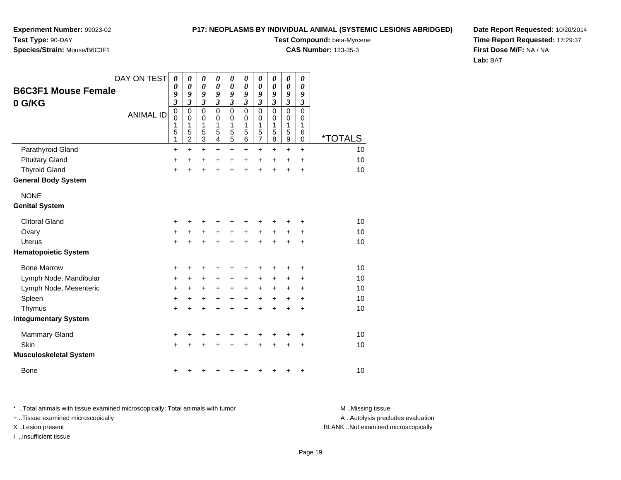**Experiment Number:** 99023-02**Test Type:** 90-DAY

# **Species/Strain:** Mouse/B6C3F1

**Test Compound:** beta-Myrcene

**CAS Number:** 123-35-3

**Date Report Requested:** 10/20/2014**Time Report Requested:** 17:29:37**First Dose M/F:** NA / NA**Lab:** BAT

| <b>B6C3F1 Mouse Female</b><br>0 G/KG | DAY ON TEST      | 0<br>0<br>9<br>$\boldsymbol{\beta}$ | 0<br>0<br>9<br>3                             | 0<br>$\boldsymbol{\theta}$<br>9<br>$\mathfrak{z}$ | 0<br>$\pmb{\theta}$<br>9<br>$\overline{\mathbf{3}}$<br>$\mathbf 0$ | 0<br>$\pmb{\theta}$<br>9<br>$\overline{\mathbf{3}}$<br>0 | 0<br>$\pmb{\theta}$<br>9<br>$\overline{\mathbf{3}}$ | 0<br>$\boldsymbol{\theta}$<br>9<br>3 | 0<br>0<br>9<br>$\boldsymbol{\mathfrak{z}}$<br>$\mathbf 0$ | 0<br>$\boldsymbol{\theta}$<br>9<br>$\mathfrak{z}$<br>$\mathbf 0$ | 0<br>0<br>9<br>$\boldsymbol{\beta}$<br>0 |                       |
|--------------------------------------|------------------|-------------------------------------|----------------------------------------------|---------------------------------------------------|--------------------------------------------------------------------|----------------------------------------------------------|-----------------------------------------------------|--------------------------------------|-----------------------------------------------------------|------------------------------------------------------------------|------------------------------------------|-----------------------|
|                                      | <b>ANIMAL ID</b> | $\pmb{0}$<br>0<br>1<br>5<br>1       | $\mathbf 0$<br>0<br>1<br>5<br>$\overline{2}$ | $\mathbf 0$<br>0<br>1<br>5<br>$\overline{3}$      | 0<br>1<br>5<br>4                                                   | 0<br>1<br>5<br>5                                         | 0<br>0<br>1<br>5<br>6                               | $\mathbf 0$<br>0<br>1<br>5<br>7      | 0<br>1<br>5<br>8                                          | 0<br>1<br>5<br>$\boldsymbol{9}$                                  | 0<br>1<br>6<br>0                         | <i><b>*TOTALS</b></i> |
| Parathyroid Gland                    |                  | +                                   | $\ddot{}$                                    | $\ddot{}$                                         | $\ddot{}$                                                          | $\ddot{}$                                                | $\ddot{}$                                           | $\ddot{}$                            | $\ddot{}$                                                 | $\ddot{}$                                                        | $\ddot{}$                                | 10                    |
| <b>Pituitary Gland</b>               |                  | +                                   | $\ddot{}$                                    | +                                                 | $\ddot{}$                                                          | +                                                        | $\ddot{}$                                           | $\ddot{}$                            | $\ddot{}$                                                 | $\pm$                                                            | +                                        | 10                    |
| <b>Thyroid Gland</b>                 |                  | $\ddot{}$                           | $\ddot{}$                                    | $\ddot{}$                                         | $\ddot{}$                                                          | $\ddot{}$                                                | $\ddot{}$                                           | $\ddot{}$                            | $\ddot{}$                                                 | $\ddot{}$                                                        | +                                        | 10                    |
| <b>General Body System</b>           |                  |                                     |                                              |                                                   |                                                                    |                                                          |                                                     |                                      |                                                           |                                                                  |                                          |                       |
| <b>NONE</b>                          |                  |                                     |                                              |                                                   |                                                                    |                                                          |                                                     |                                      |                                                           |                                                                  |                                          |                       |
| <b>Genital System</b>                |                  |                                     |                                              |                                                   |                                                                    |                                                          |                                                     |                                      |                                                           |                                                                  |                                          |                       |
| <b>Clitoral Gland</b>                |                  | +                                   | +                                            | +                                                 |                                                                    | +                                                        |                                                     |                                      |                                                           |                                                                  | +                                        | 10                    |
| Ovary                                |                  | $\ddot{}$                           | +                                            | +                                                 | +                                                                  | +                                                        | +                                                   | +                                    | +                                                         | +                                                                | +                                        | 10                    |
| <b>Uterus</b>                        |                  | $\ddot{}$                           | Ŧ.                                           | $\ddot{}$                                         | $\ddot{}$                                                          | $\ddot{}$                                                | $\ddot{}$                                           | $\ddot{}$                            | $\ddot{}$                                                 | $\ddot{}$                                                        | $\ddot{}$                                | 10                    |
| <b>Hematopoietic System</b>          |                  |                                     |                                              |                                                   |                                                                    |                                                          |                                                     |                                      |                                                           |                                                                  |                                          |                       |
| <b>Bone Marrow</b>                   |                  | +                                   | +                                            | +                                                 | ٠                                                                  | +                                                        | +                                                   | +                                    |                                                           | +                                                                | ٠                                        | 10                    |
| Lymph Node, Mandibular               |                  | +                                   | $\ddot{}$                                    | $\ddot{}$                                         | $\ddot{}$                                                          | $\ddot{}$                                                | $\ddot{}$                                           | $\ddot{}$                            | $\ddot{}$                                                 | $\ddot{}$                                                        | +                                        | 10                    |
| Lymph Node, Mesenteric               |                  | +                                   | $\ddot{}$                                    | $\ddot{}$                                         | $\ddot{}$                                                          | +                                                        | +                                                   | +                                    | +                                                         | +                                                                | +                                        | 10                    |
| Spleen                               |                  | $\ddot{}$                           | +                                            | $\ddot{}$                                         | $\ddot{}$                                                          | +                                                        | $\ddot{}$                                           | $\ddot{}$                            | +                                                         | +                                                                | +                                        | 10                    |
| Thymus                               |                  | +                                   | $\ddot{}$                                    | $\ddot{}$                                         | $\ddot{}$                                                          | $\ddot{}$                                                | $\ddot{}$                                           | +                                    | $\ddot{}$                                                 | +                                                                | +                                        | 10                    |
| <b>Integumentary System</b>          |                  |                                     |                                              |                                                   |                                                                    |                                                          |                                                     |                                      |                                                           |                                                                  |                                          |                       |
| Mammary Gland                        |                  | +                                   | +                                            | +                                                 | +                                                                  | +                                                        | +                                                   | +                                    |                                                           | +                                                                | +                                        | 10                    |
| Skin                                 |                  | $\ddot{}$                           |                                              | $\ddot{}$                                         |                                                                    | +                                                        |                                                     |                                      |                                                           | +                                                                | +                                        | 10                    |
| <b>Musculoskeletal System</b>        |                  |                                     |                                              |                                                   |                                                                    |                                                          |                                                     |                                      |                                                           |                                                                  |                                          |                       |
| <b>Bone</b>                          |                  | +                                   | +                                            | +                                                 |                                                                    |                                                          |                                                     |                                      |                                                           | +                                                                | +                                        | 10                    |

\* ..Total animals with tissue examined microscopically; Total animals with tumor **M** . Missing tissue M ..Missing tissue + ..Tissue examined microscopically X ..Lesion present BLANK ..Not examined microscopically

A ..Autolysis precludes evaluation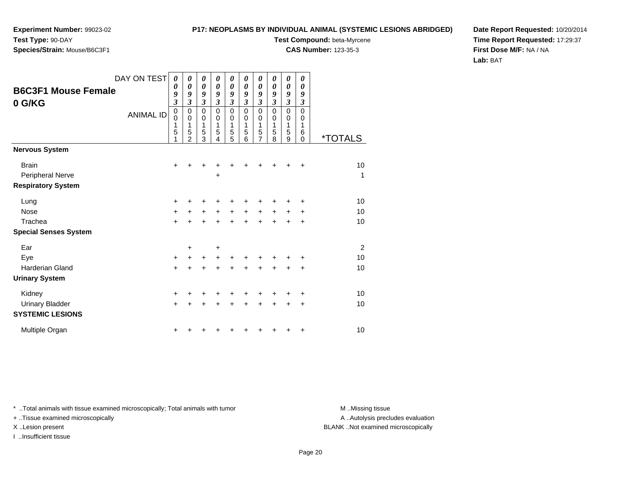#### **P17: NEOPLASMS BY INDIVIDUAL ANIMAL (SYSTEMIC LESIONS ABRIDGED)**

**Species/Strain:** Mouse/B6C3F1

**Test Compound:** beta-Myrcene

**CAS Number:** 123-35-3

**Date Report Requested:** 10/20/2014**Time Report Requested:** 17:29:37**First Dose M/F:** NA / NA**Lab:** BAT

|                                      | DAY ON TEST      | $\boldsymbol{\theta}$      | 0                                  | 0                     | 0                     | 0                     | 0                               | 0                                                      | 0                               | 0                                         | 0                                      |                       |
|--------------------------------------|------------------|----------------------------|------------------------------------|-----------------------|-----------------------|-----------------------|---------------------------------|--------------------------------------------------------|---------------------------------|-------------------------------------------|----------------------------------------|-----------------------|
| <b>B6C3F1 Mouse Female</b><br>0 G/KG |                  | 0<br>9<br>$\mathfrak{z}$   | 0<br>9<br>3                        | 0<br>9<br>3           | 0<br>9<br>3           | 0<br>9<br>3           | $\boldsymbol{\theta}$<br>9<br>3 | $\boldsymbol{\theta}$<br>9<br>$\boldsymbol{\beta}$     | 0<br>9<br>$\boldsymbol{\beta}$  | 0<br>9<br>$\boldsymbol{\beta}$            | $\boldsymbol{\theta}$<br>9<br>3        |                       |
|                                      | <b>ANIMAL ID</b> | $\mathbf 0$<br>0<br>1<br>5 | 0<br>0<br>1<br>5<br>$\overline{2}$ | 0<br>0<br>1<br>5<br>3 | 0<br>0<br>1<br>5<br>4 | 0<br>0<br>1<br>5<br>5 | $\mathbf 0$<br>0<br>1<br>5<br>6 | $\mathbf 0$<br>$\mathbf 0$<br>1<br>5<br>$\overline{7}$ | $\mathbf 0$<br>0<br>1<br>5<br>8 | $\mathbf 0$<br>$\mathbf 0$<br>1<br>5<br>9 | $\mathbf 0$<br>0<br>1<br>6<br>$\Omega$ | <i><b>*TOTALS</b></i> |
| <b>Nervous System</b>                |                  |                            |                                    |                       |                       |                       |                                 |                                                        |                                 |                                           |                                        |                       |
| <b>Brain</b>                         |                  | $\pm$                      | +                                  | +                     |                       |                       | +                               |                                                        |                                 | ٠                                         | $\ddot{}$                              | 10                    |
| Peripheral Nerve                     |                  |                            |                                    |                       | ٠                     |                       |                                 |                                                        |                                 |                                           |                                        | 1                     |
| <b>Respiratory System</b>            |                  |                            |                                    |                       |                       |                       |                                 |                                                        |                                 |                                           |                                        |                       |
| Lung                                 |                  | $\ddot{}$                  |                                    | +                     |                       |                       |                                 |                                                        |                                 |                                           | ٠                                      | 10                    |
| <b>Nose</b>                          |                  | $\ddot{}$                  | $\pm$                              | +                     | +                     | +                     | +                               | +                                                      | +                               | $\pm$                                     | +                                      | 10                    |
| Trachea                              |                  | $\ddot{}$                  | $\ddot{}$                          | $\ddot{}$             | +                     | $\ddot{}$             | $\ddot{}$                       | $+$                                                    | $+$                             | $+$                                       | ÷                                      | 10                    |
| <b>Special Senses System</b>         |                  |                            |                                    |                       |                       |                       |                                 |                                                        |                                 |                                           |                                        |                       |
| Ear                                  |                  |                            | +                                  |                       | +                     |                       |                                 |                                                        |                                 |                                           |                                        | 2                     |
| Eye                                  |                  | $\ddot{}$                  | +                                  | $\ddot{}$             | +                     | +                     |                                 |                                                        |                                 |                                           | +                                      | 10                    |
| <b>Harderian Gland</b>               |                  | $\ddot{}$                  | +                                  | +                     | +                     | +                     | +                               | +                                                      |                                 |                                           | +                                      | 10                    |
| <b>Urinary System</b>                |                  |                            |                                    |                       |                       |                       |                                 |                                                        |                                 |                                           |                                        |                       |
| Kidney                               |                  | +                          |                                    |                       |                       |                       |                                 |                                                        |                                 |                                           | +                                      | 10                    |
| <b>Urinary Bladder</b>               |                  | $\ddot{}$                  |                                    | +                     | +                     | +                     | ٠                               | +                                                      | +                               | ٠                                         | ÷                                      | 10                    |
| <b>SYSTEMIC LESIONS</b>              |                  |                            |                                    |                       |                       |                       |                                 |                                                        |                                 |                                           |                                        |                       |
| Multiple Organ                       |                  | +                          |                                    |                       |                       |                       |                                 |                                                        |                                 |                                           | +                                      | 10                    |

\* ..Total animals with tissue examined microscopically; Total animals with tumor **M** . Missing tissue M ..Missing tissue

+ ..Tissue examined microscopically

I ..Insufficient tissue

A ..Autolysis precludes evaluation

X ..Lesion present BLANK ..Not examined microscopically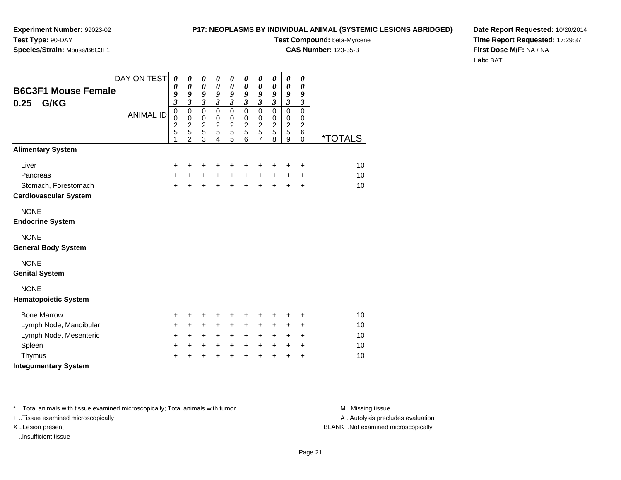#### **P17: NEOPLASMS BY INDIVIDUAL ANIMAL (SYSTEMIC LESIONS ABRIDGED)**

**Test Compound:** beta-Myrcene

**CAS Number:** 123-35-3

**Date Report Requested:** 10/20/2014**Time Report Requested:** 17:29:37**First Dose M/F:** NA / NA**Lab:** BAT

| <b>B6C3F1 Mouse Female</b><br>0.25<br>G/KG                                | DAY ON TEST<br><b>ANIMAL ID</b> | $\boldsymbol{\theta}$<br>$\boldsymbol{\theta}$<br>9<br>$\mathfrak{z}$<br>$\mathbf 0$<br>$\mathbf 0$<br>$\frac{2}{5}$<br>1 | 0<br>0<br>9<br>$\overline{3}$<br>$\mathbf 0$<br>$\mathbf 0$<br>$\overline{c}$<br>5<br>$\overline{2}$ | 0<br>$\boldsymbol{\theta}$<br>9<br>$\mathfrak{z}$<br>$\mathbf 0$<br>$\pmb{0}$<br>$\overline{c}$<br>$\overline{5}$<br>3 | 0<br>$\boldsymbol{\theta}$<br>9<br>$\mathfrak{z}$<br>$\mathbf 0$<br>$\mathbf 0$<br>$\overline{c}$<br>5<br>$\overline{4}$ | $\boldsymbol{\theta}$<br>$\boldsymbol{\theta}$<br>$\boldsymbol{g}$<br>$\mathfrak{z}$<br>$\mathbf 0$<br>$\mathbf 0$<br>$\frac{2}{5}$<br>5 | $\boldsymbol{\theta}$<br>$\boldsymbol{\theta}$<br>$\boldsymbol{g}$<br>$\mathfrak{z}$<br>$\mathbf 0$<br>$\,0\,$<br>$\frac{2}{5}$<br>$\overline{6}$ | 0<br>$\boldsymbol{\theta}$<br>9<br>$\overline{\mathbf{3}}$<br>$\mathbf 0$<br>$\,0\,$<br>$\frac{2}{5}$<br>$\overline{7}$ | 0<br>$\boldsymbol{\theta}$<br>$\boldsymbol{g}$<br>$\mathfrak{z}$<br>$\pmb{0}$<br>$\,0\,$<br>$\frac{2}{5}$<br>$\bar{8}$ | 0<br>0<br>9<br>$\mathfrak{z}$<br>$\mathbf 0$<br>$\pmb{0}$<br>$\overline{2}$<br>5<br>9 | 0<br>$\boldsymbol{\theta}$<br>9<br>$\boldsymbol{\beta}$<br>$\mathbf 0$<br>0<br>$\overline{c}$<br>6<br>$\Omega$ | <i><b>*TOTALS</b></i> |
|---------------------------------------------------------------------------|---------------------------------|---------------------------------------------------------------------------------------------------------------------------|------------------------------------------------------------------------------------------------------|------------------------------------------------------------------------------------------------------------------------|--------------------------------------------------------------------------------------------------------------------------|------------------------------------------------------------------------------------------------------------------------------------------|---------------------------------------------------------------------------------------------------------------------------------------------------|-------------------------------------------------------------------------------------------------------------------------|------------------------------------------------------------------------------------------------------------------------|---------------------------------------------------------------------------------------|----------------------------------------------------------------------------------------------------------------|-----------------------|
| <b>Alimentary System</b>                                                  |                                 |                                                                                                                           |                                                                                                      |                                                                                                                        |                                                                                                                          |                                                                                                                                          |                                                                                                                                                   |                                                                                                                         |                                                                                                                        |                                                                                       |                                                                                                                |                       |
| Liver<br>Pancreas<br>Stomach, Forestomach<br><b>Cardiovascular System</b> |                                 | $\ddot{}$<br>$\ddot{}$<br>$+$                                                                                             | +<br>$\ddot{}$<br>$\ddot{}$                                                                          | $\ddot{}$<br>$+$<br>$\ddot{}$                                                                                          | ÷<br>$\ddot{}$<br>$+$                                                                                                    | +<br>$\ddot{}$<br>$\ddot{}$                                                                                                              | $\ddot{}$<br>$\ddot{}$<br>$+$                                                                                                                     | +<br>$\ddot{}$<br>$\ddot{}$                                                                                             | +<br>$\ddot{}$<br>$\ddot{}$                                                                                            | +<br>+<br>$\ddot{}$                                                                   | $\ddot{}$<br>$\ddot{}$<br>$\ddot{}$                                                                            | 10<br>10<br>10        |
| <b>NONE</b><br><b>Endocrine System</b>                                    |                                 |                                                                                                                           |                                                                                                      |                                                                                                                        |                                                                                                                          |                                                                                                                                          |                                                                                                                                                   |                                                                                                                         |                                                                                                                        |                                                                                       |                                                                                                                |                       |
| <b>NONE</b><br><b>General Body System</b>                                 |                                 |                                                                                                                           |                                                                                                      |                                                                                                                        |                                                                                                                          |                                                                                                                                          |                                                                                                                                                   |                                                                                                                         |                                                                                                                        |                                                                                       |                                                                                                                |                       |
| <b>NONE</b><br><b>Genital System</b>                                      |                                 |                                                                                                                           |                                                                                                      |                                                                                                                        |                                                                                                                          |                                                                                                                                          |                                                                                                                                                   |                                                                                                                         |                                                                                                                        |                                                                                       |                                                                                                                |                       |
| <b>NONE</b><br><b>Hematopoietic System</b>                                |                                 |                                                                                                                           |                                                                                                      |                                                                                                                        |                                                                                                                          |                                                                                                                                          |                                                                                                                                                   |                                                                                                                         |                                                                                                                        |                                                                                       |                                                                                                                |                       |
| <b>Bone Marrow</b>                                                        |                                 | $\ddot{}$                                                                                                                 | +                                                                                                    | $\ddot{}$                                                                                                              | ٠                                                                                                                        | +                                                                                                                                        | $\ddot{}$                                                                                                                                         | +                                                                                                                       | +                                                                                                                      | ٠                                                                                     | $\ddot{}$                                                                                                      | 10                    |
| Lymph Node, Mandibular                                                    |                                 | $\ddot{}$                                                                                                                 | $+$                                                                                                  | $+$                                                                                                                    | $+$                                                                                                                      | $\ddot{}$                                                                                                                                | $\ddot{}$                                                                                                                                         | $\ddot{}$                                                                                                               | $\ddot{}$                                                                                                              | $\ddot{}$                                                                             | $\ddot{}$                                                                                                      | 10                    |
| Lymph Node, Mesenteric                                                    |                                 | $+$                                                                                                                       | $+$                                                                                                  | $+$                                                                                                                    | $+$                                                                                                                      | +                                                                                                                                        | $+$                                                                                                                                               | $+$                                                                                                                     | $+$                                                                                                                    | $\ddot{}$                                                                             | $\ddot{}$                                                                                                      | 10                    |
| Spleen                                                                    |                                 | $\ddot{}$                                                                                                                 | +                                                                                                    | +                                                                                                                      | $\ddot{}$                                                                                                                | +                                                                                                                                        | $\ddot{}$                                                                                                                                         | +                                                                                                                       | $\ddot{}$                                                                                                              | +                                                                                     | $\ddot{}$                                                                                                      | 10                    |
| Thymus<br><b>Integumentary System</b>                                     |                                 | $\ddot{}$                                                                                                                 | $\ddot{}$                                                                                            | $\ddot{}$                                                                                                              | $\ddot{}$                                                                                                                | $\ddot{}$                                                                                                                                | $\ddot{}$                                                                                                                                         | $\ddot{}$                                                                                                               | $\ddot{}$                                                                                                              | +                                                                                     | $\ddot{}$                                                                                                      | 10                    |

\* ..Total animals with tissue examined microscopically; Total animals with tumor **M** . Missing tissue M ..Missing tissue

+ ..Tissue examined microscopically

I ..Insufficient tissue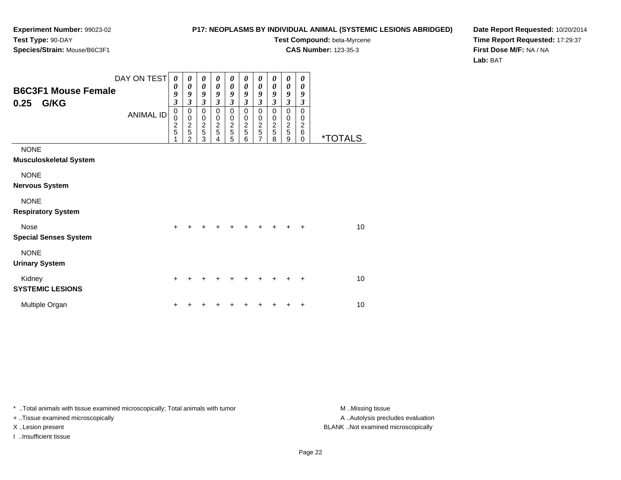#### **P17: NEOPLASMS BY INDIVIDUAL ANIMAL (SYSTEMIC LESIONS ABRIDGED)**

**Test Compound:** beta-Myrcene

**CAS Number:** 123-35-3

**Date Report Requested:** 10/20/2014**Time Report Requested:** 17:29:37**First Dose M/F:** NA / NA**Lab:** BAT

| <b>B6C3F1 Mouse Female</b><br>G/KG<br>0.25   | DAY ON TEST<br><b>ANIMAL ID</b> | 0<br>0<br>$\pmb{9}$<br>$\mathfrak{z}$<br>$\mathbf 0$<br>$\pmb{0}$<br>$\frac{2}{5}$<br>1 | 0<br>0<br>9<br>$\mathfrak{z}$<br>$\pmb{0}$<br>$\pmb{0}$<br>$\overline{2}$<br>$\overline{5}$<br>$\overline{2}$ | 0<br>$\boldsymbol{\theta}$<br>9<br>$\mathfrak{z}$<br>$\mathbf 0$<br>$\pmb{0}$<br>$\frac{2}{5}$<br>3 | 0<br>$\boldsymbol{\theta}$<br>9<br>$\mathfrak{z}$<br>$\mathbf 0$<br>$\mathbf 0$<br>$\boldsymbol{2}$<br>5<br>4 | 0<br>$\boldsymbol{\theta}$<br>9<br>3<br>$\pmb{0}$<br>$\,0\,$<br>$\frac{2}{5}$<br>5 | 0<br>$\boldsymbol{\theta}$<br>9<br>3<br>0<br>0<br>$\frac{2}{5}$<br>6 | 0<br>$\boldsymbol{\theta}$<br>9<br>3<br>0<br>0<br>$\frac{2}{5}$<br>7 | 0<br>$\boldsymbol{\theta}$<br>9<br>3<br>$\mathbf 0$<br>0<br>$\overline{c}$<br>5<br>8 | 0<br>$\boldsymbol{\theta}$<br>9<br>$\mathfrak{z}$<br>0<br>$\pmb{0}$<br>$\frac{2}{5}$<br>9 | 0<br>0<br>9<br>3<br>$\mathbf 0$<br>0<br>$\overline{c}$<br>$\,6$<br>$\Omega$ | <i><b>*TOTALS</b></i> |
|----------------------------------------------|---------------------------------|-----------------------------------------------------------------------------------------|---------------------------------------------------------------------------------------------------------------|-----------------------------------------------------------------------------------------------------|---------------------------------------------------------------------------------------------------------------|------------------------------------------------------------------------------------|----------------------------------------------------------------------|----------------------------------------------------------------------|--------------------------------------------------------------------------------------|-------------------------------------------------------------------------------------------|-----------------------------------------------------------------------------|-----------------------|
| <b>NONE</b><br><b>Musculoskeletal System</b> |                                 |                                                                                         |                                                                                                               |                                                                                                     |                                                                                                               |                                                                                    |                                                                      |                                                                      |                                                                                      |                                                                                           |                                                                             |                       |
| <b>NONE</b><br><b>Nervous System</b>         |                                 |                                                                                         |                                                                                                               |                                                                                                     |                                                                                                               |                                                                                    |                                                                      |                                                                      |                                                                                      |                                                                                           |                                                                             |                       |
| <b>NONE</b><br><b>Respiratory System</b>     |                                 |                                                                                         |                                                                                                               |                                                                                                     |                                                                                                               |                                                                                    |                                                                      |                                                                      |                                                                                      |                                                                                           |                                                                             |                       |
| <b>Nose</b><br><b>Special Senses System</b>  |                                 | $\ddot{}$                                                                               |                                                                                                               |                                                                                                     | +                                                                                                             | +                                                                                  |                                                                      |                                                                      |                                                                                      | ÷                                                                                         | $\ddot{}$                                                                   | 10                    |
| <b>NONE</b><br><b>Urinary System</b>         |                                 |                                                                                         |                                                                                                               |                                                                                                     |                                                                                                               |                                                                                    |                                                                      |                                                                      |                                                                                      |                                                                                           |                                                                             |                       |
| Kidney<br><b>SYSTEMIC LESIONS</b>            |                                 | $\ddot{}$                                                                               |                                                                                                               |                                                                                                     |                                                                                                               |                                                                                    |                                                                      |                                                                      |                                                                                      |                                                                                           | ÷                                                                           | 10                    |
| Multiple Organ                               |                                 |                                                                                         |                                                                                                               |                                                                                                     |                                                                                                               |                                                                                    |                                                                      |                                                                      |                                                                                      |                                                                                           |                                                                             | 10                    |

\* ..Total animals with tissue examined microscopically; Total animals with tumor **M** . Missing tissue M ..Missing tissue

+ ..Tissue examined microscopically

I ..Insufficient tissue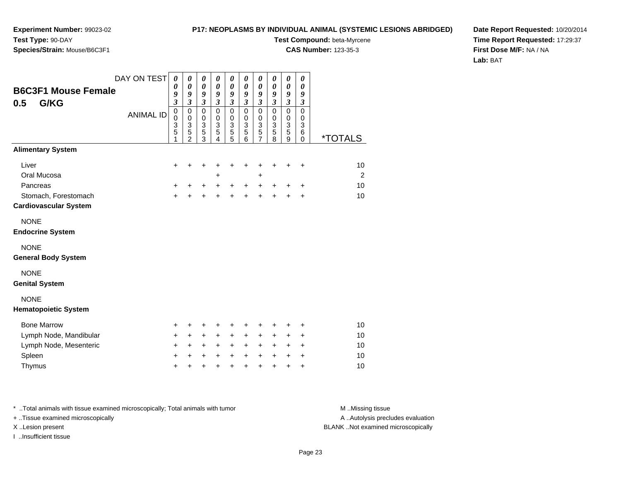#### **P17: NEOPLASMS BY INDIVIDUAL ANIMAL (SYSTEMIC LESIONS ABRIDGED)**

**Test Compound:** beta-Myrcene

**CAS Number:** 123-35-3

**Date Report Requested:** 10/20/2014**Time Report Requested:** 17:29:37**First Dose M/F:** NA / NA**Lab:** BAT

| <b>B6C3F1 Mouse Female</b><br>G/KG<br>0.5<br><b>Alimentary System</b>                      | DAY ON TEST<br><b>ANIMAL ID</b> | $\boldsymbol{\theta}$<br>0<br>9<br>$\mathfrak{z}$<br>$\mathbf 0$<br>$\pmb{0}$<br>$\frac{3}{5}$<br>1 | $\boldsymbol{\theta}$<br>$\boldsymbol{\theta}$<br>9<br>$\mathfrak{z}$<br>$\mathbf 0$<br>$\pmb{0}$<br>$\ensuremath{\mathsf{3}}$<br>$\overline{5}$<br>$\mathfrak{p}$ | $\pmb{\theta}$<br>0<br>9<br>$\boldsymbol{\mathfrak{z}}$<br>$\mathbf 0$<br>$\pmb{0}$<br>3<br>$\overline{5}$<br>$\overline{3}$ | $\pmb{\theta}$<br>0<br>9<br>3<br>$\Omega$<br>0<br>3<br>5<br>4 | $\boldsymbol{\theta}$<br>0<br>9<br>$\mathfrak{z}$<br>$\mathbf 0$<br>$\mathbf 0$<br>3<br>5<br>5 | $\boldsymbol{\theta}$<br>0<br>9<br>$\mathfrak{z}$<br>$\mathbf 0$<br>$\mathbf 0$<br>$\mathbf{3}$<br>5<br>6 | $\boldsymbol{\theta}$<br>0<br>9<br>$\mathfrak{z}$<br>$\mathbf 0$<br>$\mathbf 0$<br>$\ensuremath{\mathsf{3}}$<br>$\overline{5}$<br>7 | $\boldsymbol{\theta}$<br>$\boldsymbol{\theta}$<br>9<br>$\boldsymbol{\beta}$<br>$\mathbf 0$<br>0<br>$\ensuremath{\mathsf{3}}$<br>$\overline{5}$<br>8 | $\boldsymbol{\theta}$<br>$\boldsymbol{\theta}$<br>9<br>$\boldsymbol{\beta}$<br>$\mathbf 0$<br>$\mathbf 0$<br>$\overline{3}$<br>$\overline{5}$<br>9 | 0<br>0<br>9<br>$\boldsymbol{\mathfrak{z}}$<br>$\mathbf 0$<br>$\mathbf 0$<br>3<br>6<br>$\mathbf 0$ | <i><b>*TOTALS</b></i>      |   |
|--------------------------------------------------------------------------------------------|---------------------------------|-----------------------------------------------------------------------------------------------------|--------------------------------------------------------------------------------------------------------------------------------------------------------------------|------------------------------------------------------------------------------------------------------------------------------|---------------------------------------------------------------|------------------------------------------------------------------------------------------------|-----------------------------------------------------------------------------------------------------------|-------------------------------------------------------------------------------------------------------------------------------------|-----------------------------------------------------------------------------------------------------------------------------------------------------|----------------------------------------------------------------------------------------------------------------------------------------------------|---------------------------------------------------------------------------------------------------|----------------------------|---|
| Liver<br>Oral Mucosa<br>Pancreas<br>Stomach, Forestomach<br><b>Cardiovascular System</b>   |                                 | +<br>$\ddot{}$<br>$\ddot{}$                                                                         | +<br>$\ddot{}$                                                                                                                                                     | ٠<br>+<br>$\ddot{}$                                                                                                          | +<br>+<br>$\ddot{}$<br>$\ddot{}$                              | +<br>$\ddot{}$<br>$\ddot{}$                                                                    | ٠<br>$\ddot{}$<br>$+$                                                                                     | ٠<br>+<br>$+$<br>$\ddot{}$                                                                                                          | +<br>$\ddot{}$<br>$\ddot{}$                                                                                                                         | +<br>$\ddot{}$<br>$\ddot{}$                                                                                                                        | +<br>$\ddot{}$<br>+                                                                               | 10<br>10<br>10             | 2 |
| <b>NONE</b><br><b>Endocrine System</b><br><b>NONE</b><br><b>General Body System</b>        |                                 |                                                                                                     |                                                                                                                                                                    |                                                                                                                              |                                                               |                                                                                                |                                                                                                           |                                                                                                                                     |                                                                                                                                                     |                                                                                                                                                    |                                                                                                   |                            |   |
| <b>NONE</b><br><b>Genital System</b><br><b>NONE</b><br><b>Hematopoietic System</b>         |                                 |                                                                                                     |                                                                                                                                                                    |                                                                                                                              |                                                               |                                                                                                |                                                                                                           |                                                                                                                                     |                                                                                                                                                     |                                                                                                                                                    |                                                                                                   |                            |   |
| <b>Bone Marrow</b><br>Lymph Node, Mandibular<br>Lymph Node, Mesenteric<br>Spleen<br>Thymus |                                 | +<br>+<br>+<br>$\ddot{}$<br>+                                                                       | +<br>$\pm$<br>$\ddot{}$<br>$\ddot{}$<br>+                                                                                                                          | +<br>$\ddot{}$<br>$\ddot{}$<br>$\ddot{}$<br>+                                                                                | +<br>$\ddot{}$<br>+<br>$\ddot{}$<br>+                         | +<br>$\ddot{}$<br>+<br>$\ddot{}$<br>+                                                          | +<br>$\ddot{}$<br>$\ddot{}$<br>$\ddot{}$<br>$\ddot{}$                                                     | +<br>$\ddot{}$<br>$\ddot{}$<br>$\ddot{}$<br>$\ddot{}$                                                                               | +<br>+<br>+<br>$\ddot{}$<br>$\ddot{}$                                                                                                               | +<br>+<br>+<br>+<br>+                                                                                                                              | $\ddot{}$<br>+<br>+<br>$\ddot{}$<br>+                                                             | 10<br>10<br>10<br>10<br>10 |   |

\* ..Total animals with tissue examined microscopically; Total animals with tumor **M** . Missing tissue M ..Missing tissue + ..Tissue examined microscopically

I ..Insufficient tissue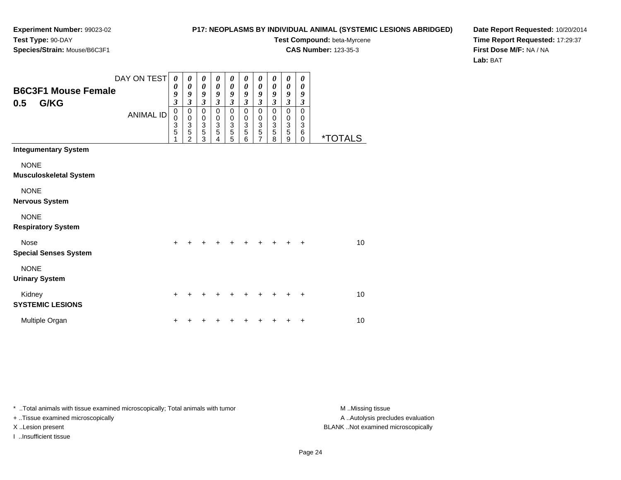#### **P17: NEOPLASMS BY INDIVIDUAL ANIMAL (SYSTEMIC LESIONS ABRIDGED)**

**Test Compound:** beta-Myrcene

**CAS Number:** 123-35-3

**Date Report Requested:** 10/20/2014**Time Report Requested:** 17:29:37**First Dose M/F:** NA / NA**Lab:** BAT

| <b>B6C3F1 Mouse Female</b><br>G/KG<br>0.5    | DAY ON TEST<br><b>ANIMAL ID</b> | $\boldsymbol{\theta}$<br>0<br>9<br>$\overline{\mathbf{3}}$<br>$\mathbf 0$<br>$\pmb{0}$<br>$\frac{3}{5}$<br>1 | 0<br>$\boldsymbol{\theta}$<br>9<br>$\overline{\mathbf{3}}$<br>0<br>$\pmb{0}$<br>$\ensuremath{\mathsf{3}}$<br>5<br>$\mathfrak{p}$ | 0<br>$\boldsymbol{\theta}$<br>9<br>3<br>0<br>0<br>$\frac{3}{5}$<br>3 | $\boldsymbol{\theta}$<br>$\boldsymbol{\theta}$<br>9<br>$\mathfrak{z}$<br>$\pmb{0}$<br>$\mathbf 0$<br>$\ensuremath{\mathsf{3}}$<br>$\sqrt{5}$<br>4 | 0<br>0<br>9<br>$\mathfrak{z}$<br>$\mathbf 0$<br>$\pmb{0}$<br>$\ensuremath{\mathsf{3}}$<br>$\overline{5}$<br>5 | $\boldsymbol{\theta}$<br>$\boldsymbol{\theta}$<br>9<br>$\mathfrak{z}$<br>$\mathbf 0$<br>$\mathbf 0$<br>$\ensuremath{\mathsf{3}}$<br>$\overline{5}$<br>6 | $\boldsymbol{\theta}$<br>0<br>9<br>$\mathfrak{z}$<br>$\mathbf 0$<br>$\begin{array}{c} 0 \\ 3 \\ 5 \end{array}$<br>$\overline{7}$ | $\boldsymbol{\theta}$<br>$\boldsymbol{\theta}$<br>9<br>$\mathfrak{z}$<br>$\mathbf 0$<br>$\pmb{0}$<br>$\frac{3}{5}$<br>8 | $\boldsymbol{\theta}$<br>$\boldsymbol{\theta}$<br>9<br>$\mathfrak{z}$<br>$\mathbf 0$<br>$\pmb{0}$<br>$\ensuremath{\mathsf{3}}$<br>$\overline{5}$<br>9 | 0<br>$\boldsymbol{\theta}$<br>9<br>$\boldsymbol{\beta}$<br>$\mathbf 0$<br>0<br>$\ensuremath{\mathsf{3}}$<br>6<br>$\mathbf 0$ | <i><b>*TOTALS</b></i> |
|----------------------------------------------|---------------------------------|--------------------------------------------------------------------------------------------------------------|----------------------------------------------------------------------------------------------------------------------------------|----------------------------------------------------------------------|---------------------------------------------------------------------------------------------------------------------------------------------------|---------------------------------------------------------------------------------------------------------------|---------------------------------------------------------------------------------------------------------------------------------------------------------|----------------------------------------------------------------------------------------------------------------------------------|-------------------------------------------------------------------------------------------------------------------------|-------------------------------------------------------------------------------------------------------------------------------------------------------|------------------------------------------------------------------------------------------------------------------------------|-----------------------|
| <b>Integumentary System</b>                  |                                 |                                                                                                              |                                                                                                                                  |                                                                      |                                                                                                                                                   |                                                                                                               |                                                                                                                                                         |                                                                                                                                  |                                                                                                                         |                                                                                                                                                       |                                                                                                                              |                       |
| <b>NONE</b><br><b>Musculoskeletal System</b> |                                 |                                                                                                              |                                                                                                                                  |                                                                      |                                                                                                                                                   |                                                                                                               |                                                                                                                                                         |                                                                                                                                  |                                                                                                                         |                                                                                                                                                       |                                                                                                                              |                       |
| <b>NONE</b><br><b>Nervous System</b>         |                                 |                                                                                                              |                                                                                                                                  |                                                                      |                                                                                                                                                   |                                                                                                               |                                                                                                                                                         |                                                                                                                                  |                                                                                                                         |                                                                                                                                                       |                                                                                                                              |                       |
| <b>NONE</b><br><b>Respiratory System</b>     |                                 |                                                                                                              |                                                                                                                                  |                                                                      |                                                                                                                                                   |                                                                                                               |                                                                                                                                                         |                                                                                                                                  |                                                                                                                         |                                                                                                                                                       |                                                                                                                              |                       |
| <b>Nose</b><br><b>Special Senses System</b>  |                                 | +                                                                                                            |                                                                                                                                  |                                                                      |                                                                                                                                                   |                                                                                                               |                                                                                                                                                         |                                                                                                                                  |                                                                                                                         |                                                                                                                                                       | ÷                                                                                                                            | 10                    |
| <b>NONE</b><br><b>Urinary System</b>         |                                 |                                                                                                              |                                                                                                                                  |                                                                      |                                                                                                                                                   |                                                                                                               |                                                                                                                                                         |                                                                                                                                  |                                                                                                                         |                                                                                                                                                       |                                                                                                                              |                       |
| Kidney<br><b>SYSTEMIC LESIONS</b>            |                                 | $\ddot{}$                                                                                                    |                                                                                                                                  |                                                                      |                                                                                                                                                   |                                                                                                               |                                                                                                                                                         |                                                                                                                                  |                                                                                                                         |                                                                                                                                                       |                                                                                                                              | 10                    |
| Multiple Organ                               |                                 | +                                                                                                            |                                                                                                                                  |                                                                      |                                                                                                                                                   |                                                                                                               |                                                                                                                                                         |                                                                                                                                  |                                                                                                                         |                                                                                                                                                       | +                                                                                                                            | 10                    |

\* ..Total animals with tissue examined microscopically; Total animals with tumor **M** . Missing tissue M ..Missing tissue

+ ..Tissue examined microscopically

I ..Insufficient tissue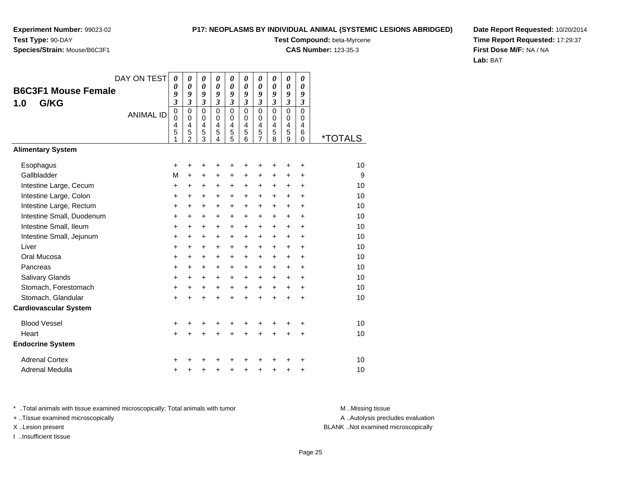#### **P17: NEOPLASMS BY INDIVIDUAL ANIMAL (SYSTEMIC LESIONS ABRIDGED)**

**Test Compound:** beta-Myrcene

**CAS Number:** 123-35-3

**Date Report Requested:** 10/20/2014**Time Report Requested:** 17:29:37**First Dose M/F:** NA / NA**Lab:** BAT

|                              | DAY ON TEST      | $\boldsymbol{\theta}$<br>0                        | 0<br>$\boldsymbol{\theta}$                                                        | 0<br>0                                                               | 0<br>0                                                             | 0<br>0                                                         | $\boldsymbol{\theta}$<br>$\boldsymbol{\theta}$                 | 0<br>0                                                                                | 0<br>0                            | $\pmb{\theta}$<br>0                                               | 0<br>0                                                            |                       |
|------------------------------|------------------|---------------------------------------------------|-----------------------------------------------------------------------------------|----------------------------------------------------------------------|--------------------------------------------------------------------|----------------------------------------------------------------|----------------------------------------------------------------|---------------------------------------------------------------------------------------|-----------------------------------|-------------------------------------------------------------------|-------------------------------------------------------------------|-----------------------|
| <b>B6C3F1 Mouse Female</b>   |                  | 9                                                 | 9                                                                                 | 9                                                                    | 9                                                                  | 9                                                              | 9                                                              | 9                                                                                     | 9                                 | 9                                                                 | 9                                                                 |                       |
| G/KG<br>1.0                  | <b>ANIMAL ID</b> | $\mathfrak{z}$<br>0<br>$\mathbf 0$<br>4<br>5<br>1 | $\overline{\mathbf{3}}$<br>$\mathbf 0$<br>$\mathbf 0$<br>4<br>5<br>$\overline{2}$ | $\boldsymbol{\beta}$<br>$\mathbf 0$<br>0<br>4<br>5<br>$\overline{3}$ | $\mathfrak{z}$<br>$\Omega$<br>$\Omega$<br>$\overline{4}$<br>5<br>4 | $\mathfrak{z}$<br>$\mathbf 0$<br>0<br>$\overline{4}$<br>5<br>5 | $\mathfrak{z}$<br>$\mathbf 0$<br>0<br>$\overline{4}$<br>5<br>6 | $\boldsymbol{\mathfrak{z}}$<br>$\mathbf 0$<br>$\mathbf 0$<br>4<br>5<br>$\overline{7}$ | 3<br>$\Omega$<br>0<br>4<br>5<br>8 | $\boldsymbol{\beta}$<br>$\mathbf 0$<br>$\mathbf 0$<br>4<br>5<br>9 | $\boldsymbol{\beta}$<br>0<br>0<br>$\overline{4}$<br>6<br>$\Omega$ | <i><b>*TOTALS</b></i> |
| <b>Alimentary System</b>     |                  |                                                   |                                                                                   |                                                                      |                                                                    |                                                                |                                                                |                                                                                       |                                   |                                                                   |                                                                   |                       |
| Esophagus                    |                  | +                                                 | +                                                                                 | +                                                                    | +                                                                  | +                                                              | +                                                              | +                                                                                     | +                                 | +                                                                 | +                                                                 | 10                    |
| Gallbladder                  |                  | M                                                 | $\ddot{}$                                                                         | $\ddot{}$                                                            | $\ddot{}$                                                          | $\ddot{}$                                                      | $\ddot{}$                                                      | $\ddot{}$                                                                             | $\ddot{}$                         | $\ddot{}$                                                         | $\ddot{}$                                                         | 9                     |
| Intestine Large, Cecum       |                  | +                                                 | $\ddot{}$                                                                         | +                                                                    | +                                                                  | $\ddot{}$                                                      | +                                                              | $\ddot{}$                                                                             | +                                 | +                                                                 | $\ddot{}$                                                         | 10                    |
| Intestine Large, Colon       |                  | +                                                 | $\ddot{}$                                                                         | $\ddot{}$                                                            | +                                                                  | $\ddot{}$                                                      | $\ddot{}$                                                      | $\pm$                                                                                 | $\pm$                             | $\pm$                                                             | +                                                                 | 10                    |
| Intestine Large, Rectum      |                  | +                                                 | $+$                                                                               | $\ddot{}$                                                            | $\ddot{}$                                                          | $\ddot{}$                                                      | $\ddot{}$                                                      | $+$                                                                                   | $\ddot{}$                         | $\ddot{}$                                                         | $\ddot{}$                                                         | 10                    |
| Intestine Small, Duodenum    |                  | +                                                 | +                                                                                 | $\ddot{}$                                                            | +                                                                  | +                                                              | $\ddot{}$                                                      | $\ddot{}$                                                                             | +                                 | +                                                                 | +                                                                 | 10                    |
| Intestine Small, Ileum       |                  | +                                                 | $\ddot{}$                                                                         | $\ddot{}$                                                            | +                                                                  | $\ddot{}$                                                      | $\ddot{}$                                                      | $\ddot{}$                                                                             | $\ddot{}$                         | $\ddot{}$                                                         | $\ddot{}$                                                         | 10                    |
| Intestine Small, Jejunum     |                  | +                                                 | $\ddot{}$                                                                         | $\ddot{}$                                                            | $\ddot{}$                                                          | $\ddot{}$                                                      | $\ddot{}$                                                      | $+$                                                                                   | $\ddot{}$                         | $\ddot{}$                                                         | $\ddot{}$                                                         | 10                    |
| Liver                        |                  | $\ddot{}$                                         | $\ddot{}$                                                                         | $\ddot{}$                                                            | $\ddot{}$                                                          | $\ddot{}$                                                      | +                                                              | $\ddot{}$                                                                             | $\ddot{}$                         | +                                                                 | $\ddot{}$                                                         | 10                    |
| Oral Mucosa                  |                  | $\ddot{}$                                         | +                                                                                 | $\ddot{}$                                                            | +                                                                  | +                                                              | $\ddot{}$                                                      | $+$                                                                                   | $\ddot{}$                         | +                                                                 | +                                                                 | 10                    |
| Pancreas                     |                  | +                                                 | $\ddot{}$                                                                         | $\ddot{}$                                                            | $\ddot{}$                                                          | $\ddot{}$                                                      | $+$                                                            | $\ddot{}$                                                                             | $\ddot{}$                         | $\ddot{}$                                                         | $\ddot{}$                                                         | 10                    |
| Salivary Glands              |                  | +                                                 | $\ddot{}$                                                                         | +                                                                    | +                                                                  | $\ddot{}$                                                      | $\ddot{}$                                                      | $\pm$                                                                                 | $\ddot{}$                         | $\pm$                                                             | +                                                                 | 10                    |
| Stomach, Forestomach         |                  | +                                                 | $\ddot{}$                                                                         | +                                                                    | +                                                                  | $\ddot{}$                                                      | $\ddot{}$                                                      | $\ddot{}$                                                                             | $\ddot{}$                         | $\ddot{}$                                                         | $\ddot{}$                                                         | 10                    |
| Stomach, Glandular           |                  | $\ddot{}$                                         | ÷                                                                                 | $\ddot{}$                                                            | $\ddot{}$                                                          | $\ddot{}$                                                      | $\ddot{}$                                                      | $\ddot{}$                                                                             | $\ddot{}$                         | $\ddot{}$                                                         | $\ddot{}$                                                         | 10                    |
| <b>Cardiovascular System</b> |                  |                                                   |                                                                                   |                                                                      |                                                                    |                                                                |                                                                |                                                                                       |                                   |                                                                   |                                                                   |                       |
| <b>Blood Vessel</b>          |                  | +                                                 |                                                                                   | +                                                                    | +                                                                  | +                                                              |                                                                |                                                                                       |                                   |                                                                   | +                                                                 | 10                    |
| Heart                        |                  | $\ddot{}$                                         | $\ddot{}$                                                                         | $\ddot{}$                                                            | $\ddot{}$                                                          | $\ddot{}$                                                      | $\ddot{}$                                                      | $\ddot{}$                                                                             | $\ddot{}$                         | $\ddot{}$                                                         | +                                                                 | 10                    |
| <b>Endocrine System</b>      |                  |                                                   |                                                                                   |                                                                      |                                                                    |                                                                |                                                                |                                                                                       |                                   |                                                                   |                                                                   |                       |
| <b>Adrenal Cortex</b>        |                  | +                                                 |                                                                                   |                                                                      |                                                                    | ٠                                                              |                                                                |                                                                                       |                                   |                                                                   | +                                                                 | 10                    |
| <b>Adrenal Medulla</b>       |                  | +                                                 |                                                                                   | +                                                                    | +                                                                  | $\pmb{+}$                                                      | +                                                              | +                                                                                     | +                                 | +                                                                 | +                                                                 | 10                    |

\* ..Total animals with tissue examined microscopically; Total animals with tumor **M** . Missing tissue M ..Missing tissue

+ ..Tissue examined microscopically

I ..Insufficient tissue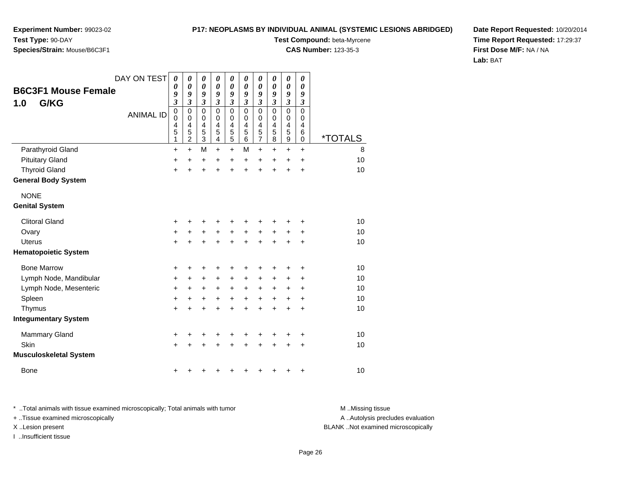**Experiment Number:** 99023-02**Test Type:** 90-DAY

## **Species/Strain:** Mouse/B6C3F1

**Test Compound:** beta-Myrcene

**CAS Number:** 123-35-3

**Date Report Requested:** 10/20/2014**Time Report Requested:** 17:29:37**First Dose M/F:** NA / NA**Lab:** BAT

|               |                               | DAY ON TEST      | $\boldsymbol{\theta}$       | 0<br>$\boldsymbol{\theta}$ | $\boldsymbol{\theta}$<br>0 | 0<br>$\boldsymbol{\theta}$ | $\boldsymbol{\theta}$<br>0 | 0<br>0        | $\boldsymbol{\theta}$<br>0 | 0<br>0              | $\boldsymbol{\theta}$<br>$\boldsymbol{\theta}$ | 0<br>0           |                       |
|---------------|-------------------------------|------------------|-----------------------------|----------------------------|----------------------------|----------------------------|----------------------------|---------------|----------------------------|---------------------|------------------------------------------------|------------------|-----------------------|
|               | <b>B6C3F1 Mouse Female</b>    |                  | 0<br>9                      | 9                          | 9                          | 9                          | 9                          | 9             | 9                          | 9                   | 9                                              | 9                |                       |
| 1.0           | G/KG                          |                  | $\boldsymbol{\mathfrak{z}}$ | $\mathfrak{z}$             | $\mathfrak{z}$             | $\mathfrak{z}$             | $\boldsymbol{\beta}$       | 3             | 3                          | 3                   | $\boldsymbol{\beta}$                           | 3                |                       |
|               |                               | <b>ANIMAL ID</b> | $\mathbf 0$<br>$\mathbf 0$  | $\mathbf 0$<br>$\pmb{0}$   | $\mathbf 0$<br>0           | $\Omega$<br>0              | $\Omega$<br>0              | $\Omega$<br>0 | $\mathbf 0$<br>$\mathbf 0$ | $\overline{0}$<br>0 | $\mathbf 0$<br>0                               | $\mathbf 0$<br>0 |                       |
|               |                               |                  | 4                           | 4                          | 4                          | 4                          | 4                          | 4             | 4                          | 4                   | $\overline{\mathbf{4}}$                        | 4                |                       |
|               |                               |                  | 5<br>1                      | 5<br>$\overline{c}$        | 5<br>3                     | 5<br>4                     | 5<br>$\overline{5}$        | 5<br>6        | 5<br>$\overline{7}$        | 5<br>8              | 5<br>$\boldsymbol{9}$                          | 6<br>0           | <i><b>*TOTALS</b></i> |
|               | Parathyroid Gland             |                  | +                           | $\ddot{}$                  | M                          | $\ddot{}$                  | $\ddot{}$                  | м             | $\ddot{}$                  | $\pm$               | $\ddot{}$                                      | $\ddot{}$        | 8                     |
|               | <b>Pituitary Gland</b>        |                  | +                           | +                          | +                          | +                          | +                          | +             | $\ddot{}$                  | $\pm$               | $\pm$                                          | $\ddot{}$        | 10                    |
|               | <b>Thyroid Gland</b>          |                  | +                           |                            | $\ddot{}$                  | $\ddot{}$                  | $\ddot{}$                  | $\ddot{}$     | $\ddot{}$                  | $\ddot{}$           | $\ddot{}$                                      | $\ddot{}$        | 10                    |
|               | <b>General Body System</b>    |                  |                             |                            |                            |                            |                            |               |                            |                     |                                                |                  |                       |
| <b>NONE</b>   |                               |                  |                             |                            |                            |                            |                            |               |                            |                     |                                                |                  |                       |
|               | <b>Genital System</b>         |                  |                             |                            |                            |                            |                            |               |                            |                     |                                                |                  |                       |
|               | <b>Clitoral Gland</b>         |                  | +                           |                            |                            |                            | +                          |               |                            |                     |                                                | +                | 10                    |
| Ovary         |                               |                  | +                           | +                          | +                          | +                          | +                          | +             | +                          | +                   | +                                              | +                | 10                    |
| <b>Uterus</b> |                               |                  | $\ddot{}$                   |                            | +                          | $\ddot{}$                  | $\ddot{}$                  | $\ddot{}$     | $\ddot{}$                  |                     |                                                | +                | 10                    |
|               | <b>Hematopoietic System</b>   |                  |                             |                            |                            |                            |                            |               |                            |                     |                                                |                  |                       |
|               | <b>Bone Marrow</b>            |                  | +                           | +                          | +                          | +                          | +                          | +             | +                          |                     | +                                              | +                | 10                    |
|               | Lymph Node, Mandibular        |                  | +                           | +                          | +                          | +                          | +                          | $\pm$         | +                          | $\pm$               | +                                              | +                | 10                    |
|               | Lymph Node, Mesenteric        |                  | +                           | $\ddot{}$                  | +                          | +                          | +                          | $\pm$         | +                          | $\pm$               | +                                              | +                | 10                    |
| Spleen        |                               |                  | $\ddot{}$                   | +                          | +                          | $\ddot{}$                  | $\ddot{}$                  | $\ddot{}$     | $\ddot{}$                  | $\ddot{}$           | +                                              | $\ddot{}$        | 10                    |
| Thymus        |                               |                  | +                           |                            | +                          | +                          | $\ddot{}$                  | $\ddot{}$     | $\ddot{}$                  | +                   | +                                              | +                | 10                    |
|               | <b>Integumentary System</b>   |                  |                             |                            |                            |                            |                            |               |                            |                     |                                                |                  |                       |
|               | Mammary Gland                 |                  | $\ddot{}$                   | ٠                          | +                          | +                          | +                          | +             | +                          | +                   | ٠                                              | +                | 10                    |
| Skin          |                               |                  | $\ddot{}$                   |                            |                            |                            | +                          |               |                            |                     | +                                              | +                | 10                    |
|               | <b>Musculoskeletal System</b> |                  |                             |                            |                            |                            |                            |               |                            |                     |                                                |                  |                       |
| Bone          |                               |                  | +                           |                            |                            |                            | +                          | ٠             | +                          | +                   | +                                              | +                | 10                    |

\* ..Total animals with tissue examined microscopically; Total animals with tumor **M** . Missing tissue M ..Missing tissue + ..Tissue examined microscopically X ..Lesion present BLANK ..Not examined microscopically

I ..Insufficient tissue

A ..Autolysis precludes evaluation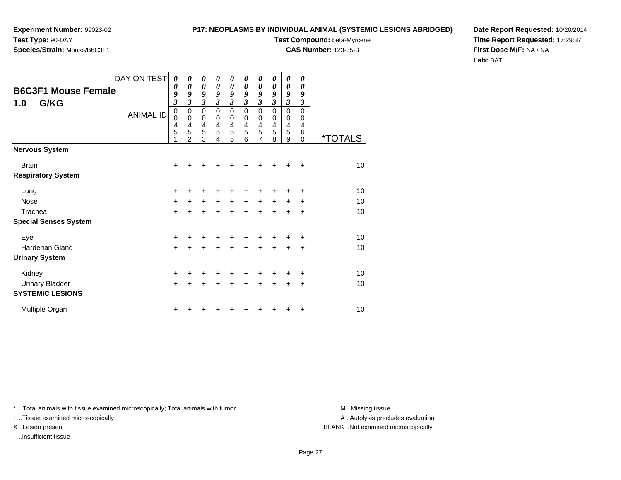### **Species/Strain:** Mouse/B6C3F1

**P17: NEOPLASMS BY INDIVIDUAL ANIMAL (SYSTEMIC LESIONS ABRIDGED)**

**Test Compound:** beta-Myrcene

**CAS Number:** 123-35-3

**Date Report Requested:** 10/20/2014**Time Report Requested:** 17:29:37**First Dose M/F:** NA / NA**Lab:** BAT

| <b>B6C3F1 Mouse Female</b><br>G/KG<br>1.0 | DAY ON TEST<br><b>ANIMAL ID</b> | 0<br>0<br>9<br>$\mathfrak{z}$<br>0<br>0<br>4<br>5 | 0<br>$\boldsymbol{\theta}$<br>9<br>3<br>0<br>0<br>$\overline{4}$<br>5<br>2 | 0<br>0<br>9<br>3<br>0<br>0<br>4<br>5<br>3 | 0<br>0<br>9<br>3<br>0<br>0<br>$\overline{4}$<br>5<br>4 | 0<br>0<br>9<br>3<br>0<br>0<br>4<br>5<br>5 | 0<br>0<br>9<br>3<br>$\Omega$<br>0<br>4<br>5<br>6 | 0<br>0<br>9<br>$\overline{\mathbf{3}}$<br>0<br>0<br>4<br>5<br>7 | 0<br>$\boldsymbol{\theta}$<br>9<br>$\overline{\mathbf{3}}$<br>$\mathbf 0$<br>0<br>$\overline{4}$<br>5<br>8 | 0<br>0<br>9<br>$\mathfrak{z}$<br>$\pmb{0}$<br>0<br>4<br>5<br>9 | 0<br>0<br>9<br>$\overline{\mathbf{3}}$<br>$\mathbf 0$<br>0<br>4<br>6<br>$\Omega$ | <i><b>*TOTALS</b></i> |
|-------------------------------------------|---------------------------------|---------------------------------------------------|----------------------------------------------------------------------------|-------------------------------------------|--------------------------------------------------------|-------------------------------------------|--------------------------------------------------|-----------------------------------------------------------------|------------------------------------------------------------------------------------------------------------|----------------------------------------------------------------|----------------------------------------------------------------------------------|-----------------------|
| <b>Nervous System</b>                     |                                 |                                                   |                                                                            |                                           |                                                        |                                           |                                                  |                                                                 |                                                                                                            |                                                                |                                                                                  |                       |
| <b>Brain</b><br><b>Respiratory System</b> |                                 | +                                                 |                                                                            |                                           |                                                        |                                           |                                                  |                                                                 |                                                                                                            |                                                                | +                                                                                | 10                    |
| Lung                                      |                                 | $\ddot{}$                                         |                                                                            |                                           |                                                        |                                           |                                                  |                                                                 |                                                                                                            |                                                                | ٠                                                                                | 10                    |
| <b>Nose</b>                               |                                 | $\ddot{}$                                         | $\pm$                                                                      | $\ddot{}$                                 | $\ddot{}$                                              | $+$                                       | $\ddot{}$                                        | $\ddot{}$                                                       | $+$                                                                                                        | $+$                                                            | ÷                                                                                | 10                    |
| Trachea                                   |                                 | $\ddot{}$                                         | +                                                                          | $\ddot{}$                                 | $\ddot{}$                                              | $\ddot{}$                                 | $\ddot{}$                                        | $\ddot{}$                                                       | $\ddot{}$                                                                                                  | $\ddot{}$                                                      | $\ddot{}$                                                                        | 10                    |
| <b>Special Senses System</b>              |                                 |                                                   |                                                                            |                                           |                                                        |                                           |                                                  |                                                                 |                                                                                                            |                                                                |                                                                                  |                       |
| Eye                                       |                                 | +                                                 |                                                                            |                                           |                                                        |                                           |                                                  |                                                                 |                                                                                                            |                                                                | +                                                                                | 10                    |
| <b>Harderian Gland</b>                    |                                 | $\ddot{}$                                         |                                                                            |                                           |                                                        | $\ddot{}$                                 | +                                                | $\ddot{}$                                                       | +                                                                                                          | $\pm$                                                          | $\ddot{}$                                                                        | 10                    |
| <b>Urinary System</b>                     |                                 |                                                   |                                                                            |                                           |                                                        |                                           |                                                  |                                                                 |                                                                                                            |                                                                |                                                                                  |                       |
| Kidney                                    |                                 | +                                                 |                                                                            | +                                         |                                                        | ٠                                         | ٠                                                | +                                                               |                                                                                                            |                                                                | $\ddot{}$                                                                        | 10                    |
| <b>Urinary Bladder</b>                    |                                 | $\ddot{}$                                         |                                                                            | $\ddot{}$                                 | $\ddot{}$                                              | $\ddot{}$                                 | $\ddot{}$                                        | $\ddot{}$                                                       | $\ddot{}$                                                                                                  | $\pm$                                                          | $\ddot{}$                                                                        | 10                    |
| <b>SYSTEMIC LESIONS</b>                   |                                 |                                                   |                                                                            |                                           |                                                        |                                           |                                                  |                                                                 |                                                                                                            |                                                                |                                                                                  |                       |
| Multiple Organ                            |                                 | +                                                 |                                                                            |                                           |                                                        |                                           |                                                  |                                                                 |                                                                                                            |                                                                | +                                                                                | 10                    |

\* ..Total animals with tissue examined microscopically; Total animals with tumor **M** . Missing tissue M ..Missing tissue

+ ..Tissue examined microscopically

I ..Insufficient tissue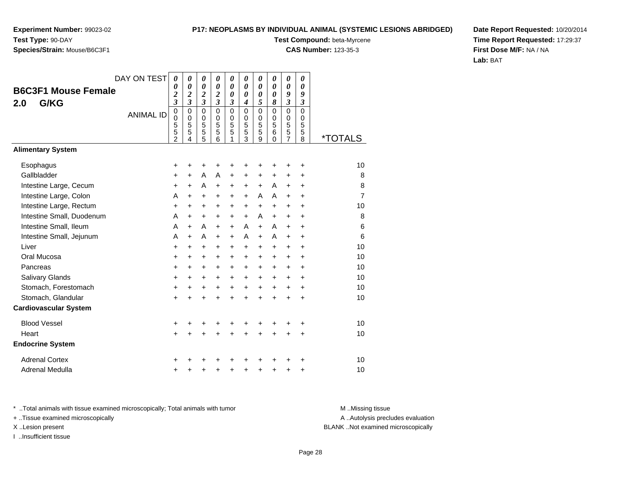#### **P17: NEOPLASMS BY INDIVIDUAL ANIMAL (SYSTEMIC LESIONS ABRIDGED)**

**Test Compound:** beta-Myrcene

**CAS Number:** 123-35-3

**Date Report Requested:** 10/20/2014**Time Report Requested:** 17:29:37**First Dose M/F:** NA / NA**Lab:** BAT

|                              | DAY ON TEST      | $\boldsymbol{\theta}$                           | 0                                      | 0                                                | 0                                      | 0                                            | 0                            | 0                                            | 0                                      | $\pmb{\theta}$                            | 0                                      |                       |
|------------------------------|------------------|-------------------------------------------------|----------------------------------------|--------------------------------------------------|----------------------------------------|----------------------------------------------|------------------------------|----------------------------------------------|----------------------------------------|-------------------------------------------|----------------------------------------|-----------------------|
| <b>B6C3F1 Mouse Female</b>   |                  | 0<br>$\overline{\mathbf{c}}$                    | 0<br>$\overline{\mathbf{c}}$           | $\boldsymbol{\theta}$<br>$\overline{\mathbf{c}}$ | 0<br>$\overline{\mathbf{c}}$           | 0<br>0                                       | 0<br>0                       | 0<br>0                                       | $\boldsymbol{\theta}$<br>0             | $\boldsymbol{\theta}$<br>9                | 0<br>9                                 |                       |
| G/KG<br>2.0                  |                  | $\overline{\mathbf{3}}$                         | $\overline{\mathbf{3}}$                | $\overline{\mathbf{3}}$                          | $\overline{\mathbf{3}}$                | 3                                            | 4                            | 5                                            | 8                                      | $\boldsymbol{\mathfrak{z}}$               | $\boldsymbol{\beta}$                   |                       |
|                              | <b>ANIMAL ID</b> | $\overline{0}$<br>0<br>5<br>5<br>$\overline{2}$ | $\mathbf 0$<br>$\Omega$<br>5<br>5<br>4 | $\mathbf 0$<br>$\mathbf 0$<br>5<br>5<br>5        | $\mathbf 0$<br>$\Omega$<br>5<br>5<br>6 | $\overline{0}$<br>$\mathbf 0$<br>5<br>5<br>1 | 0<br>$\Omega$<br>5<br>5<br>3 | $\overline{0}$<br>$\mathbf 0$<br>5<br>5<br>9 | $\mathbf 0$<br>$\Omega$<br>5<br>6<br>0 | $\mathbf 0$<br>$\mathbf 0$<br>5<br>5<br>7 | $\mathbf 0$<br>$\Omega$<br>5<br>5<br>8 | <i><b>*TOTALS</b></i> |
| <b>Alimentary System</b>     |                  |                                                 |                                        |                                                  |                                        |                                              |                              |                                              |                                        |                                           |                                        |                       |
| Esophagus                    |                  | $\pm$                                           | +                                      | ٠                                                |                                        |                                              |                              |                                              |                                        | +                                         | +                                      | 10                    |
| Gallbladder                  |                  | $\ddot{}$                                       | $\ddot{}$                              | A                                                | A                                      | $\ddot{}$                                    | $\ddot{}$                    | $\ddot{}$                                    | $\ddot{}$                              | $\ddot{}$                                 | $\ddot{}$                              | 8                     |
| Intestine Large, Cecum       |                  | +                                               | $\ddot{}$                              | A                                                | $\ddot{}$                              | $\ddot{}$                                    | $\pm$                        | $+$                                          | A                                      | $\ddot{}$                                 | $\ddot{}$                              | 8                     |
| Intestine Large, Colon       |                  | A                                               | $\ddot{}$                              | +                                                | +                                      | $\ddot{}$                                    | +                            | Α                                            | A                                      | $\ddot{}$                                 | $\ddot{}$                              | $\overline{7}$        |
| Intestine Large, Rectum      |                  | $\ddot{}$                                       | +                                      | $\ddot{}$                                        | $\div$                                 | $\pm$                                        | +                            | $+$                                          | $\ddot{}$                              | $\ddot{}$                                 | $\ddot{}$                              | 10                    |
| Intestine Small, Duodenum    |                  | A                                               | $\ddot{}$                              | $\ddot{}$                                        | +                                      | $\ddot{}$                                    | $\ddot{}$                    | A                                            | +                                      | $\ddot{}$                                 | $\ddot{}$                              | 8                     |
| Intestine Small, Ileum       |                  | A                                               | $\ddot{}$                              | A                                                | $\ddot{}$                              | $+$                                          | A                            | $+$                                          | A                                      | $\ddot{}$                                 | $\ddot{}$                              | 6                     |
| Intestine Small, Jejunum     |                  | A                                               | $\ddot{}$                              | A                                                | $\ddot{}$                              | $\ddot{}$                                    | A                            | $\ddot{}$                                    | A                                      | $\ddot{}$                                 | $\ddot{}$                              | 6                     |
| Liver                        |                  | $\ddot{}$                                       | $\ddot{}$                              | $\ddot{}$                                        | $\pm$                                  | $\ddot{}$                                    | $\ddot{}$                    | $\ddot{}$                                    | $\ddot{}$                              | $\ddot{}$                                 | $\ddot{}$                              | 10                    |
| Oral Mucosa                  |                  | $\pm$                                           | +                                      | $\ddot{}$                                        | $\ddot{}$                              | $\pm$                                        | $\pm$                        | $\ddot{}$                                    | +                                      | $\ddot{}$                                 | $\ddot{}$                              | 10                    |
| Pancreas                     |                  | +                                               | $\ddot{}$                              | $\ddot{}$                                        | $\ddot{}$                              | $+$                                          | $\ddot{}$                    | $\ddot{}$                                    | $\ddot{}$                              | $\ddot{}$                                 | $\ddot{}$                              | 10                    |
| <b>Salivary Glands</b>       |                  | $\pm$                                           | +                                      | $\ddot{}$                                        | $\ddot{}$                              | $\pm$                                        | $\ddot{}$                    | $\ddot{}$                                    | $\ddot{}$                              | $\ddot{}$                                 | $\ddot{}$                              | 10                    |
| Stomach, Forestomach         |                  | $\ddot{}$                                       | $\ddot{}$                              | $\ddot{}$                                        | +                                      | $\ddot{}$                                    | $\ddot{}$                    | +                                            | $\ddot{}$                              | $\ddot{}$                                 | $\ddot{}$                              | 10                    |
| Stomach, Glandular           |                  | $\ddot{}$                                       | $\ddot{}$                              | $\ddot{}$                                        | $\ddot{}$                              | $\ddot{}$                                    | $\ddot{}$                    | $\ddot{}$                                    | ÷                                      | $\ddot{}$                                 | $\ddot{}$                              | 10                    |
| <b>Cardiovascular System</b> |                  |                                                 |                                        |                                                  |                                        |                                              |                              |                                              |                                        |                                           |                                        |                       |
| <b>Blood Vessel</b>          |                  | +                                               |                                        |                                                  |                                        |                                              |                              |                                              |                                        |                                           | +                                      | 10                    |
| Heart                        |                  | $\ddot{}$                                       | +                                      | +                                                | +                                      | $\ddot{}$                                    | $\ddot{}$                    | $\ddot{}$                                    | $\ddot{}$                              | $\ddot{}$                                 | $\ddot{}$                              | 10                    |
| <b>Endocrine System</b>      |                  |                                                 |                                        |                                                  |                                        |                                              |                              |                                              |                                        |                                           |                                        |                       |
| <b>Adrenal Cortex</b>        |                  | +                                               |                                        |                                                  |                                        |                                              |                              |                                              |                                        |                                           |                                        | 10                    |
| <b>Adrenal Medulla</b>       |                  | +                                               | +                                      | +                                                | +                                      | +                                            | +                            | +                                            | +                                      | +                                         | +                                      | 10                    |

\* ..Total animals with tissue examined microscopically; Total animals with tumor **M** . Missing tissue M ..Missing tissue

+ ..Tissue examined microscopically

I ..Insufficient tissue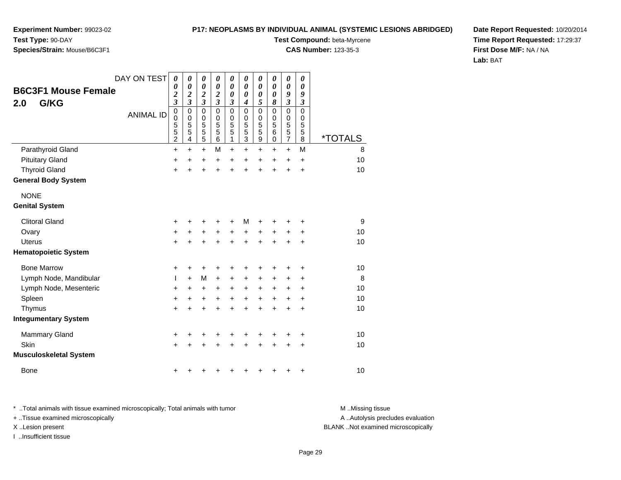**Experiment Number:** 99023-02**Test Type:** 90-DAY

### **Species/Strain:** Mouse/B6C3F1

**Test Compound:** beta-Myrcene

**CAS Number:** 123-35-3

**Date Report Requested:** 10/20/2014**Time Report Requested:** 17:29:37**First Dose M/F:** NA / NA**Lab:** BAT

|                               | DAY ON TEST      | 0                            | 0                                         | 0                                         | 0                           | $\boldsymbol{\theta}$          | 0                 | 0         | 0             | $\boldsymbol{\theta}$      | $\boldsymbol{\theta}$ |                       |
|-------------------------------|------------------|------------------------------|-------------------------------------------|-------------------------------------------|-----------------------------|--------------------------------|-------------------|-----------|---------------|----------------------------|-----------------------|-----------------------|
| <b>B6C3F1 Mouse Female</b>    |                  | 0<br>$\overline{\mathbf{c}}$ | $\boldsymbol{\theta}$<br>$\boldsymbol{2}$ | $\boldsymbol{\theta}$<br>$\boldsymbol{2}$ | $\boldsymbol{\theta}$<br>2  | $\boldsymbol{\theta}$<br>0     | 0<br>0            | 0<br>0    | 0<br>0        | $\boldsymbol{\theta}$<br>9 | 0<br>9                |                       |
| G/KG<br>2.0                   |                  | $\overline{\mathbf{3}}$      | $\mathfrak{z}$                            | $\overline{\mathbf{3}}$                   | $\overline{\mathbf{3}}$     | 3                              | $\boldsymbol{4}$  | 5         | 8             | $\boldsymbol{\beta}$       | $\boldsymbol{\beta}$  |                       |
|                               | <b>ANIMAL ID</b> | $\mathbf 0$<br>0             | $\mathbf 0$<br>$\pmb{0}$                  | $\mathbf 0$<br>0                          | $\mathbf{0}$<br>$\mathbf 0$ | $\mathbf 0$<br>$\mathbf 0$     | $\mathbf{0}$<br>0 | 0<br>0    | $\Omega$<br>0 | $\mathbf 0$<br>$\mathbf 0$ | $\mathbf 0$<br>0      |                       |
|                               |                  | 5                            | 5                                         | 5                                         | 5                           | 5                              | 5                 | 5         | 5             | 5                          | 5                     |                       |
|                               |                  | 5<br>$\overline{c}$          | 5<br>4                                    | 5<br>5                                    | 5<br>6                      | $\overline{5}$<br>$\mathbf{1}$ | 5<br>3            | 5<br>9    | 6<br>0        | 5<br>$\overline{7}$        | 5<br>8                | <i><b>*TOTALS</b></i> |
| Parathyroid Gland             |                  | +                            | $\ddot{}$                                 | $\ddot{}$                                 | M                           | $+$                            | $\ddot{}$         | $\ddot{}$ | $\pm$         | $+$                        | M                     | 8                     |
| <b>Pituitary Gland</b>        |                  | +                            | +                                         | +                                         | $\ddot{}$                   | $\ddot{}$                      | $\pm$             | +         | +             | $\ddot{}$                  | $\ddot{}$             | 10                    |
| <b>Thyroid Gland</b>          |                  | $\ddot{}$                    | $\ddot{}$                                 | $\ddot{}$                                 | $\ddot{}$                   | $\ddot{}$                      | $\ddot{}$         | $\ddot{}$ | +             | $\ddot{}$                  | $\ddot{}$             | 10                    |
| <b>General Body System</b>    |                  |                              |                                           |                                           |                             |                                |                   |           |               |                            |                       |                       |
| <b>NONE</b>                   |                  |                              |                                           |                                           |                             |                                |                   |           |               |                            |                       |                       |
| <b>Genital System</b>         |                  |                              |                                           |                                           |                             |                                |                   |           |               |                            |                       |                       |
| <b>Clitoral Gland</b>         |                  | +                            |                                           | +                                         | +                           |                                | М                 | +         |               |                            | +                     | 9                     |
| Ovary                         |                  | +                            | +                                         | +                                         | $\ddot{}$                   | +                              | +                 | +         | +             | +                          | +                     | 10                    |
| Uterus                        |                  | $\ddot{}$                    | +                                         | $\ddot{}$                                 | $\ddot{}$                   | $\ddot{}$                      | $\ddot{}$         | $\ddot{}$ | $\ddot{}$     | +                          | $\ddot{}$             | 10                    |
| <b>Hematopoietic System</b>   |                  |                              |                                           |                                           |                             |                                |                   |           |               |                            |                       |                       |
| <b>Bone Marrow</b>            |                  | +                            | +                                         | +                                         | +                           | +                              |                   | +         |               |                            |                       | 10                    |
| Lymph Node, Mandibular        |                  | L                            | $\ddot{}$                                 | M                                         | +                           | $\ddot{}$                      | +                 | +         | +             | +                          | ٠                     | 8                     |
| Lymph Node, Mesenteric        |                  | +                            | $\ddot{}$                                 | +                                         | $\pm$                       | $\ddot{}$                      | $\ddot{}$         | +         | +             | +                          | $\ddot{}$             | 10                    |
| Spleen                        |                  | $\ddot{}$                    | +                                         | +                                         | $\ddot{}$                   | $\ddot{}$                      | $\ddot{}$         | +         | +             | +                          | +                     | 10                    |
| Thymus                        |                  | +                            | +                                         | $\ddot{}$                                 | +                           | $\ddot{}$                      | +                 | +         | +             | +                          | +                     | 10                    |
| <b>Integumentary System</b>   |                  |                              |                                           |                                           |                             |                                |                   |           |               |                            |                       |                       |
| <b>Mammary Gland</b>          |                  | +                            | +                                         | +                                         | +                           | +                              | ٠                 | +         | +             | +                          | +                     | 10                    |
| Skin                          |                  | $\ddot{}$                    |                                           | +                                         |                             | +                              |                   | +         |               | +                          | $\ddot{}$             | 10                    |
| <b>Musculoskeletal System</b> |                  |                              |                                           |                                           |                             |                                |                   |           |               |                            |                       |                       |
| <b>Bone</b>                   |                  | +                            |                                           | +                                         |                             |                                |                   | +         | +             | +                          | +                     | 10                    |

\* ..Total animals with tissue examined microscopically; Total animals with tumor **M** . Missing tissue M ..Missing tissue + ..Tissue examined microscopically X ..Lesion present BLANK ..Not examined microscopically

I ..Insufficient tissue

A ..Autolysis precludes evaluation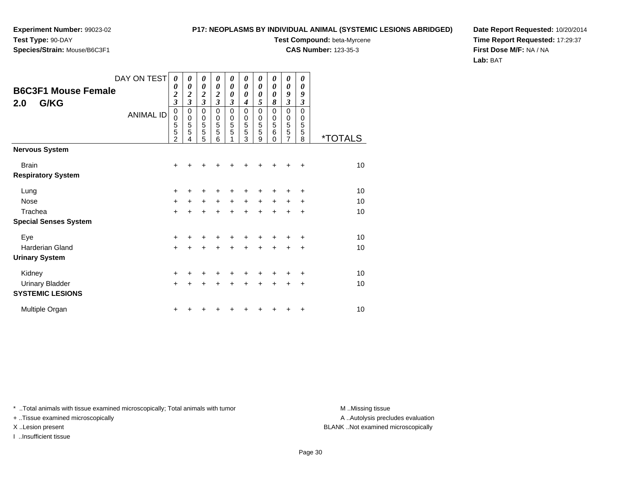# **Species/Strain:** Mouse/B6C3F1

#### **P17: NEOPLASMS BY INDIVIDUAL ANIMAL (SYSTEMIC LESIONS ABRIDGED)**

**Test Compound:** beta-Myrcene

**CAS Number:** 123-35-3

**Date Report Requested:** 10/20/2014**Time Report Requested:** 17:29:37**First Dose M/F:** NA / NA**Lab:** BAT

| <b>B6C3F1 Mouse Female</b><br>2.0<br>G/KG | DAY ON TEST<br><b>ANIMAL ID</b> | 0<br>0<br>$\frac{2}{3}$<br>$\boldsymbol{0}$<br>0<br>5<br>5<br>2 | 0<br>0<br>$\frac{2}{3}$<br>0<br>$\mathbf 0$<br>5<br>5<br>4 | 0<br>0<br>$\frac{2}{3}$<br>0<br>0<br>5<br>5<br>5 | 0<br>0<br>2<br>$\overline{\mathbf{3}}$<br>0<br>0<br>5<br>5<br>6 | 0<br>$\boldsymbol{\theta}$<br>$\boldsymbol{\theta}$<br>3<br>$\mathbf 0$<br>$\mathbf 0$<br>5<br>5 | 0<br>$\boldsymbol{\theta}$<br>0<br>4<br>0<br>0<br>5<br>5<br>3 | 0<br>0<br>0<br>5<br>0<br>0<br>5<br>5<br>9 | 0<br>0<br>0<br>8<br>$\mathbf 0$<br>$\mathbf 0$<br>5<br>6<br>$\Omega$ | 0<br>0<br>9<br>3<br>0<br>$\mathbf 0$<br>5<br>5<br>7 | 0<br>0<br>9<br>3<br>$\mathbf 0$<br>0<br>5<br>5<br>8 | <i><b>*TOTALS</b></i> |
|-------------------------------------------|---------------------------------|-----------------------------------------------------------------|------------------------------------------------------------|--------------------------------------------------|-----------------------------------------------------------------|--------------------------------------------------------------------------------------------------|---------------------------------------------------------------|-------------------------------------------|----------------------------------------------------------------------|-----------------------------------------------------|-----------------------------------------------------|-----------------------|
| <b>Nervous System</b>                     |                                 |                                                                 |                                                            |                                                  |                                                                 |                                                                                                  |                                                               |                                           |                                                                      |                                                     |                                                     |                       |
| <b>Brain</b><br><b>Respiratory System</b> |                                 | +                                                               |                                                            |                                                  |                                                                 |                                                                                                  |                                                               |                                           |                                                                      |                                                     | +                                                   | 10                    |
| Lung                                      |                                 | $\pm$                                                           |                                                            |                                                  |                                                                 |                                                                                                  |                                                               |                                           |                                                                      |                                                     | +                                                   | 10                    |
| <b>Nose</b>                               |                                 | $\ddot{}$                                                       | ٠                                                          | +                                                | +                                                               | $\ddot{}$                                                                                        | $\ddot{}$                                                     | $\ddot{}$                                 | $\ddot{}$                                                            | $\ddot{}$                                           | +                                                   | 10                    |
| Trachea                                   |                                 | $+$                                                             | +                                                          | $\ddot{}$                                        | $\ddot{}$                                                       | $+$                                                                                              | $\ddot{}$                                                     | $\ddot{}$                                 | $\ddot{}$                                                            | $\ddot{}$                                           | $\ddot{}$                                           | 10                    |
| <b>Special Senses System</b>              |                                 |                                                                 |                                                            |                                                  |                                                                 |                                                                                                  |                                                               |                                           |                                                                      |                                                     |                                                     |                       |
| Eye                                       |                                 | +                                                               |                                                            |                                                  |                                                                 |                                                                                                  |                                                               |                                           |                                                                      |                                                     | +                                                   | 10                    |
| Harderian Gland                           |                                 | $+$                                                             | +                                                          | $\ddot{}$                                        | +                                                               | $\ddot{}$                                                                                        | $\ddot{}$                                                     | $\ddot{}$                                 | $\ddot{}$                                                            | +                                                   | +                                                   | 10                    |
| <b>Urinary System</b>                     |                                 |                                                                 |                                                            |                                                  |                                                                 |                                                                                                  |                                                               |                                           |                                                                      |                                                     |                                                     |                       |
| Kidney                                    |                                 | +                                                               |                                                            | ٠                                                |                                                                 |                                                                                                  |                                                               |                                           |                                                                      |                                                     | +                                                   | 10                    |
| Urinary Bladder                           |                                 | $+$                                                             | +                                                          | $\ddot{}$                                        | +                                                               | $\ddot{}$                                                                                        | $\ddot{}$                                                     | $\ddot{}$                                 | +                                                                    | +                                                   | $\ddot{}$                                           | 10                    |
| <b>SYSTEMIC LESIONS</b>                   |                                 |                                                                 |                                                            |                                                  |                                                                 |                                                                                                  |                                                               |                                           |                                                                      |                                                     |                                                     |                       |
| Multiple Organ                            |                                 | $\pm$                                                           |                                                            |                                                  |                                                                 |                                                                                                  |                                                               |                                           |                                                                      | ٠                                                   | +                                                   | 10                    |

\* ..Total animals with tissue examined microscopically; Total animals with tumor **M** . Missing tissue M ..Missing tissue

+ ..Tissue examined microscopically

I ..Insufficient tissue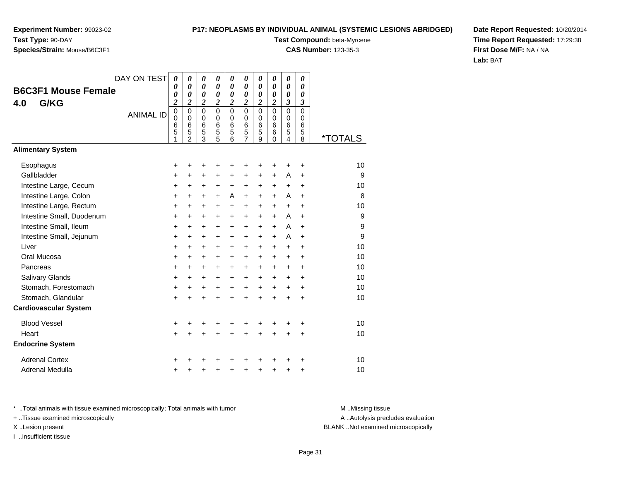#### **P17: NEOPLASMS BY INDIVIDUAL ANIMAL (SYSTEMIC LESIONS ABRIDGED)**

**Test Compound:** beta-Myrcene

**CAS Number:** 123-35-3

**Date Report Requested:** 10/20/2014**Time Report Requested:** 17:29:38**First Dose M/F:** NA / NA**Lab:** BAT

| <b>B6C3F1 Mouse Female</b><br>G/KG<br>4.0 | DAY ON TEST<br><b>ANIMAL ID</b> | $\boldsymbol{\theta}$<br>0<br>0<br>$\overline{c}$<br>$\mathbf 0$<br>$\mathbf 0$<br>6<br>5<br>1 | 0<br>$\boldsymbol{\theta}$<br>0<br>$\overline{\mathbf{c}}$<br>$\mathbf 0$<br>$\mathbf 0$<br>6<br>5<br>$\mathfrak{p}$ | 0<br>0<br>0<br>$\boldsymbol{2}$<br>$\mathbf 0$<br>$\mathbf 0$<br>6<br>$\overline{5}$<br>3 | $\boldsymbol{\theta}$<br>0<br>$\boldsymbol{\theta}$<br>$\boldsymbol{2}$<br>$\Omega$<br>$\Omega$<br>6<br>5<br>5 | 0<br>$\boldsymbol{\theta}$<br>$\boldsymbol{\theta}$<br>2<br>$\mathbf 0$<br>$\mathbf 0$<br>6<br>5<br>6 | $\boldsymbol{\theta}$<br>0<br>0<br>$\boldsymbol{2}$<br>$\Omega$<br>$\Omega$<br>6<br>5<br>7 | 0<br>0<br>0<br>2<br>$\mathbf 0$<br>0<br>6<br>5<br>9 | 0<br>0<br>0<br>$\boldsymbol{2}$<br>$\mathbf 0$<br>0<br>6<br>6<br>$\Omega$ | 0<br>0<br>0<br>3<br>0<br>$\mathbf 0$<br>6<br>5<br>4 | 0<br>0<br>0<br>3<br>$\mathbf 0$<br>0<br>6<br>5<br>8 | <i><b>*TOTALS</b></i> |
|-------------------------------------------|---------------------------------|------------------------------------------------------------------------------------------------|----------------------------------------------------------------------------------------------------------------------|-------------------------------------------------------------------------------------------|----------------------------------------------------------------------------------------------------------------|-------------------------------------------------------------------------------------------------------|--------------------------------------------------------------------------------------------|-----------------------------------------------------|---------------------------------------------------------------------------|-----------------------------------------------------|-----------------------------------------------------|-----------------------|
| <b>Alimentary System</b>                  |                                 |                                                                                                |                                                                                                                      |                                                                                           |                                                                                                                |                                                                                                       |                                                                                            |                                                     |                                                                           |                                                     |                                                     |                       |
| Esophagus                                 |                                 | +                                                                                              | +                                                                                                                    | +                                                                                         | +                                                                                                              | +                                                                                                     | +                                                                                          | +                                                   | +                                                                         | +                                                   | +                                                   | 10                    |
| Gallbladder                               |                                 | +                                                                                              | +                                                                                                                    | +                                                                                         | +                                                                                                              | +                                                                                                     | +                                                                                          | +                                                   | +                                                                         | A                                                   | +                                                   | 9                     |
| Intestine Large, Cecum                    |                                 | $\ddot{}$                                                                                      | $\ddot{}$                                                                                                            | +                                                                                         | +                                                                                                              | $\ddot{}$                                                                                             | $\ddot{}$                                                                                  | $\ddot{}$                                           | +                                                                         | $\ddot{}$                                           | $\ddot{}$                                           | 10                    |
| Intestine Large, Colon                    |                                 | +                                                                                              | +                                                                                                                    | +                                                                                         | +                                                                                                              | A                                                                                                     | $\ddot{}$                                                                                  | +                                                   | +                                                                         | A                                                   | +                                                   | 8                     |
| Intestine Large, Rectum                   |                                 | $\ddot{}$                                                                                      | $\ddot{}$                                                                                                            | +                                                                                         | +                                                                                                              | +                                                                                                     | $\ddot{}$                                                                                  | $\ddot{}$                                           | +                                                                         | +                                                   | $\ddot{}$                                           | 10                    |
| Intestine Small, Duodenum                 |                                 | $\ddot{}$                                                                                      | $\ddot{}$                                                                                                            | +                                                                                         | $\ddot{}$                                                                                                      | $\ddot{}$                                                                                             | $\ddot{}$                                                                                  | $\ddot{}$                                           | $\ddot{}$                                                                 | A                                                   | $\ddot{}$                                           | 9                     |
| Intestine Small, Ileum                    |                                 | +                                                                                              | $\ddot{}$                                                                                                            | +                                                                                         | +                                                                                                              | +                                                                                                     | $\ddot{}$                                                                                  | $\ddot{}$                                           | $\ddot{}$                                                                 | A                                                   | $\ddot{}$                                           | 9                     |
| Intestine Small, Jejunum                  |                                 | $\ddot{}$                                                                                      | +                                                                                                                    | +                                                                                         | +                                                                                                              | +                                                                                                     | $\ddot{}$                                                                                  | $\ddot{}$                                           | $\ddot{}$                                                                 | A                                                   | $\ddot{}$                                           | 9                     |
| Liver                                     |                                 | $\ddot{}$                                                                                      | $\ddot{}$                                                                                                            | +                                                                                         | $\ddot{}$                                                                                                      | $\ddot{}$                                                                                             | $\ddot{}$                                                                                  | $\ddot{}$                                           | $\ddot{}$                                                                 | $\ddot{}$                                           | $\ddot{}$                                           | 10                    |
| Oral Mucosa                               |                                 | +                                                                                              | +                                                                                                                    | +                                                                                         | +                                                                                                              | +                                                                                                     | $\ddot{}$                                                                                  | +                                                   | +                                                                         | +                                                   | +                                                   | 10                    |
| Pancreas                                  |                                 | $\ddot{}$                                                                                      | +                                                                                                                    | +                                                                                         | +                                                                                                              | $\ddot{}$                                                                                             | $\ddot{}$                                                                                  | $\ddot{}$                                           | +                                                                         | $\ddot{}$                                           | $\ddot{}$                                           | 10                    |
| Salivary Glands                           |                                 | $\ddot{}$                                                                                      | $\ddot{}$                                                                                                            | +                                                                                         | $\ddot{}$                                                                                                      | $\ddot{}$                                                                                             | $\ddot{}$                                                                                  | $\ddot{}$                                           | $\ddot{}$                                                                 | $\ddot{}$                                           | $\ddot{}$                                           | 10                    |
| Stomach, Forestomach                      |                                 | +                                                                                              | $\ddot{}$                                                                                                            | +                                                                                         | +                                                                                                              | +                                                                                                     | $\ddot{}$                                                                                  | $\ddot{}$                                           | +                                                                         | +                                                   | +                                                   | 10                    |
| Stomach, Glandular                        |                                 | $\ddot{}$                                                                                      | $\ddot{}$                                                                                                            | $\ddot{}$                                                                                 | $\ddot{}$                                                                                                      | $\ddot{}$                                                                                             | $\ddot{}$                                                                                  | $\ddot{}$                                           | $\ddot{}$                                                                 | $\ddot{}$                                           | $\ddot{}$                                           | 10                    |
| <b>Cardiovascular System</b>              |                                 |                                                                                                |                                                                                                                      |                                                                                           |                                                                                                                |                                                                                                       |                                                                                            |                                                     |                                                                           |                                                     |                                                     |                       |
| <b>Blood Vessel</b>                       |                                 | $\ddot{}$                                                                                      |                                                                                                                      |                                                                                           | +                                                                                                              | +                                                                                                     |                                                                                            |                                                     |                                                                           |                                                     | +                                                   | 10                    |
| Heart                                     |                                 | $\ddot{}$                                                                                      | $\ddot{}$                                                                                                            | $\ddot{}$                                                                                 | $\ddot{}$                                                                                                      | $\ddot{}$                                                                                             | $\ddot{}$                                                                                  | $\ddot{}$                                           | $\ddot{}$                                                                 | +                                                   | +                                                   | 10                    |
| <b>Endocrine System</b>                   |                                 |                                                                                                |                                                                                                                      |                                                                                           |                                                                                                                |                                                                                                       |                                                                                            |                                                     |                                                                           |                                                     |                                                     |                       |
| <b>Adrenal Cortex</b>                     |                                 | +                                                                                              |                                                                                                                      |                                                                                           |                                                                                                                | +                                                                                                     |                                                                                            |                                                     |                                                                           |                                                     | ٠                                                   | 10                    |
| Adrenal Medulla                           |                                 | +                                                                                              |                                                                                                                      | +                                                                                         | +                                                                                                              | +                                                                                                     | +                                                                                          | +                                                   | +                                                                         | +                                                   | +                                                   | 10                    |

\* ..Total animals with tissue examined microscopically; Total animals with tumor **M** . Missing tissue M ..Missing tissue

+ ..Tissue examined microscopically

I ..Insufficient tissue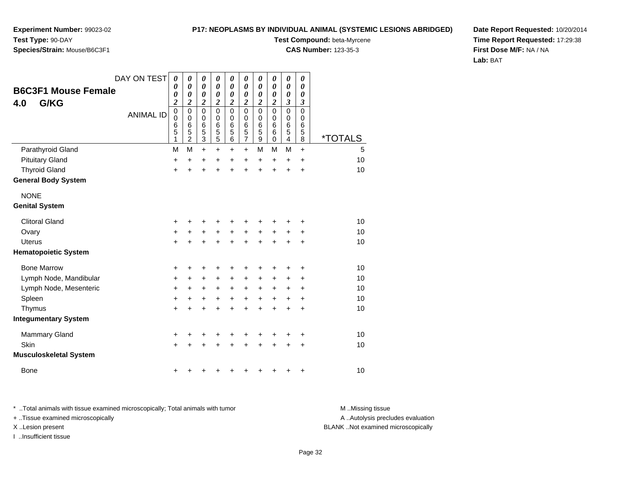**Experiment Number:** 99023-02**Test Type:** 90-DAY

## **Species/Strain:** Mouse/B6C3F1

**Test Compound:** beta-Myrcene

**CAS Number:** 123-35-3

**Date Report Requested:** 10/20/2014**Time Report Requested:** 17:29:38**First Dose M/F:** NA / NA**Lab:** BAT

|                               | DAY ON TEST      | $\boldsymbol{\theta}$<br>0      | 0<br>0                          | $\boldsymbol{\theta}$<br>0      | 0<br>0                       | 0<br>0                          | 0<br>0                     | $\boldsymbol{\theta}$<br>$\boldsymbol{\theta}$ | 0<br>0           | $\boldsymbol{\theta}$<br>0          | 0<br>0           |                       |
|-------------------------------|------------------|---------------------------------|---------------------------------|---------------------------------|------------------------------|---------------------------------|----------------------------|------------------------------------------------|------------------|-------------------------------------|------------------|-----------------------|
| <b>B6C3F1 Mouse Female</b>    |                  | 0                               | 0                               | 0                               | $\boldsymbol{\theta}$        | $\boldsymbol{\theta}$           | 0                          | $\boldsymbol{\theta}$                          | 0                | 0                                   | 0                |                       |
| G/KG<br>4.0                   | <b>ANIMAL ID</b> | $\boldsymbol{2}$<br>$\mathbf 0$ | $\boldsymbol{2}$<br>$\mathbf 0$ | $\boldsymbol{2}$<br>$\mathbf 0$ | $\boldsymbol{2}$<br>$\Omega$ | $\boldsymbol{2}$<br>$\mathbf 0$ | $\overline{2}$<br>$\Omega$ | 2<br>$\mathbf 0$                               | 2<br>$\mathbf 0$ | $\boldsymbol{\beta}$<br>$\mathbf 0$ | 3<br>$\mathbf 0$ |                       |
|                               |                  | $\mathbf 0$<br>6                | $\mathbf 0$<br>$6\phantom{1}6$  | 0<br>6                          | 0<br>6                       | 0<br>6                          | 0<br>6                     | $\mathbf 0$<br>6                               | 0<br>6           | 0<br>6                              | 0<br>6           |                       |
|                               |                  | 5<br>1                          | 5<br>$\overline{c}$             | 5<br>3                          | 5<br>$\overline{5}$          | 5<br>$\,6$                      | 5<br>7                     | 5<br>$\boldsymbol{9}$                          | 6<br>$\mathbf 0$ | 5<br>$\overline{\mathbf{4}}$        | 5<br>8           | <i><b>*TOTALS</b></i> |
| Parathyroid Gland             |                  | M                               | M                               | $\ddot{}$                       | $\ddot{}$                    | +                               | $\pm$                      | M                                              | м                | M                                   | $+$              | 5                     |
| <b>Pituitary Gland</b>        |                  | $\ddot{}$                       | $\ddot{}$                       | +                               | +                            | +                               | $\ddot{}$                  | $\ddot{}$                                      | $\ddot{}$        | $\ddot{}$                           | $\ddot{}$        | 10                    |
| <b>Thyroid Gland</b>          |                  | +                               |                                 | $\ddot{}$                       | $\ddot{}$                    | $\ddot{}$                       | $\ddot{}$                  | $\ddot{}$                                      | $\ddot{}$        | $\ddot{}$                           | $\ddot{}$        | 10                    |
| <b>General Body System</b>    |                  |                                 |                                 |                                 |                              |                                 |                            |                                                |                  |                                     |                  |                       |
| <b>NONE</b>                   |                  |                                 |                                 |                                 |                              |                                 |                            |                                                |                  |                                     |                  |                       |
| <b>Genital System</b>         |                  |                                 |                                 |                                 |                              |                                 |                            |                                                |                  |                                     |                  |                       |
| <b>Clitoral Gland</b>         |                  | +                               |                                 |                                 |                              | +                               |                            |                                                |                  |                                     | +                | 10                    |
| Ovary                         |                  | +                               | +                               | +                               | +                            | +                               | +                          | +                                              | +                | +                                   | +                | 10                    |
| <b>Uterus</b>                 |                  | $\ddot{}$                       |                                 | +                               | $\ddot{}$                    | $\ddot{}$                       | $\ddot{}$                  | $\ddot{}$                                      |                  |                                     | +                | 10                    |
| <b>Hematopoietic System</b>   |                  |                                 |                                 |                                 |                              |                                 |                            |                                                |                  |                                     |                  |                       |
| <b>Bone Marrow</b>            |                  | +                               | +                               | +                               | +                            | +                               | +                          | +                                              |                  | +                                   | +                | 10                    |
| Lymph Node, Mandibular        |                  | +                               | +                               | +                               | +                            | +                               | +                          | +                                              | $\pm$            | +                                   | +                | 10                    |
| Lymph Node, Mesenteric        |                  | +                               | $\ddot{}$                       | +                               | +                            | +                               | $\pm$                      | +                                              | $\pm$            | +                                   | +                | 10                    |
| Spleen                        |                  | $\ddot{}$                       | +                               | +                               | $\ddot{}$                    | $\ddot{}$                       | $\ddot{}$                  | $\ddot{}$                                      | $\ddot{}$        | +                                   | $\ddot{}$        | 10                    |
| Thymus                        |                  | +                               |                                 | +                               | +                            | $\ddot{}$                       | $\ddot{}$                  | $\ddot{}$                                      | $\ddot{}$        | +                                   | +                | 10                    |
| <b>Integumentary System</b>   |                  |                                 |                                 |                                 |                              |                                 |                            |                                                |                  |                                     |                  |                       |
| Mammary Gland                 |                  | $\ddot{}$                       | ٠                               | +                               | +                            | +                               | +                          | +                                              | +                | ٠                                   | +                | 10                    |
| Skin                          |                  | $\ddot{}$                       |                                 |                                 |                              | +                               |                            |                                                |                  | +                                   | +                | 10                    |
| <b>Musculoskeletal System</b> |                  |                                 |                                 |                                 |                              |                                 |                            |                                                |                  |                                     |                  |                       |
| Bone                          |                  | +                               |                                 |                                 |                              | +                               | ٠                          | +                                              | +                | +                                   | +                | 10                    |

\* ..Total animals with tissue examined microscopically; Total animals with tumor **M** . Missing tissue M ..Missing tissue A ..Autolysis precludes evaluation + ..Tissue examined microscopically X ..Lesion present BLANK ..Not examined microscopicallyI ..Insufficient tissue